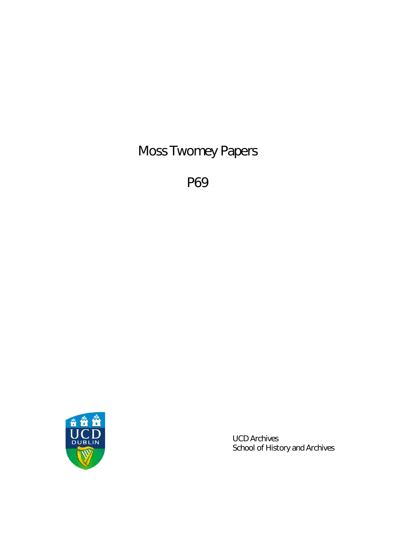Moss Twomey Papers

P69



UCD Archives School of History and Archives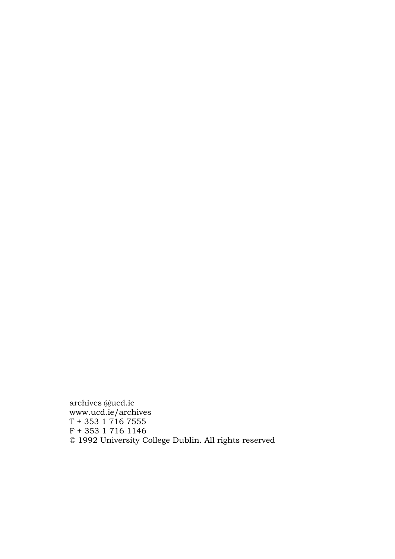archives @ucd.ie www.ucd.ie/archives  $T + 353$  1 716 7555 F + 353 1 716 1146 © 1992 University College Dublin. All rights reserved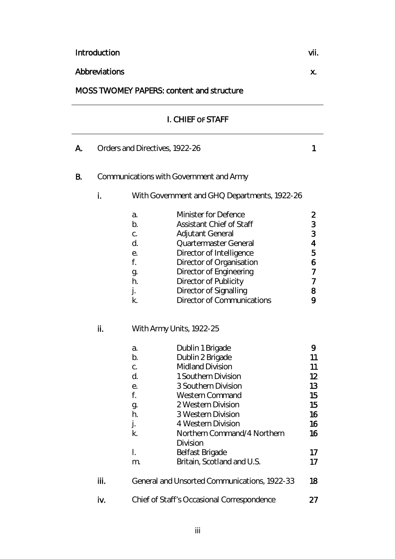# I. CHIEF OF STAFF A. Orders and Directives, 1922-26 1 B. Communications with Government and Army i. With Government and GHQ Departments, 1922-26 a. Minister for Defence 2 b. Assistant Chief of Staff 3 c. Adjutant General 3 d. Quartermaster General 4 e. Director of Intelligence 5 f. Director of Organisation 6 g. Director of Engineering 7 h. Director of Publicity 7 j. Director of Signalling and the B k. Director of Communications 9 ii. With Army Units, 1922-25 a. Dublin 1 Brigade 9 b. Dublin 2 Brigade 11 c. Midland Division 11 d. 1 Southern Division 12 e. 3 Southern Division 13 f. Western Command 15 g. 2 Western Division 15 h. 3 Western Division 16 j. 16 and 4 Western Division k. Northern Command/4 Northern Division 16 l. Belfast Brigade 17 m. Britain, Scotland and U.S. 17 **iii.** General and Unsorted Communications, 1922-33 18 iv. Chief of Staff's Occasional Correspondence 27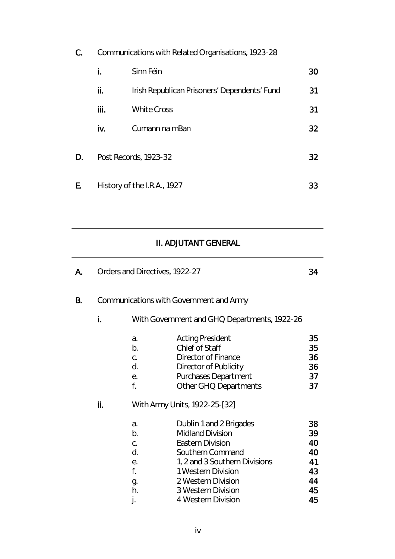| C. | Communications with Related Organisations, 1923-28 |                                              |    |
|----|----------------------------------------------------|----------------------------------------------|----|
|    | i.                                                 | Sinn Féin                                    | 30 |
|    | ii.                                                | Irish Republican Prisoners' Dependents' Fund | 31 |
|    | iii.                                               | <b>White Cross</b>                           | 31 |
|    | iv.                                                | Cumann na mBan                               | 32 |
| D. | Post Records, 1923-32                              |                                              | 32 |
| E. | History of the I.R.A., 1927                        |                                              | 33 |
|    |                                                    |                                              |    |

# II. ADJUTANT GENERAL

| А.        |                                         |                                                    | Orders and Directives, 1922-27                                                                                                                                                                                                                              | 34                                                 |
|-----------|-----------------------------------------|----------------------------------------------------|-------------------------------------------------------------------------------------------------------------------------------------------------------------------------------------------------------------------------------------------------------------|----------------------------------------------------|
| <b>B.</b> | Communications with Government and Army |                                                    |                                                                                                                                                                                                                                                             |                                                    |
|           | i.                                      |                                                    | With Government and GHQ Departments, 1922-26                                                                                                                                                                                                                |                                                    |
|           |                                         | a.<br>b.<br>C.<br>d.<br>е.<br>f.                   | <b>Acting President</b><br>Chief of Staff<br><b>Director of Finance</b><br>Director of Publicity<br><b>Purchases Department</b><br>Other GHQ Departments                                                                                                    | 35<br>35<br>36<br>36<br>37<br>37                   |
|           | ii.                                     | a.<br>b.<br>C.<br>d.<br>е.<br>f.<br>g.<br>h.<br>j. | With Army Units, 1922-25-[32]<br>Dublin 1 and 2 Brigades<br><b>Midland Division</b><br><b>Eastern Division</b><br>Southern Command<br>1, 2 and 3 Southern Divisions<br>1 Western Division<br>2 Western Division<br>3 Western Division<br>4 Western Division | 38<br>39<br>40<br>40<br>41<br>43<br>44<br>45<br>45 |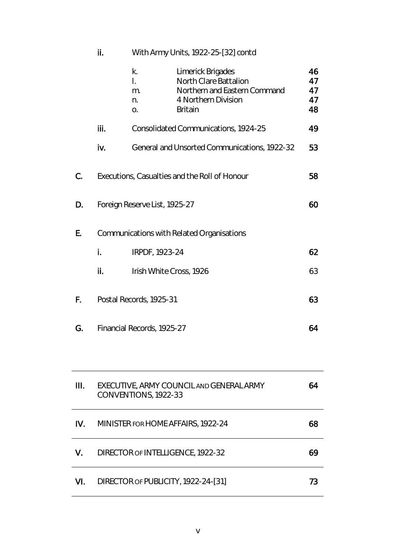|    | ii.                                       | With Army Units, 1922-25-[32] contd    |                                                                                                                            |                            |
|----|-------------------------------------------|----------------------------------------|----------------------------------------------------------------------------------------------------------------------------|----------------------------|
|    |                                           | k.<br>$\overline{L}$<br>m.<br>n.<br>0. | Limerick Brigades<br><b>North Clare Battalion</b><br>Northern and Eastern Command<br>4 Northern Division<br><b>Britain</b> | 46<br>47<br>47<br>47<br>48 |
|    | iii.                                      |                                        | Consolidated Communications, 1924-25                                                                                       | 49                         |
|    | iv.                                       |                                        | General and Unsorted Communications, 1922-32                                                                               | 53                         |
| C. |                                           |                                        | Executions, Casualties and the Roll of Honour                                                                              | 58                         |
| D. | Foreign Reserve List, 1925-27             |                                        |                                                                                                                            | 60                         |
| Ε. | Communications with Related Organisations |                                        |                                                                                                                            |                            |
|    | İ.                                        | IRPDF, 1923-24                         |                                                                                                                            | 62                         |
|    | ii.                                       | Irish White Cross, 1926                |                                                                                                                            | 63                         |
| F. |                                           | Postal Records, 1925-31                |                                                                                                                            | 63                         |
| G. | Financial Records, 1925-27                |                                        | 64                                                                                                                         |                            |
|    |                                           |                                        |                                                                                                                            |                            |

| Ш.  | EXECUTIVE, ARMY COUNCIL AND GENERAL ARMY<br>CONVENTIONS, 1922-33 | 64 |
|-----|------------------------------------------------------------------|----|
| IV. | MINISTER FOR HOME AFFAIRS, 1922-24                               | 68 |
| V.  | DIRECTOR OF INTELLIGENCE, 1922-32                                | 69 |
| VI. | DIRECTOR OF PUBLICITY, 1922-24-[31]                              | 73 |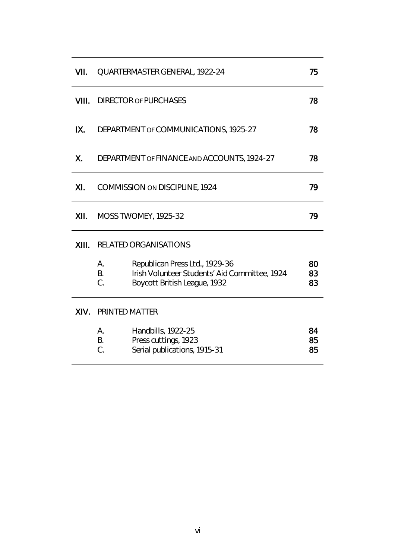| VII.  | 75<br>QUARTERMASTER GENERAL, 1922-24              |                                                                                                                 |                |
|-------|---------------------------------------------------|-----------------------------------------------------------------------------------------------------------------|----------------|
| VIII. | <b>DIRECTOR OF PURCHASES</b><br>78                |                                                                                                                 |                |
| IX.   | DEPARTMENT OF COMMUNICATIONS, 1925-27<br>78       |                                                                                                                 |                |
| Χ.    | DEPARTMENT OF FINANCE AND ACCOUNTS, 1924-27<br>78 |                                                                                                                 |                |
| XI.   | 79<br>COMMISSION ON DISCIPLINE, 1924              |                                                                                                                 |                |
| XII.  | 79<br><b>MOSS TWOMEY, 1925-32</b>                 |                                                                                                                 |                |
| XIII. | <b>RELATED ORGANISATIONS</b>                      |                                                                                                                 |                |
|       | А.<br><b>B.</b><br>C.                             | Republican Press Ltd., 1929-36<br>Irish Volunteer Students' Aid Committee, 1924<br>Boycott British League, 1932 | 80<br>83<br>83 |
| XIV.  | <b>PRINTED MATTER</b>                             |                                                                                                                 |                |
|       | А.<br>В.<br>C.                                    | Handbills, 1922-25<br>Press cuttings, 1923<br>Serial publications, 1915-31                                      | 84<br>85<br>85 |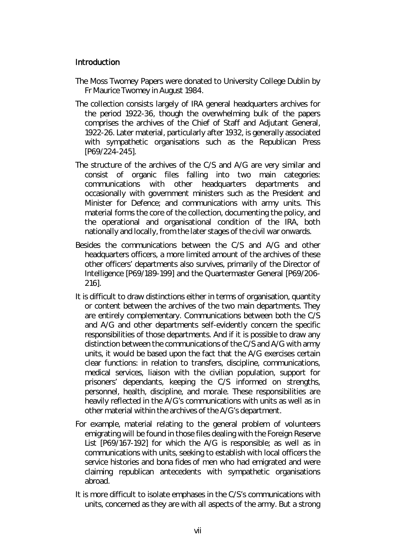# Introduction

- The Moss Twomey Papers were donated to University College Dublin by Fr Maurice Twomey in August 1984.
- The collection consists largely of IRA general headquarters archives for the period 1922-36, though the overwhelming bulk of the papers comprises the archives of the Chief of Staff and Adjutant General, 1922-26. Later material, particularly after 1932, is generally associated with sympathetic organisations such as the Republican Press [P69/224-245].
- The structure of the archives of the C/S and A/G are very similar and consist of organic files falling into two main categories: communications with other headquarters departments and occasionally with government ministers such as the President and Minister for Defence; and communications with army units. This material forms the core of the collection, documenting the policy, and the operational and organisational condition of the IRA, both nationally and locally, from the later stages of the civil war onwards.
- Besides the communications between the C/S and A/G and other headquarters officers, a more limited amount of the archives of these other officers' departments also survives, primarily of the Director of Intelligence [P69/189-199] and the Quartermaster General [P69/206- 216].
- It is difficult to draw distinctions either in terms of organisation, quantity or content between the archives of the two main departments. They are entirely complementary. Communications between both the C/S and A/G and other departments self-evidently concern the specific responsibilities of those departments. And if it is possible to draw any distinction between the communications of the C/S and A/G with army units, it would be based upon the fact that the A/G exercises certain clear functions: in relation to transfers, discipline, communications, medical services, liaison with the civilian population, support for prisoners' dependants, keeping the C/S informed on strengths, personnel, health, discipline, and morale. These responsibilities are heavily reflected in the A/G's communications with units as well as in other material within the archives of the A/G's department.
- For example, material relating to the general problem of volunteers emigrating will be found in those files dealing with the Foreign Reserve List [P69/167-192] for which the A/G is responsible; as well as in communications with units, seeking to establish with local officers the service histories and *bona fides* of men who had emigrated and were claiming republican antecedents with sympathetic organisations abroad.
- It is more difficult to isolate emphases in the C/S's communications with units, concerned as they are with all aspects of the army. But a strong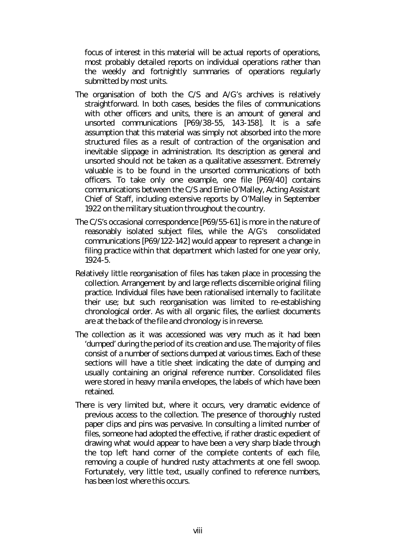focus of interest in this material will be actual reports of operations, most probably detailed reports on individual operations rather than the weekly and fortnightly summaries of operations regularly submitted by most units.

- The organisation of both the C/S and A/G's archives is relatively straightforward. In both cases, besides the files of communications with other officers and units, there is an amount of general and unsorted communications [P69/38-55, 143-158]. It is a safe assumption that this material was simply not absorbed into the more structured files as a result of contraction of the organisation and inevitable slippage in administration. Its description as general and unsorted should not be taken as a qualitative assessment. Extremely valuable is to be found in the unsorted communications of both officers. To take only one example, one file [P69/40] contains communications between the C/S and Ernie O'Malley, Acting Assistant Chief of Staff, including extensive reports by O'Malley in September 1922 on the military situation throughout the country.
- The C/S's occasional correspondence [P69/55-61] is more in the nature of reasonably isolated subject files, while the A/G's consolidated communications [P69/122-142] would appear to represent a change in filing practice within that department which lasted for one year only, 1924-5.
- Relatively little reorganisation of files has taken place in processing the collection. Arrangement by and large reflects discernible original filing practice. Individual files have been rationalised internally to facilitate their use; but such reorganisation was limited to re-establishing chronological order. As with all organic files, the earliest documents are at the back of the file and chronology is in reverse.
- The collection as it was accessioned was very much as it had been 'dumped' during the period of its creation and use. The majority of files consist of a number of sections dumped at various times. Each of these sections will have a title sheet indicating the date of dumping and usually containing an original reference number. Consolidated files were stored in heavy manila envelopes, the labels of which have been retained.
- There is very limited but, where it occurs, very dramatic evidence of previous access to the collection. The presence of thoroughly rusted paper clips and pins was pervasive. In consulting a limited number of files, someone had adopted the effective, if rather drastic expedient of drawing what would appear to have been a very sharp blade through the top left hand corner of the complete contents of each file, removing a couple of hundred rusty attachments at one fell swoop. Fortunately, very little text, usually confined to reference numbers, has been lost where this occurs.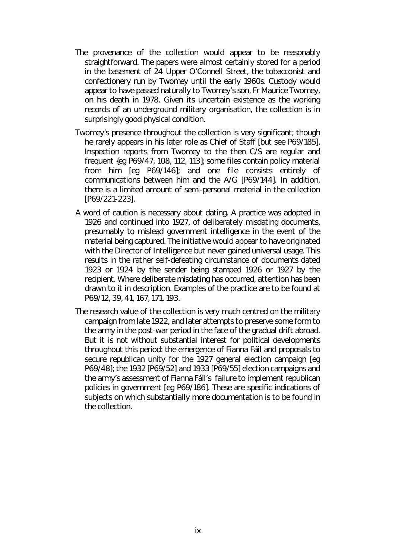- The provenance of the collection would appear to be reasonably straightforward. The papers were almost certainly stored for a period in the basement of 24 Upper O'Connell Street, the tobacconist and confectionery run by Twomey until the early 1960s. Custody would appear to have passed naturally to Twomey's son, Fr Maurice Twomey, on his death in 1978. Given its uncertain existence as the working records of an underground military organisation, the collection is in surprisingly good physical condition.
- Twomey's presence throughout the collection is very significant; though he rarely appears in his later role as Chief of Staff [but see P69/185]. Inspection reports from Twomey to the then C/S are regular and frequent {*eg* P69/47, 108, 112, 113]; some files contain policy material from him [*eg* P69/146]; and one file consists entirely of communications between him and the A/G [P69/144]. In addition, there is a limited amount of semi-personal material in the collection [P69/221-223].
- A word of caution is necessary about dating. A practice was adopted in 1926 and continued into 1927, of deliberately misdating documents, presumably to mislead government intelligence in the event of the material being captured. The initiative would appear to have originated with the Director of Intelligence but never gained universal usage. This results in the rather self-defeating circumstance of documents dated 1923 or 1924 by the sender being stamped 1926 or 1927 by the recipient. Where deliberate misdating has occurred, attention has been drawn to it in description. Examples of the practice are to be found at P69/12, 39, 41, 167, 171, 193.
- The research value of the collection is very much centred on the military campaign from late 1922, and later attempts to preserve some form to the army in the post-war period in the face of the gradual drift abroad. But it is not without substantial interest for political developments throughout this period: the emergence of Fianna Fáil and proposals to secure republican unity for the 1927 general election campaign [*eg* P69/48]; the 1932 [P69/52] and 1933 [P69/55] election campaigns and the army's assessment of Fianna Fáil's failure to implement republican policies in government [*eg* P69/186]. These are specific indications of subjects on which substantially more documentation is to be found in the collection.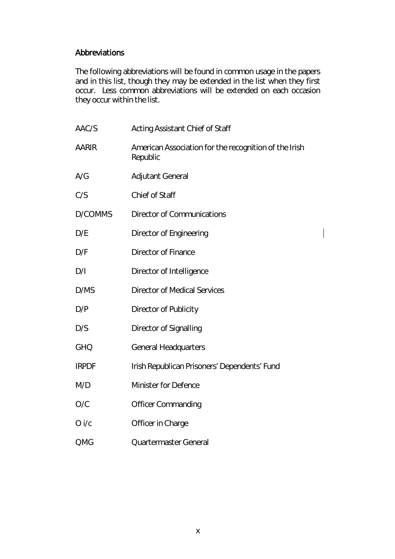# Abbreviations

The following abbreviations will be found in common usage in the papers and in this list, though they may be extended in the list when they first occur. Less common abbreviations will be extended on each occasion they occur within the list.

| AAC/S        | <b>Acting Assistant Chief of Staff</b>                            |
|--------------|-------------------------------------------------------------------|
| <b>AARIR</b> | American Association for the recognition of the Irish<br>Republic |
| A/G          | <b>Adjutant General</b>                                           |
| C/S          | Chief of Staff                                                    |
| D/COMMS      | <b>Director of Communications</b>                                 |
| D/E          | Director of Engineering                                           |
| D/F          | <b>Director of Finance</b>                                        |
| D/I          | Director of Intelligence                                          |
| D/MS         | <b>Director of Medical Services</b>                               |
| D/P          | Director of Publicity                                             |
| D/S          | <b>Director of Signalling</b>                                     |
| <b>GHQ</b>   | <b>General Headquarters</b>                                       |
| <b>IRPDF</b> | Irish Republican Prisoners' Dependents' Fund                      |
| M/D          | Minister for Defence                                              |
| O/C          | <b>Officer Commanding</b>                                         |
| O i/c        | Officer in Charge                                                 |
| QMG          | Quartermaster General                                             |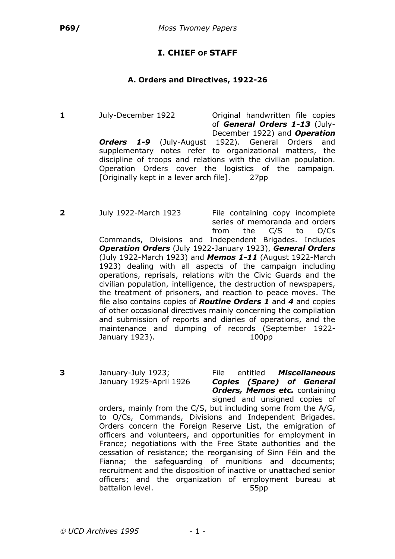# **I. CHIEF OF STAFF**

#### **A. Orders and Directives, 1922-26**

**1** July-December 1922 Original handwritten file copies of *General Orders 1-13* (July-December 1922) and *Operation* **Orders 1-9** (July-August 1922). General Orders and supplementary notes refer to organizational matters, the discipline of troops and relations with the civilian population. Operation Orders cover the logistics of the campaign. [Originally kept in a lever arch file]. 27pp

**2** July 1922-March 1923 File containing copy incomplete series of memoranda and orders from the C/S to O/Cs

Commands, Divisions and Independent Brigades. Includes *Operation Orders* (July 1922-January 1923), *General Orders* (July 1922-March 1923) and *Memos 1-11* (August 1922-March 1923) dealing with all aspects of the campaign including operations, reprisals, relations with the Civic Guards and the civilian population, intelligence, the destruction of newspapers, the treatment of prisoners, and reaction to peace moves. The file also contains copies of *Routine Orders 1* and *4* and copies of other occasional directives mainly concerning the compilation and submission of reports and diaries of operations, and the maintenance and dumping of records (September 1922- January 1923). 100pp

**3** January-July 1923; File entitled *Miscellaneous* January 1925-April 1926 *Copies (Spare) of General* **Orders, Memos etc.** containing signed and unsigned copies of

orders, mainly from the C/S, but including some from the A/G, to O/Cs, Commands, Divisions and Independent Brigades. Orders concern the Foreign Reserve List, the emigration of officers and volunteers, and opportunities for employment in France; negotiations with the Free State authorities and the cessation of resistance; the reorganising of Sinn Féin and the Fianna; the safeguarding of munitions and documents; recruitment and the disposition of inactive or unattached senior officers; and the organization of employment bureau at battalion level. 55pp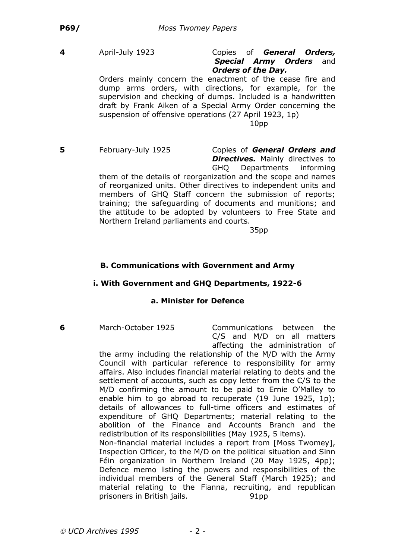#### **4** April-July 1923 Copies of *General Orders, Special Army Orders* and *Orders of the Day.*

Orders mainly concern the enactment of the cease fire and dump arms orders, with directions, for example, for the supervision and checking of dumps. Included is a handwritten draft by Frank Aiken of a Special Army Order concerning the suspension of offensive operations (27 April 1923, 1p) 10pp

**5** February-July 1925 Copies of *General Orders and*

**Directives.** Mainly directives to

GHQ Departments informing them of the details of reorganization and the scope and names of reorganized units. Other directives to independent units and members of GHQ Staff concern the submission of reports; training; the safeguarding of documents and munitions; and the attitude to be adopted by volunteers to Free State and Northern Ireland parliaments and courts.

35pp

### **B. Communications with Government and Army**

#### **i. With Government and GHQ Departments, 1922-6**

#### **a. Minister for Defence**

**6** March-October 1925 Communications between the C/S and M/D on all matters affecting the administration of

the army including the relationship of the M/D with the Army Council with particular reference to responsibility for army affairs. Also includes financial material relating to debts and the settlement of accounts, such as copy letter from the C/S to the M/D confirming the amount to be paid to Ernie O'Malley to enable him to go abroad to recuperate (19 June 1925, 1p); details of allowances to full-time officers and estimates of expenditure of GHQ Departments; material relating to the abolition of the Finance and Accounts Branch and the redistribution of its responsibilities (May 1925, 5 items). Non-financial material includes a report from [Moss Twomey], Inspection Officer, to the M/D on the political situation and Sinn Féin organization in Northern Ireland (20 May 1925, 4pp); Defence memo listing the powers and responsibilities of the individual members of the General Staff (March 1925); and

material relating to the Fianna, recruiting, and republican

prisoners in British jails. 91pp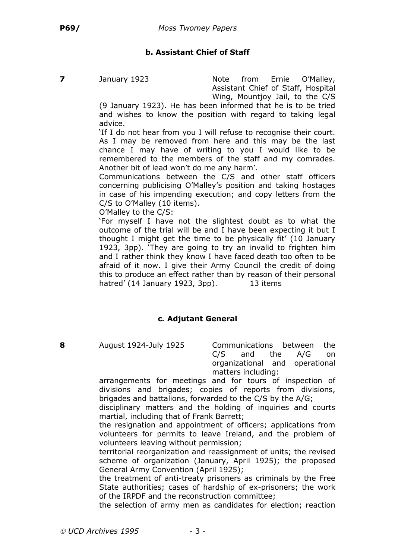# **b. Assistant Chief of Staff**

**7** January 1923 Note from Ernie O'Malley, Assistant Chief of Staff, Hospital Wing, Mountjoy Jail, to the C/S

(9 January 1923). He has been informed that he is to be tried and wishes to know the position with regard to taking legal advice.

'If I do not hear from you I will refuse to recognise their court. As I may be removed from here and this may be the last chance I may have of writing to you I would like to be remembered to the members of the staff and my comrades. Another bit of lead won't do me any harm'.

Communications between the C/S and other staff officers concerning publicising O'Malley's position and taking hostages in case of his impending execution; and copy letters from the C/S to O'Malley (10 items).

O'Malley to the C/S:

'For myself I have not the slightest doubt as to what the outcome of the trial will be and I have been expecting it but I thought I might get the time to be physically fit' (10 January 1923, 3pp). 'They are going to try an invalid to frighten him and I rather think they know I have faced death too often to be afraid of it now. I give their Army Council the credit of doing this to produce an effect rather than by reason of their personal hatred' (14 January 1923, 3pp). 13 items

# **c***.* **Adjutant General**

**8** August 1924-July 1925 Communications between the C/S and the A/G on organizational and operational matters including:

arrangements for meetings and for tours of inspection of divisions and brigades; copies of reports from divisions, brigades and battalions, forwarded to the C/S by the A/G;

disciplinary matters and the holding of inquiries and courts martial, including that of Frank Barrett;

the resignation and appointment of officers; applications from volunteers for permits to leave Ireland, and the problem of volunteers leaving without permission;

territorial reorganization and reassignment of units; the revised scheme of organization (January, April 1925); the proposed General Army Convention (April 1925);

the treatment of anti-treaty prisoners as criminals by the Free State authorities; cases of hardship of ex-prisoners; the work of the IRPDF and the reconstruction committee;

the selection of army men as candidates for election; reaction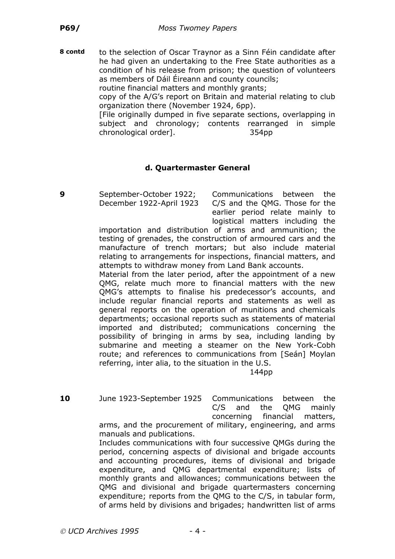**8 contd** to the selection of Oscar Traynor as a Sinn Féin candidate after he had given an undertaking to the Free State authorities as a condition of his release from prison; the question of volunteers as members of Dáil Éireann and county councils;

routine financial matters and monthly grants;

copy of the A/G's report on Britain and material relating to club organization there (November 1924, 6pp).

[File originally dumped in five separate sections, overlapping in subject and chronology; contents rearranged in simple chronological order]. 354pp

# **d. Quartermaster General**

**9** September-October 1922; Communications between the December 1922-April 1923 C/S and the QMG. Those for the earlier period relate mainly to logistical matters including the

importation and distribution of arms and ammunition; the testing of grenades, the construction of armoured cars and the manufacture of trench mortars; but also include material relating to arrangements for inspections, financial matters, and attempts to withdraw money from Land Bank accounts.

Material from the later period, after the appointment of a new QMG, relate much more to financial matters with the new QMG's attempts to finalise his predecessor's accounts, and include regular financial reports and statements as well as general reports on the operation of munitions and chemicals departments; occasional reports such as statements of material imported and distributed; communications concerning the possibility of bringing in arms by sea, including landing by submarine and meeting a steamer on the New York-Cobh route; and references to communications from [Seán] Moylan referring, inter alia, to the situation in the U.S.

144pp

**10** June 1923-September 1925 Communications between the C/S and the QMG mainly concerning financial matters, arms, and the procurement of military, engineering, and arms manuals and publications.

Includes communications with four successive QMGs during the period, concerning aspects of divisional and brigade accounts and accounting procedures, items of divisional and brigade expenditure, and QMG departmental expenditure; lists of monthly grants and allowances; communications between the QMG and divisional and brigade quartermasters concerning expenditure; reports from the QMG to the C/S, in tabular form, of arms held by divisions and brigades; handwritten list of arms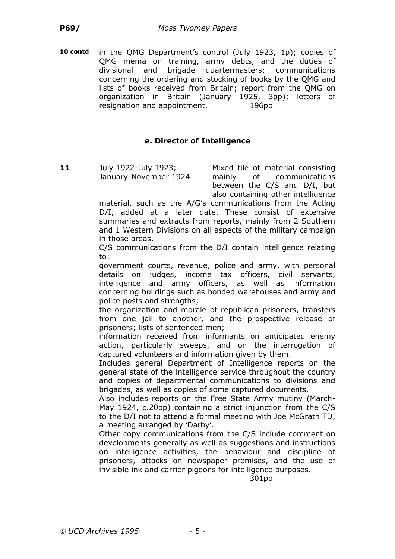**10 contd** in the QMG Department's control (July 1923, 1p); copies of QMG mema on training, army debts, and the duties of divisional and brigade quartermasters; communications concerning the ordering and stocking of books by the QMG and lists of books received from Britain; report from the QMG on organization in Britain (January 1925, 3pp); letters of resignation and appointment. 196pp

### **e. Director of Intelligence**

**11** July 1922-July 1923; Mixed file of material consisting

January-November 1924 mainly of communications between the C/S and D/I, but also containing other intelligence

material, such as the A/G's communications from the Acting D/I, added at a later date. These consist of extensive summaries and extracts from reports, mainly from 2 Southern and 1 Western Divisions on all aspects of the military campaign in those areas.

C/S communications from the D/I contain intelligence relating to:

government courts, revenue, police and army, with personal details on judges, income tax officers, civil servants, intelligence and army officers, as well as information concerning buildings such as bonded warehouses and army and police posts and strengths;

the organization and morale of republican prisoners, transfers from one jail to another, and the prospective release of prisoners; lists of sentenced men;

information received from informants on anticipated enemy action, particularly sweeps, and on the interrogation of captured volunteers and information given by them.

Includes general Department of Intelligence reports on the general state of the intelligence service throughout the country and copies of departmental communications to divisions and brigades, as well as copies of some captured documents.

Also includes reports on the Free State Army mutiny (March-May 1924, *c.*20pp) containing a strict injunction from the C/S to the D/I not to attend a formal meeting with Joe McGrath TD, a meeting arranged by 'Darby'.

Other copy communications from the C/S include comment on developments generally as well as suggestions and instructions on intelligence activities, the behaviour and discipline of prisoners, attacks on newspaper premises, and the use of invisible ink and carrier pigeons for intelligence purposes.

301pp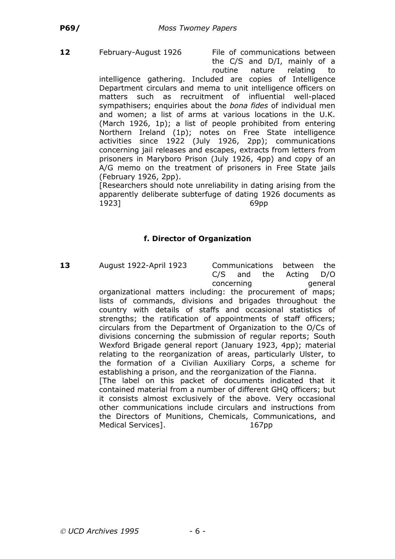**12** February-August 1926 File of communications between the C/S and D/I, mainly of a routine nature relating to

intelligence gathering. Included are copies of Intelligence Department circulars and mema to unit intelligence officers on matters such as recruitment of influential well-placed sympathisers; enquiries about the *bona fides* of individual men and women; a list of arms at various locations in the U.K. (March 1926, 1p); a list of people prohibited from entering Northern Ireland (1p); notes on Free State intelligence activities since 1922 (July 1926, 2pp); communications concerning jail releases and escapes, extracts from letters from prisoners in Maryboro Prison (July 1926, 4pp) and copy of an A/G memo on the treatment of prisoners in Free State jails (February 1926, 2pp).

[Researchers should note unreliability in dating arising from the apparently deliberate subterfuge of dating 1926 documents as 1923] 69pp

# **f. Director of Organization**

**13** August 1922-April 1923 Communications between the

C/S and the Acting D/O concerning concerning organizational matters including: the procurement of maps; lists of commands, divisions and brigades throughout the country with details of staffs and occasional statistics of strengths; the ratification of appointments of staff officers; circulars from the Department of Organization to the O/Cs of divisions concerning the submission of regular reports; South Wexford Brigade general report (January 1923, 4pp); material relating to the reorganization of areas, particularly Ulster, to the formation of a Civilian Auxiliary Corps, a scheme for establishing a prison, and the reorganization of the Fianna. [The label on this packet of documents indicated that it contained material from a number of different GHQ officers; but it consists almost exclusively of the above. Very occasional other communications include circulars and instructions from the Directors of Munitions, Chemicals, Communications, and Medical Services]. 167pp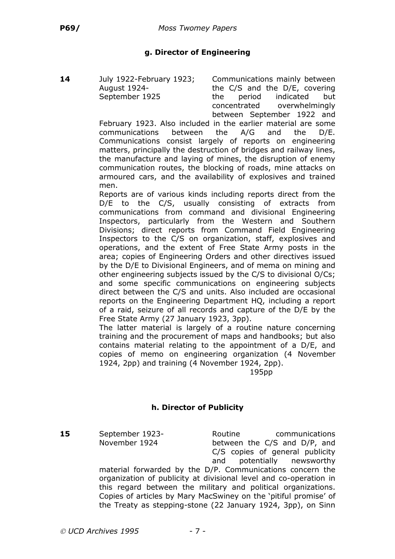# **g. Director of Engineering**

**14** July 1922-February 1923; Communications mainly between August 1924- the C/S and the D/E, covering September 1925 the period indicated but concentrated overwhelmingly between September 1922 and

February 1923. Also included in the earlier material are some communications between the A/G and the D/E. Communications consist largely of reports on engineering matters, principally the destruction of bridges and railway lines, the manufacture and laying of mines, the disruption of enemy communication routes, the blocking of roads, mine attacks on armoured cars, and the availability of explosives and trained men.

Reports are of various kinds including reports direct from the D/E to the C/S, usually consisting of extracts from communications from command and divisional Engineering Inspectors, particularly from the Western and Southern Divisions; direct reports from Command Field Engineering Inspectors to the C/S on organization, staff, explosives and operations, and the extent of Free State Army posts in the area; copies of Engineering Orders and other directives issued by the D/E to Divisional Engineers, and of mema on mining and other engineering subjects issued by the C/S to divisional O/Cs; and some specific communications on engineering subjects direct between the C/S and units. Also included are occasional reports on the Engineering Department HQ, including a report of a raid, seizure of all records and capture of the D/E by the Free State Army (27 January 1923, 3pp).

The latter material is largely of a routine nature concerning training and the procurement of maps and handbooks; but also contains material relating to the appointment of a D/E, and copies of memo on engineering organization (4 November 1924, 2pp) and training (4 November 1924, 2pp).

195pp

# **h. Director of Publicity**

**15** September 1923- **Routine Routine** communications

November 1924 between the C/S and D/P, and C/S copies of general publicity and potentially newsworthy material forwarded by the D/P. Communications concern the organization of publicity at divisional level and co-operation in this regard between the military and political organizations. Copies of articles by Mary MacSwiney on the 'pitiful promise' of the Treaty as stepping-stone (22 January 1924, 3pp), on Sinn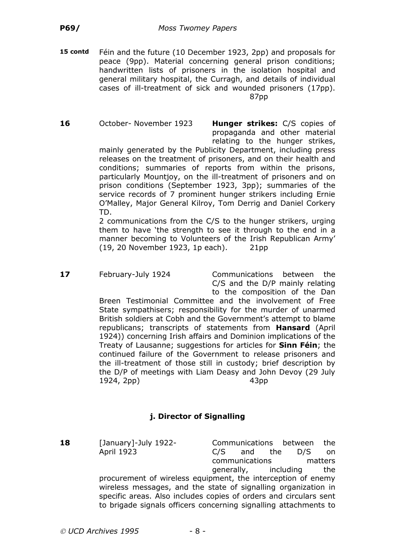**15 contd** Féin and the future (10 December 1923, 2pp) and proposals for peace (9pp). Material concerning general prison conditions; handwritten lists of prisoners in the isolation hospital and general military hospital, the Curragh, and details of individual cases of ill-treatment of sick and wounded prisoners (17pp). 87pp

**16** October- November 1923 **Hunger strikes:** C/S copies of propaganda and other material relating to the hunger strikes, mainly generated by the Publicity Department, including press releases on the treatment of prisoners, and on their health and conditions; summaries of reports from within the prisons, particularly Mountjoy, on the ill-treatment of prisoners and on prison conditions (September 1923, 3pp); summaries of the service records of 7 prominent hunger strikers including Ernie

> TD. 2 communications from the C/S to the hunger strikers, urging them to have 'the strength to see it through to the end in a manner becoming to Volunteers of the Irish Republican Army' (19, 20 November 1923, 1p each). 21pp

O'Malley, Major General Kilroy, Tom Derrig and Daniel Corkery

**17** February-July 1924 Communications between the C/S and the D/P mainly relating to the composition of the Dan

Breen Testimonial Committee and the involvement of Free State sympathisers; responsibility for the murder of unarmed British soldiers at Cobh and the Government's attempt to blame republicans; transcripts of statements from **Hansard** (April 1924)) concerning Irish affairs and Dominion implications of the Treaty of Lausanne; suggestions for articles for **Sinn Féin**; the continued failure of the Government to release prisoners and the ill-treatment of those still in custody; brief description by the D/P of meetings with Liam Deasy and John Devoy (29 July 1924, 2pp) 43pp

# **j. Director of Signalling**

18 [January]-July 1922- Communications between the April 1923 C/S and the D/S on communications matters generally, including the procurement of wireless equipment, the interception of enemy wireless messages, and the state of signalling organization in specific areas. Also includes copies of orders and circulars sent to brigade signals officers concerning signalling attachments to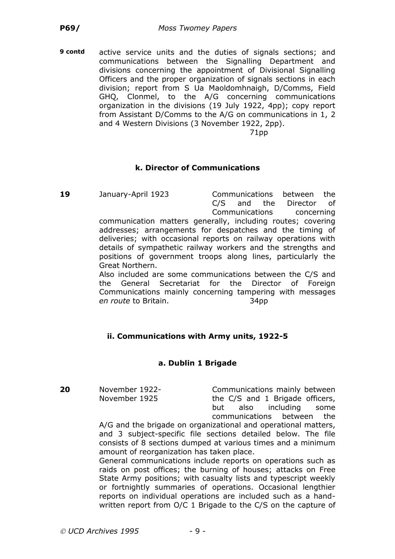**9 contd** active service units and the duties of signals sections; and communications between the Signalling Department and divisions concerning the appointment of Divisional Signalling Officers and the proper organization of signals sections in each division; report from S Ua Maoldomhnaigh, D/Comms, Field GHQ, Clonmel, to the A/G concerning communications organization in the divisions (19 July 1922, 4pp); copy report from Assistant D/Comms to the A/G on communications in 1, 2 and 4 Western Divisions (3 November 1922, 2pp).

71pp

#### **k. Director of Communications**

**19** January-April 1923 Communications between the C/S and the Director of Communications concerning communication matters generally, including routes; covering

addresses; arrangements for despatches and the timing of deliveries; with occasional reports on railway operations with details of sympathetic railway workers and the strengths and positions of government troops along lines, particularly the Great Northern.

Also included are some communications between the C/S and the General Secretariat for the Director of Foreign Communications mainly concerning tampering with messages *en route* to Britain. 34pp

#### **ii. Communications with Army units, 1922-5**

#### **a. Dublin 1 Brigade**

**20** November 1922- Communications mainly between November 1925 the C/S and 1 Brigade officers, but also including some communications between the

A/G and the brigade on organizational and operational matters, and 3 subject-specific file sections detailed below. The file consists of 8 sections dumped at various times and a minimum amount of reorganization has taken place.

General communications include reports on operations such as raids on post offices; the burning of houses; attacks on Free State Army positions; with casualty lists and typescript weekly or fortnightly summaries of operations. Occasional lengthier reports on individual operations are included such as a handwritten report from O/C 1 Brigade to the C/S on the capture of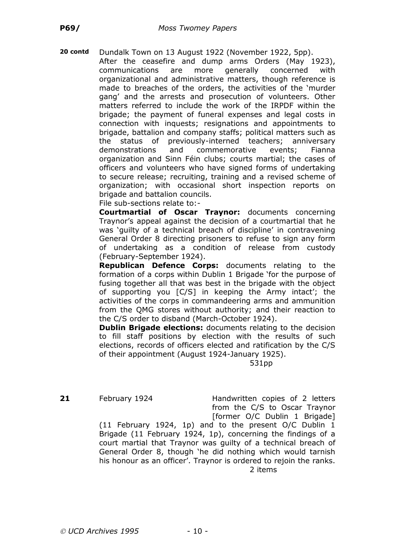**20 contd** Dundalk Town on 13 August 1922 (November 1922, 5pp). After the ceasefire and dump arms Orders (May 1923), communications are more generally concerned with organizational and administrative matters, though reference is made to breaches of the orders, the activities of the 'murder gang' and the arrests and prosecution of volunteers. Other matters referred to include the work of the IRPDF within the brigade; the payment of funeral expenses and legal costs in connection with inquests; resignations and appointments to brigade, battalion and company staffs; political matters such as the status of previously-interned teachers; anniversary demonstrations and commemorative events; Fianna organization and Sinn Féin clubs; courts martial; the cases of officers and volunteers who have signed forms of undertaking to secure release; recruiting, training and a revised scheme of organization; with occasional short inspection reports on brigade and battalion councils.

File sub-sections relate to:-

**Courtmartial of Oscar Traynor:** documents concerning Traynor's appeal against the decision of a courtmartial that he was 'guilty of a technical breach of discipline' in contravening General Order 8 directing prisoners to refuse to sign any form of undertaking as a condition of release from custody (February-September 1924).

**Republican Defence Corps:** documents relating to the formation of a corps within Dublin 1 Brigade 'for the purpose of fusing together all that was best in the brigade with the object of supporting you [C/S] in keeping the Army intact'; the activities of the corps in commandeering arms and ammunition from the QMG stores without authority; and their reaction to the C/S order to disband (March-October 1924).

**Dublin Brigade elections:** documents relating to the decision to fill staff positions by election with the results of such elections, records of officers elected and ratification by the C/S of their appointment (August 1924-January 1925).

531pp

**21** February 1924 Handwritten copies of 2 letters from the C/S to Oscar Traynor [former O/C Dublin 1 Brigade]

(11 February 1924, 1p) and to the present O/C Dublin 1 Brigade (11 February 1924, 1p), concerning the findings of a court martial that Traynor was guilty of a technical breach of General Order 8, though 'he did nothing which would tarnish his honour as an officer'. Traynor is ordered to rejoin the ranks. 2 items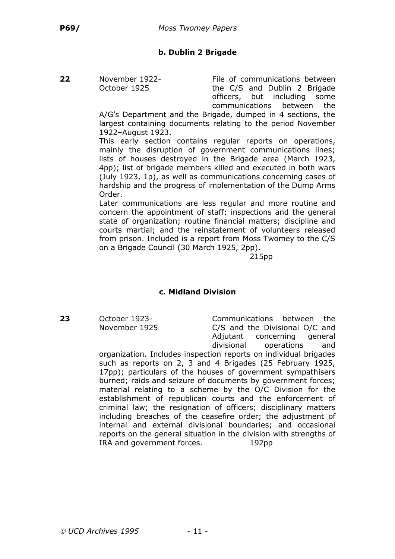# **b. Dublin 2 Brigade**

**22** November 1922- File of communications between October 1925 **the C/S and Dublin 2 Brigade** officers, but including some communications between the

A/G's Department and the Brigade, dumped in 4 sections, the largest containing documents relating to the period November 1922–August 1923.

This early section contains regular reports on operations, mainly the disruption of government communications lines; lists of houses destroyed in the Brigade area (March 1923, 4pp); list of brigade members killed and executed in both wars (July 1923, 1p), as well as communications concerning cases of hardship and the progress of implementation of the Dump Arms Order.

Later communications are less regular and more routine and concern the appointment of staff; inspections and the general state of organization; routine financial matters; discipline and courts martial; and the reinstatement of volunteers released from prison. Included is a report from Moss Twomey to the C/S on a Brigade Council (30 March 1925, 2pp).

215pp

# **c***.* **Midland Division**

**23** October 1923- Communications between the November 1925 C/S and the Divisional O/C and Adjutant concerning general divisional operations and

organization. Includes inspection reports on individual brigades such as reports on 2, 3 and 4 Brigades (25 February 1925, 17pp); particulars of the houses of government sympathisers burned; raids and seizure of documents by government forces; material relating to a scheme by the O/C Division for the establishment of republican courts and the enforcement of criminal law; the resignation of officers; disciplinary matters including breaches of the ceasefire order; the adjustment of internal and external divisional boundaries; and occasional reports on the general situation in the division with strengths of IRA and government forces. 192pp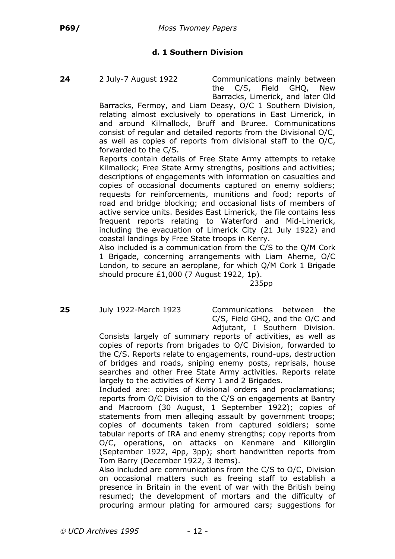# **d. 1 Southern Division**

**24** 2 July-7 August 1922 Communications mainly between the C/S, Field GHQ, New Barracks, Limerick, and later Old

Barracks, Fermoy, and Liam Deasy, O/C 1 Southern Division, relating almost exclusively to operations in East Limerick, in and around Kilmallock, Bruff and Bruree. Communications consist of regular and detailed reports from the Divisional O/C, as well as copies of reports from divisional staff to the O/C, forwarded to the C/S.

Reports contain details of Free State Army attempts to retake Kilmallock; Free State Army strengths, positions and activities; descriptions of engagements with information on casualties and copies of occasional documents captured on enemy soldiers; requests for reinforcements, munitions and food; reports of road and bridge blocking; and occasional lists of members of active service units. Besides East Limerick, the file contains less frequent reports relating to Waterford and Mid-Limerick, including the evacuation of Limerick City (21 July 1922) and coastal landings by Free State troops in Kerry.

Also included is a communication from the C/S to the Q/M Cork 1 Brigade, concerning arrangements with Liam Aherne, O/C London, to secure an aeroplane, for which Q/M Cork 1 Brigade should procure £1,000 (7 August 1922, 1p).

235pp

**25** July 1922-March 1923 Communications between the C/S, Field GHQ, and the O/C and Adjutant, I Southern Division.

Consists largely of summary reports of activities, as well as copies of reports from brigades to O/C Division, forwarded to the C/S. Reports relate to engagements, round-ups, destruction of bridges and roads, sniping enemy posts, reprisals, house searches and other Free State Army activities. Reports relate largely to the activities of Kerry 1 and 2 Brigades.

Included are: copies of divisional orders and proclamations; reports from O/C Division to the C/S on engagements at Bantry and Macroom (30 August, 1 September 1922); copies of statements from men alleging assault by government troops; copies of documents taken from captured soldiers; some tabular reports of IRA and enemy strengths; copy reports from O/C, operations, on attacks on Kenmare and Killorglin (September 1922, 4pp, 3pp); short handwritten reports from Tom Barry (December 1922, 3 items).

Also included are communications from the C/S to O/C, Division on occasional matters such as freeing staff to establish a presence in Britain in the event of war with the British being resumed; the development of mortars and the difficulty of procuring armour plating for armoured cars; suggestions for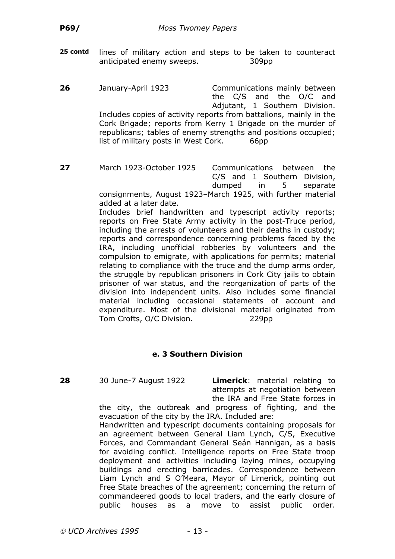- **25 contd** lines of military action and steps to be taken to counteract anticipated enemy sweeps. 309pp
- **26** January-April 1923 Communications mainly between the C/S and the O/C and Adjutant, 1 Southern Division. Includes copies of activity reports from battalions, mainly in the Cork Brigade; reports from Kerry 1 Brigade on the murder of republicans; tables of enemy strengths and positions occupied; list of military posts in West Cork. 66pp
- **27** March 1923-October 1925 Communications between the C/S and 1 Southern Division, dumped in 5 separate consignments, August 1923–March 1925, with further material

added at a later date. Includes brief handwritten and typescript activity reports; reports on Free State Army activity in the post-Truce period, including the arrests of volunteers and their deaths in custody; reports and correspondence concerning problems faced by the IRA, including unofficial robberies by volunteers and the compulsion to emigrate, with applications for permits; material relating to compliance with the truce and the dump arms order, the struggle by republican prisoners in Cork City jails to obtain prisoner of war status, and the reorganization of parts of the division into independent units. Also includes some financial material including occasional statements of account and expenditure. Most of the divisional material originated from Tom Crofts, O/C Division. 229pp

# **e. 3 Southern Division**

**28** 30 June-7 August 1922 **Limerick**: material relating to attempts at negotiation between the IRA and Free State forces in

the city, the outbreak and progress of fighting, and the evacuation of the city by the IRA. Included are:

Handwritten and typescript documents containing proposals for an agreement between General Liam Lynch, C/S, Executive Forces, and Commandant General Seán Hannigan, as a basis for avoiding conflict. Intelligence reports on Free State troop deployment and activities including laying mines, occupying buildings and erecting barricades. Correspondence between Liam Lynch and S O'Meara, Mayor of Limerick, pointing out Free State breaches of the agreement; concerning the return of commandeered goods to local traders, and the early closure of public houses as a move to assist public order.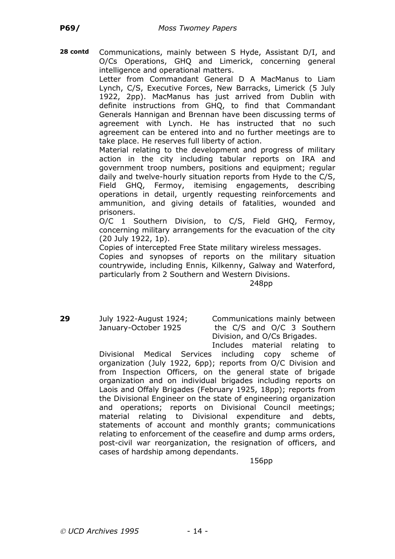**28 contd** Communications, mainly between S Hyde, Assistant D/I, and O/Cs Operations, GHQ and Limerick, concerning general intelligence and operational matters.

Letter from Commandant General D A MacManus to Liam Lynch, C/S, Executive Forces, New Barracks, Limerick (5 July 1922, 2pp). MacManus has just arrived from Dublin with definite instructions from GHQ, to find that Commandant Generals Hannigan and Brennan have been discussing terms of agreement with Lynch. He has instructed that no such agreement can be entered into and no further meetings are to take place. He reserves full liberty of action.

Material relating to the development and progress of military action in the city including tabular reports on IRA and government troop numbers, positions and equipment; regular daily and twelve-hourly situation reports from Hyde to the C/S, Field GHQ, Fermoy, itemising engagements, describing operations in detail, urgently requesting reinforcements and ammunition, and giving details of fatalities, wounded and prisoners.

O/C 1 Southern Division, to C/S, Field GHQ, Fermoy, concerning military arrangements for the evacuation of the city (20 July 1922, 1p).

Copies of intercepted Free State military wireless messages.

Copies and synopses of reports on the military situation countrywide, including Ennis, Kilkenny, Galway and Waterford, particularly from 2 Southern and Western Divisions.

248pp

**29** July 1922-August 1924; Communications mainly between January-October 1925 the C/S and O/C 3 Southern Division, and O/Cs Brigades. Includes material relating to

Divisional Medical Services including copy scheme of organization (July 1922, 6pp); reports from O/C Division and from Inspection Officers, on the general state of brigade organization and on individual brigades including reports on Laois and Offaly Brigades (February 1925, 18pp); reports from the Divisional Engineer on the state of engineering organization and operations; reports on Divisional Council meetings; material relating to Divisional expenditure and debts, statements of account and monthly grants; communications relating to enforcement of the ceasefire and dump arms orders, post-civil war reorganization, the resignation of officers, and cases of hardship among dependants.

156pp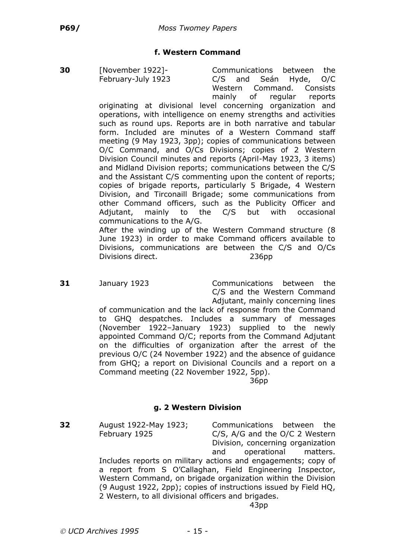### **f. Western Command**

**30** [November 1922]- Communications between the February-July 1923 C/S and Seán Hyde, O/C Western Command. Consists mainly of regular reports

originating at divisional level concerning organization and operations, with intelligence on enemy strengths and activities such as round ups. Reports are in both narrative and tabular form. Included are minutes of a Western Command staff meeting (9 May 1923, 3pp); copies of communications between O/C Command, and O/Cs Divisions; copies of 2 Western Division Council minutes and reports (April-May 1923, 3 items) and Midland Division reports; communications between the C/S and the Assistant C/S commenting upon the content of reports; copies of brigade reports, particularly 5 Brigade, 4 Western Division, and Tirconaill Brigade; some communications from other Command officers, such as the Publicity Officer and Adjutant, mainly to the C/S but with occasional communications to the A/G.

After the winding up of the Western Command structure (8 June 1923) in order to make Command officers available to Divisions, communications are between the C/S and O/Cs Divisions direct. 236pp

**31** January 1923 Communications between the C/S and the Western Command Adjutant, mainly concerning lines of communication and the lack of response from the Command to GHQ despatches. Includes a summary of messages (November 1922–January 1923) supplied to the newly appointed Command O/C; reports from the Command Adjutant on the difficulties of organization after the arrest of the previous O/C (24 November 1922) and the absence of guidance from GHQ; a report on Divisional Councils and a report on a Command meeting (22 November 1922, 5pp).

36pp

#### **g. 2 Western Division**

**32** August 1922-May 1923; Communications between the

February 1925 C/S, A/G and the O/C 2 Western Division, concerning organization and operational matters.

Includes reports on military actions and engagements; copy of a report from S O'Callaghan, Field Engineering Inspector, Western Command, on brigade organization within the Division (9 August 1922, 2pp); copies of instructions issued by Field HQ, 2 Western, to all divisional officers and brigades.

43pp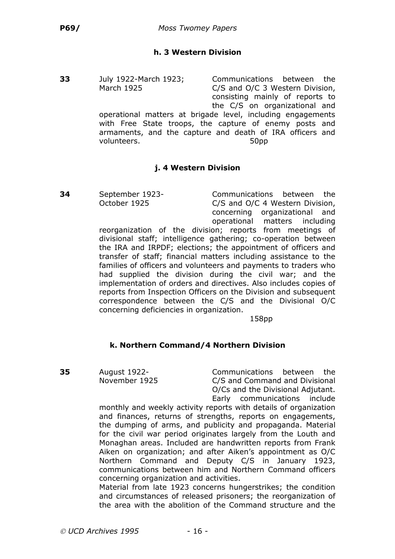# **h. 3 Western Division**

**33** July 1922-March 1923; Communications between the March 1925 C/S and O/C 3 Western Division, consisting mainly of reports to the C/S on organizational and operational matters at brigade level, including engagements with Free State troops, the capture of enemy posts and armaments, and the capture and death of IRA officers and volunteers. 50pp

# **j. 4 Western Division**

**34** September 1923- Communications between the October 1925 C/S and O/C 4 Western Division, concerning organizational and operational matters including

reorganization of the division; reports from meetings of divisional staff; intelligence gathering; co-operation between the IRA and IRPDF; elections; the appointment of officers and transfer of staff; financial matters including assistance to the families of officers and volunteers and payments to traders who had supplied the division during the civil war; and the implementation of orders and directives. Also includes copies of reports from Inspection Officers on the Division and subsequent correspondence between the C/S and the Divisional O/C concerning deficiencies in organization.

158pp

# **k. Northern Command/4 Northern Division**

**35** August 1922- Communications between the November 1925 C/S and Command and Divisional O/Cs and the Divisional Adjutant. Early communications include

monthly and weekly activity reports with details of organization and finances, returns of strengths, reports on engagements, the dumping of arms, and publicity and propaganda. Material for the civil war period originates largely from the Louth and Monaghan areas. Included are handwritten reports from Frank Aiken on organization; and after Aiken's appointment as O/C Northern Command and Deputy C/S in January 1923, communications between him and Northern Command officers concerning organization and activities.

Material from late 1923 concerns hungerstrikes; the condition and circumstances of released prisoners; the reorganization of the area with the abolition of the Command structure and the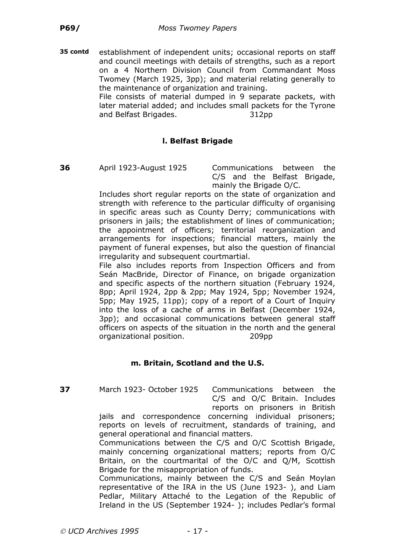**35 contd** establishment of independent units; occasional reports on staff and council meetings with details of strengths, such as a report on a 4 Northern Division Council from Commandant Moss Twomey (March 1925, 3pp); and material relating generally to the maintenance of organization and training.

File consists of material dumped in 9 separate packets, with later material added; and includes small packets for the Tyrone and Belfast Brigades. 312pp

# **l. Belfast Brigade**

**36** April 1923-August 1925 Communications between the C/S and the Belfast Brigade, mainly the Brigade O/C.

Includes short regular reports on the state of organization and strength with reference to the particular difficulty of organising in specific areas such as County Derry; communications with prisoners in jails; the establishment of lines of communication; the appointment of officers; territorial reorganization and arrangements for inspections; financial matters, mainly the payment of funeral expenses, but also the question of financial irregularity and subsequent courtmartial.

File also includes reports from Inspection Officers and from Seán MacBride, Director of Finance, on brigade organization and specific aspects of the northern situation (February 1924, 8pp; April 1924, 2pp & 2pp; May 1924, 5pp; November 1924, 5pp; May 1925, 11pp); copy of a report of a Court of Inquiry into the loss of a cache of arms in Belfast (December 1924, 3pp); and occasional communications between general staff officers on aspects of the situation in the north and the general organizational position. 209pp

# **m. Britain, Scotland and the U.S.**

**37** March 1923- October 1925 Communications between the C/S and O/C Britain. Includes reports on prisoners in British

jails and correspondence concerning individual prisoners; reports on levels of recruitment, standards of training, and general operational and financial matters.

Communications between the C/S and O/C Scottish Brigade, mainly concerning organizational matters; reports from O/C Britain, on the courtmarital of the O/C and Q/M, Scottish Brigade for the misappropriation of funds.

Communications, mainly between the C/S and Seán Moylan representative of the IRA in the US (June 1923- ), and Liam Pedlar, Military Attaché to the Legation of the Republic of Ireland in the US (September 1924- ); includes Pedlar's formal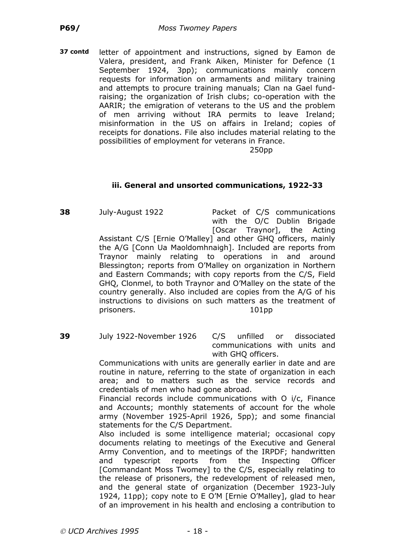**37 contd** letter of appointment and instructions, signed by Eamon de Valera, president, and Frank Aiken, Minister for Defence (1 September 1924, 3pp); communications mainly concern requests for information on armaments and military training and attempts to procure training manuals; Clan na Gael fundraising; the organization of Irish clubs; co-operation with the AARIR; the emigration of veterans to the US and the problem of men arriving without IRA permits to leave Ireland; misinformation in the US on affairs in Ireland; copies of receipts for donations. File also includes material relating to the possibilities of employment for veterans in France.

250pp

### **iii. General and unsorted communications, 1922-33**

**38** July-August 1922 Packet of C/S communications with the O/C Dublin Brigade [Oscar Traynor], the Acting

Assistant C/S [Ernie O'Malley] and other GHQ officers, mainly the A/G [Conn Ua Maoldomhnaigh]. Included are reports from Traynor mainly relating to operations in and around Blessington; reports from O'Malley on organization in Northern and Eastern Commands; with copy reports from the C/S, Field GHQ, Clonmel, to both Traynor and O'Malley on the state of the country generally. Also included are copies from the A/G of his instructions to divisions on such matters as the treatment of prisoners. 101pp

**39** July 1922-November 1926 C/S unfilled or dissociated communications with units and with GHQ officers.

> Communications with units are generally earlier in date and are routine in nature, referring to the state of organization in each area; and to matters such as the service records and credentials of men who had gone abroad.

> Financial records include communications with O i/c, Finance and Accounts; monthly statements of account for the whole army (November 1925-April 1926, 5pp); and some financial statements for the C/S Department.

> Also included is some intelligence material; occasional copy documents relating to meetings of the Executive and General Army Convention, and to meetings of the IRPDF; handwritten and typescript reports from the Inspecting Officer [Commandant Moss Twomey] to the C/S, especially relating to the release of prisoners, the redevelopment of released men, and the general state of organization (December 1923-July 1924, 11pp); copy note to E O'M [Ernie O'Malley], glad to hear of an improvement in his health and enclosing a contribution to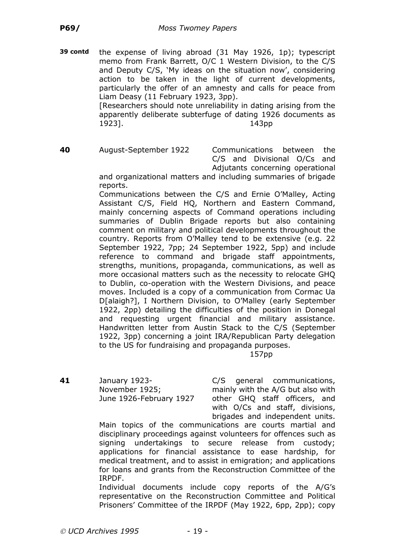**39 contd** the expense of living abroad (31 May 1926, 1p); typescript memo from Frank Barrett, O/C 1 Western Division, to the C/S and Deputy C/S, 'My ideas on the situation now', considering action to be taken in the light of current developments, particularly the offer of an amnesty and calls for peace from Liam Deasy (11 February 1923, 3pp). [Researchers should note unreliability in dating arising from the

apparently deliberate subterfuge of dating 1926 documents as 1923]. 143pp

**40** August-September 1922 Communications between the C/S and Divisional O/Cs and Adjutants concerning operational

and organizational matters and including summaries of brigade reports.

Communications between the C/S and Ernie O'Malley, Acting Assistant C/S, Field HQ, Northern and Eastern Command, mainly concerning aspects of Command operations including summaries of Dublin Brigade reports but also containing comment on military and political developments throughout the country. Reports from O'Malley tend to be extensive (e.g. 22 September 1922, 7pp; 24 September 1922, 5pp) and include reference to command and brigade staff appointments, strengths, munitions, propaganda, communications, as well as more occasional matters such as the necessity to relocate GHQ to Dublin, co-operation with the Western Divisions, and peace moves. Included is a copy of a communication from Cormac Ua D[alaigh?], I Northern Division, to O'Malley (early September 1922, 2pp) detailing the difficulties of the position in Donegal and requesting urgent financial and military assistance. Handwritten letter from Austin Stack to the C/S (September 1922, 3pp) concerning a joint IRA/Republican Party delegation to the US for fundraising and propaganda purposes.

157pp

**41** January 1923- C/S general communications, November 1925; mainly with the A/G but also with June 1926-February 1927 other GHQ staff officers, and with O/Cs and staff, divisions, brigades and independent units.

Main topics of the communications are courts martial and disciplinary proceedings against volunteers for offences such as signing undertakings to secure release from custody; applications for financial assistance to ease hardship, for medical treatment, and to assist in emigration; and applications for loans and grants from the Reconstruction Committee of the IRPDF.

Individual documents include copy reports of the A/G's representative on the Reconstruction Committee and Political Prisoners' Committee of the IRPDF (May 1922, 6pp, 2pp); copy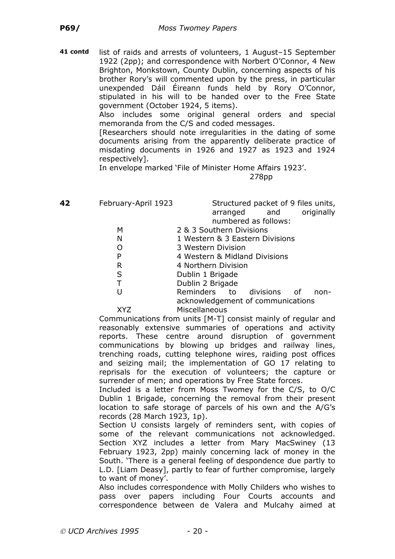**41 contd** list of raids and arrests of volunteers, 1 August–15 September 1922 (2pp); and correspondence with Norbert O'Connor, 4 New Brighton, Monkstown, County Dublin, concerning aspects of his brother Rory's will commented upon by the press, in particular unexpended Dáil Éireann funds held by Rory O'Connor, stipulated in his will to be handed over to the Free State government (October 1924, 5 items).

> Also includes some original general orders and special memoranda from the C/S and coded messages.

> [Researchers should note irregularities in the dating of some documents arising from the apparently deliberate practice of misdating documents in 1926 and 1927 as 1923 and 1924 respectively].

In envelope marked 'File of Minister Home Affairs 1923'.

278pp

**42** February-April 1923 Structured packet of 9 files units, arranged and originally numbered as follows:

- M 2 & 3 Southern Divisions
- N 1 Western & 3 Fastern Divisions
- O 3 Western Division
- P 4 Western & Midland Divisions
- R 4 Northern Division
- S Dublin 1 Brigade
- T Dublin 2 Brigade
- U Reminders to divisions of nonacknowledgement of communications XYZ Miscellaneous

Communications from units [M-T] consist mainly of regular and reasonably extensive summaries of operations and activity reports. These centre around disruption of government communications by blowing up bridges and railway lines, trenching roads, cutting telephone wires, raiding post offices and seizing mail; the implementation of GO 17 relating to reprisals for the execution of volunteers; the capture or surrender of men; and operations by Free State forces.

Included is a letter from Moss Twomey for the C/S, to O/C Dublin 1 Brigade, concerning the removal from their present location to safe storage of parcels of his own and the A/G's records (28 March 1923, 1p).

Section U consists largely of reminders sent, with copies of some of the relevant communications not acknowledged. Section XYZ includes a letter from Mary MacSwiney (13 February 1923, 2pp) mainly concerning lack of money in the South. 'There is a general feeling of despondence due partly to L.D. [Liam Deasy], partly to fear of further compromise, largely to want of money'.

Also includes correspondence with Molly Childers who wishes to pass over papers including Four Courts accounts and correspondence between de Valera and Mulcahy aimed at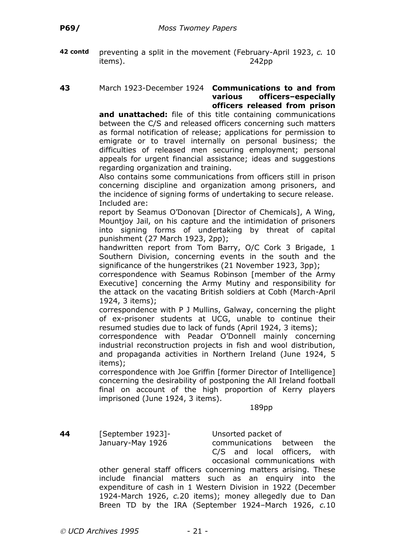**42 contd** preventing a split in the movement (February-April 1923, *c.* 10 items). 242pp

#### **43** March 1923-December 1924 **Communications to and from various officers–especially officers released from prison**

**and unattached:** file of this title containing communications between the C/S and released officers concerning such matters as formal notification of release; applications for permission to emigrate or to travel internally on personal business; the difficulties of released men securing employment; personal appeals for urgent financial assistance; ideas and suggestions regarding organization and training.

Also contains some communications from officers still in prison concerning discipline and organization among prisoners, and the incidence of signing forms of undertaking to secure release. Included are:

report by Seamus O'Donovan [Director of Chemicals], A Wing, Mountjoy Jail, on his capture and the intimidation of prisoners into signing forms of undertaking by threat of capital punishment (27 March 1923, 2pp);

handwritten report from Tom Barry, O/C Cork 3 Brigade, 1 Southern Division, concerning events in the south and the significance of the hungerstrikes (21 November 1923, 3pp);

correspondence with Seamus Robinson [member of the Army Executive] concerning the Army Mutiny and responsibility for the attack on the vacating British soldiers at Cobh (March-April 1924, 3 items);

correspondence with P J Mullins, Galway, concerning the plight of ex-prisoner students at UCG, unable to continue their resumed studies due to lack of funds (April 1924, 3 items);

correspondence with Peadar O'Donnell mainly concerning industrial reconstruction projects in fish and wool distribution, and propaganda activities in Northern Ireland (June 1924, 5 items);

correspondence with Joe Griffin [former Director of Intelligence] concerning the desirability of postponing the All Ireland football final on account of the high proportion of Kerry players imprisoned (June 1924, 3 items).

189pp

**44** [September 1923]- Unsorted packet of January-May 1926 communications between the C/S and local officers, with occasional communications with

other general staff officers concerning matters arising. These include financial matters such as an enquiry into the expenditure of cash in 1 Western Division in 1922 (December 1924-March 1926, *c.*20 items); money allegedly due to Dan Breen TD by the IRA (September 1924–March 1926, *c.*10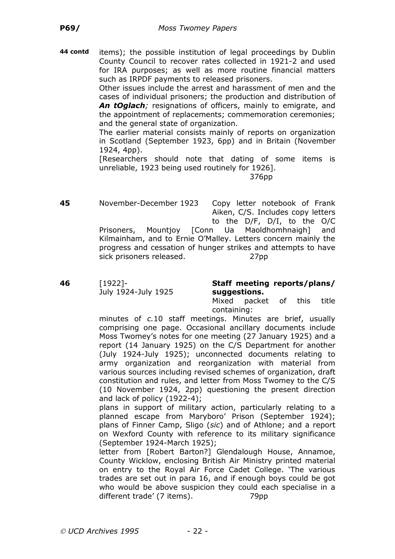**44 contd** items); the possible institution of legal proceedings by Dublin County Council to recover rates collected in 1921-2 and used for IRA purposes; as well as more routine financial matters such as IRPDF payments to released prisoners.

> Other issues include the arrest and harassment of men and the cases of individual prisoners; the production and distribution of *An tOglach;* resignations of officers, mainly to emigrate, and the appointment of replacements; commemoration ceremonies; and the general state of organization.

> The earlier material consists mainly of reports on organization in Scotland (September 1923, 6pp) and in Britain (November 1924, 4pp).

> [Researchers should note that dating of some items is unreliable, 1923 being used routinely for 1926].

376pp

**45** November-December 1923 Copy letter notebook of Frank Aiken, C/S. Includes copy letters to the D/F, D/I, to the O/C Prisoners, Mountjoy [Conn Ua Maoldhomhnaigh] and Kilmainham, and to Ernie O'Malley. Letters concern mainly the progress and cessation of hunger strikes and attempts to have sick prisoners released. 27pp

**46** [1922]- **Staff meeting reports/plans/** July 1924-July 1925 **suggestions.**

Mixed packet of this title containing:

minutes of *c.*10 staff meetings. Minutes are brief, usually comprising one page. Occasional ancillary documents include Moss Twomey's notes for one meeting (27 January 1925) and a report (14 January 1925) on the C/S Department for another (July 1924-July 1925); unconnected documents relating to army organization and reorganization with material from various sources including revised schemes of organization, draft constitution and rules, and letter from Moss Twomey to the C/S (10 November 1924, 2pp) questioning the present direction and lack of policy (1922-4);

plans in support of military action, particularly relating to a planned escape from Maryboro' Prison (September 1924); plans of Finner Camp, Sligo (*sic*) and of Athlone; and a report on Wexford County with reference to its military significance (September 1924-March 1925);

letter from [Robert Barton?] Glendalough House, Annamoe, County Wicklow, enclosing British Air Ministry printed material on entry to the Royal Air Force Cadet College. 'The various trades are set out in para 16, and if enough boys could be got who would be above suspicion they could each specialise in a different trade' (7 items). 79pp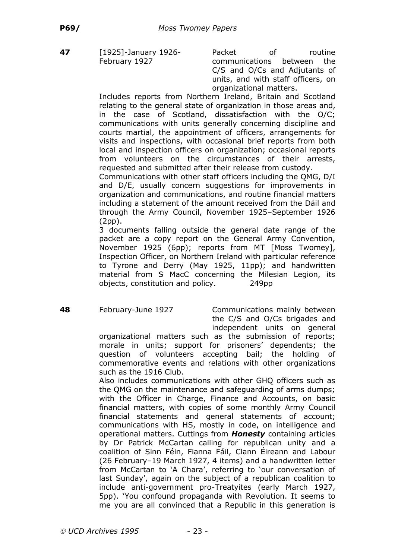**47** [1925]-January 1926- Packet of routine February 1927 communications between the C/S and O/Cs and Adjutants of units, and with staff officers, on organizational matters.

Includes reports from Northern Ireland, Britain and Scotland relating to the general state of organization in those areas and, in the case of Scotland, dissatisfaction with the O/C; communications with units generally concerning discipline and courts martial, the appointment of officers, arrangements for visits and inspections, with occasional brief reports from both local and inspection officers on organization; occasional reports from volunteers on the circumstances of their arrests, requested and submitted after their release from custody.

Communications with other staff officers including the QMG, D/I and D/E, usually concern suggestions for improvements in organization and communications, and routine financial matters including a statement of the amount received from the Dáil and through the Army Council, November 1925–September 1926 (2pp).

3 documents falling outside the general date range of the packet are a copy report on the General Army Convention, November 1925 (6pp); reports from MT [Moss Twomey], Inspection Officer, on Northern Ireland with particular reference to Tyrone and Derry (May 1925, 11pp); and handwritten material from S MacC concerning the Milesian Legion, its objects, constitution and policy. 249pp

**48** February-June 1927 Communications mainly between the C/S and O/Cs brigades and independent units on general

organizational matters such as the submission of reports; morale in units; support for prisoners' dependents; the question of volunteers accepting bail; the holding of commemorative events and relations with other organizations such as the 1916 Club.

Also includes communications with other GHQ officers such as the QMG on the maintenance and safeguarding of arms dumps; with the Officer in Charge, Finance and Accounts, on basic financial matters, with copies of some monthly Army Council financial statements and general statements of account; communications with HS, mostly in code, on intelligence and operational matters. Cuttings from *Honesty* containing articles by Dr Patrick McCartan calling for republican unity and a coalition of Sinn Féin, Fianna Fáil, Clann Éireann and Labour (26 February–19 March 1927, 4 items) and a handwritten letter from McCartan to 'A Chara', referring to 'our conversation of last Sunday', again on the subject of a republican coalition to include anti-government pro-Treatyites (early March 1927, 5pp). 'You confound propaganda with Revolution. It seems to me you are all convinced that a Republic in this generation is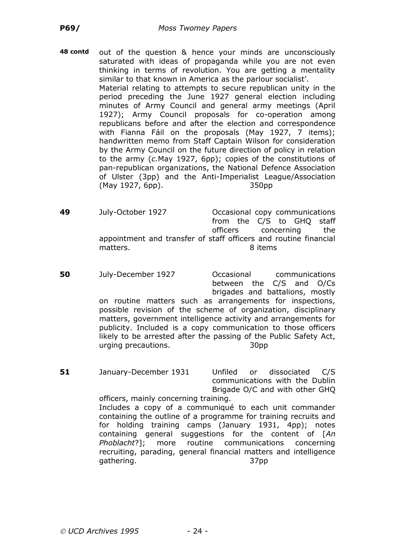- **48 contd** out of the question & hence your minds are unconsciously saturated with ideas of propaganda while you are not even thinking in terms of revolution. You are getting a mentality similar to that known in America as the parlour socialist'. Material relating to attempts to secure republican unity in the period preceding the June 1927 general election including minutes of Army Council and general army meetings (April 1927); Army Council proposals for co-operation among republicans before and after the election and correspondence with Fianna Fáil on the proposals (May 1927, 7 items); handwritten memo from Staff Captain Wilson for consideration by the Army Council on the future direction of policy in relation to the army (*c.*May 1927, 6pp); copies of the constitutions of pan-republican organizations, the National Defence Association of Ulster (3pp) and the Anti-Imperialist League/Association (May 1927, 6pp). 350pp
- **49** July-October 1927 Occasional copy communications from the C/S to GHQ staff officers concerning the appointment and transfer of staff officers and routine financial matters. 8 items
- **50** July-December 1927 Occasional communications between the C/S and O/Cs brigades and battalions, mostly on routine matters such as arrangements for inspections, possible revision of the scheme of organization, disciplinary matters, government intelligence activity and arrangements for publicity. Included is a copy communication to those officers likely to be arrested after the passing of the Public Safety Act, urging precautions. 30pp
- **51** January-December 1931 Unfiled or dissociated C/S communications with the Dublin Brigade O/C and with other GHQ

officers, mainly concerning training. Includes a copy of a communiqué to each unit commander containing the outline of a programme for training recruits and for holding training camps (January 1931, 4pp); notes containing general suggestions for the content of [*An Phoblacht*?]; more routine communications concerning recruiting, parading, general financial matters and intelligence gathering. 37pp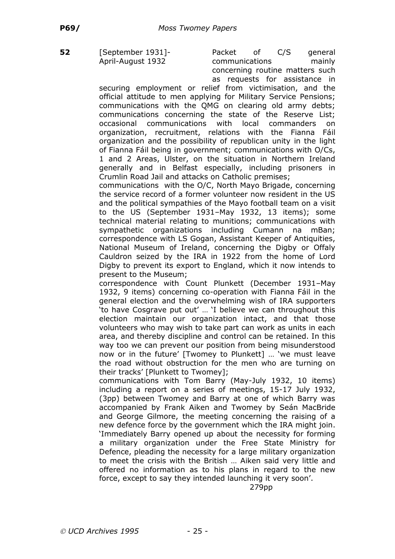**52** [September 1931]- Packet of C/S general April-August 1932 communications mainly concerning routine matters such as requests for assistance in

securing employment or relief from victimisation, and the official attitude to men applying for Military Service Pensions; communications with the QMG on clearing old army debts; communications concerning the state of the Reserve List; occasional communications with local commanders on organization, recruitment, relations with the Fianna Fáil organization and the possibility of republican unity in the light of Fianna Fáil being in government; communications with O/Cs, 1 and 2 Areas, Ulster, on the situation in Northern Ireland generally and in Belfast especially, including prisoners in Crumlin Road Jail and attacks on Catholic premises;

communications with the O/C, North Mayo Brigade, concerning the service record of a former volunteer now resident in the US and the political sympathies of the Mayo football team on a visit to the US (September 1931–May 1932, 13 items); some technical material relating to munitions; communications with sympathetic organizations including Cumann na mBan; correspondence with LS Gogan, Assistant Keeper of Antiquities, National Museum of Ireland, concerning the Digby or Offaly Cauldron seized by the IRA in 1922 from the home of Lord Digby to prevent its export to England, which it now intends to present to the Museum;

correspondence with Count Plunkett (December 1931–May 1932, 9 items) concerning co-operation with Fianna Fáil in the general election and the overwhelming wish of IRA supporters 'to have Cosgrave put out' … 'I believe we can throughout this election maintain our organization intact, and that those volunteers who may wish to take part can work as units in each area, and thereby discipline and control can be retained. In this way too we can prevent our position from being misunderstood now or in the future' [Twomey to Plunkett] … 'we must leave the road without obstruction for the men who are turning on their tracks' [Plunkett to Twomey];

communications with Tom Barry (May-July 1932, 10 items) including a report on a series of meetings, 15-17 July 1932, (3pp) between Twomey and Barry at one of which Barry was accompanied by Frank Aiken and Twomey by Seán MacBride and George Gilmore, the meeting concerning the raising of a new defence force by the government which the IRA might join. 'Immediately Barry opened up about the necessity for forming a military organization under the Free State Ministry for Defence, pleading the necessity for a large military organization to meet the crisis with the British … Aiken said very little and offered no information as to his plans in regard to the new force, except to say they intended launching it very soon'.

279pp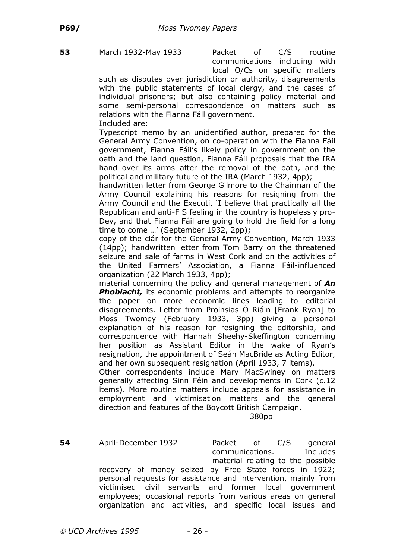**53** March 1932-May 1933 Packet of C/S routine communications including with local O/Cs on specific matters

such as disputes over jurisdiction or authority, disagreements with the public statements of local clergy, and the cases of individual prisoners; but also containing policy material and some semi-personal correspondence on matters such as relations with the Fianna Fáil government. Included are:

Typescript memo by an unidentified author, prepared for the General Army Convention, on co-operation with the Fianna Fáil government, Fianna Fáil's likely policy in government on the oath and the land question, Fianna Fáil proposals that the IRA hand over its arms after the removal of the oath, and the political and military future of the IRA (March 1932, 4pp);

handwritten letter from George Gilmore to the Chairman of the Army Council explaining his reasons for resigning from the Army Council and the Executi. 'I believe that practically all the Republican and anti-F S feeling in the country is hopelessly pro-Dev, and that Fianna Fáil are going to hold the field for a long time to come …' (September 1932, 2pp);

copy of the clár for the General Army Convention, March 1933 (14pp); handwritten letter from Tom Barry on the threatened seizure and sale of farms in West Cork and on the activities of the United Farmers' Association, a Fianna Fáil-influenced organization (22 March 1933, 4pp);

material concerning the policy and general management of *An* **Phoblacht**, its economic problems and attempts to reorganize the paper on more economic lines leading to editorial disagreements. Letter from Proinsias Ó Riáin [Frank Ryan] to Moss Twomey (February 1933, 3pp) giving a personal explanation of his reason for resigning the editorship, and correspondence with Hannah Sheehy-Skeffington concerning her position as Assistant Editor in the wake of Ryan's resignation, the appointment of Seán MacBride as Acting Editor, and her own subsequent resignation (April 1933, 7 items).

Other correspondents include Mary MacSwiney on matters generally affecting Sinn Féin and developments in Cork (*c.*12 items). More routine matters include appeals for assistance in employment and victimisation matters and the general direction and features of the Boycott British Campaign.

380pp

**54** April-December 1932 Packet of C/S general communications. Includes material relating to the possible recovery of money seized by Free State forces in 1922; personal requests for assistance and intervention, mainly from victimised civil servants and former local government employees; occasional reports from various areas on general organization and activities, and specific local issues and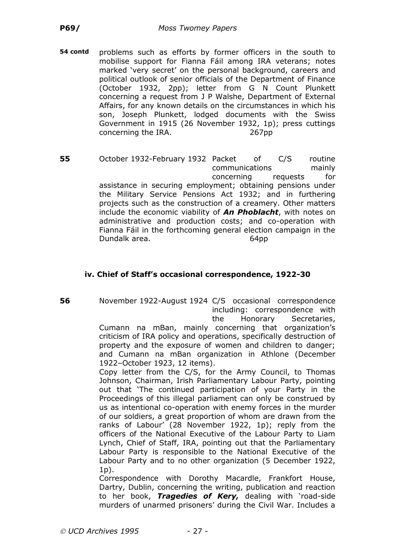**54 contd** problems such as efforts by former officers in the south to mobilise support for Fianna Fáil among IRA veterans; notes marked 'very secret' on the personal background, careers and political outlook of senior officials of the Department of Finance (October 1932, 2pp); letter from G N Count Plunkett concerning a request from J P Walshe, Department of External Affairs, for any known details on the circumstances in which his son, Joseph Plunkett, lodged documents with the Swiss Government in 1915 (26 November 1932, 1p); press cuttings concerning the IRA. 267pp

**55** October 1932-February 1932 Packet of C/S routine communications mainly concerning requests for assistance in securing employment; obtaining pensions under the Military Service Pensions Act 1932; and in furthering projects such as the construction of a creamery. Other matters include the economic viability of *An Phoblacht*, with notes on administrative and production costs; and co-operation with Fianna Fáil in the forthcoming general election campaign in the Dundalk area. 64pp

## **iv. Chief of Staff's occasional correspondence, 1922-30**

**56** November 1922-August 1924 C/S occasional correspondence including: correspondence with the Honorary Secretaries,

Cumann na mBan, mainly concerning that organization's criticism of IRA policy and operations, specifically destruction of property and the exposure of women and children to danger; and Cumann na mBan organization in Athlone (December 1922–October 1923, 12 items).

Copy letter from the C/S, for the Army Council, to Thomas Johnson, Chairman, Irish Parliamentary Labour Party, pointing out that 'The continued participation of your Party in the Proceedings of this illegal parliament can only be construed by us as intentional co-operation with enemy forces in the murder of our soldiers, a great proportion of whom are drawn from the ranks of Labour' (28 November 1922, 1p); reply from the officers of the National Executive of the Labour Party to Liam Lynch, Chief of Staff, IRA, pointing out that the Parliamentary Labour Party is responsible to the National Executive of the Labour Party and to no other organization (5 December 1922,  $1<sub>p</sub>$ .

Correspondence with Dorothy Macardle, Frankfort House, Dartry, Dublin, concerning the writing, publication and reaction to her book, *Tragedies of Kery,* dealing with 'road-side murders of unarmed prisoners' during the Civil War. Includes a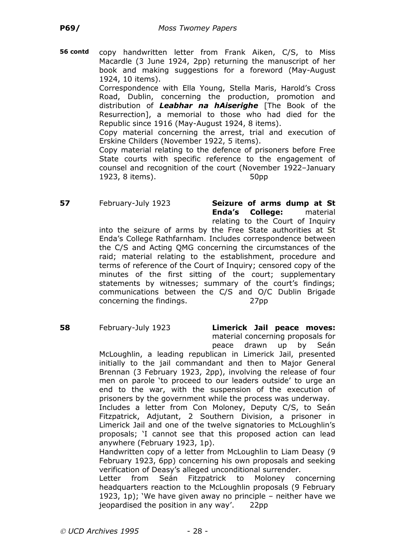**56 contd** copy handwritten letter from Frank Aiken, C/S, to Miss Macardle (3 June 1924, 2pp) returning the manuscript of her book and making suggestions for a foreword (May-August 1924, 10 items).

> Correspondence with Ella Young, Stella Maris, Harold's Cross Road, Dublin, concerning the production, promotion and distribution of *Leabhar na hAiserighe* [The Book of the Resurrection], a memorial to those who had died for the Republic since 1916 (May-August 1924, 8 items).

> Copy material concerning the arrest, trial and execution of Erskine Childers (November 1922, 5 items).

> Copy material relating to the defence of prisoners before Free State courts with specific reference to the engagement of counsel and recognition of the court (November 1922–January 1923, 8 items). 50pp

**57** February-July 1923 **Seizure of arms dump at St Enda's College:** material relating to the Court of Inquiry

into the seizure of arms by the Free State authorities at St Enda's College Rathfarnham. Includes correspondence between the C/S and Acting QMG concerning the circumstances of the raid; material relating to the establishment, procedure and terms of reference of the Court of Inquiry; censored copy of the minutes of the first sitting of the court; supplementary statements by witnesses; summary of the court's findings; communications between the C/S and O/C Dublin Brigade concerning the findings. 27pp

**58** February-July 1923 **Limerick Jail peace moves:** material concerning proposals for peace drawn up by Seán

McLoughlin, a leading republican in Limerick Jail, presented initially to the jail commandant and then to Major General Brennan (3 February 1923, 2pp), involving the release of four men on parole 'to proceed to our leaders outside' to urge an end to the war, with the suspension of the execution of prisoners by the government while the process was underway.

Includes a letter from Con Moloney, Deputy C/S, to Seán Fitzpatrick, Adjutant, 2 Southern Division, a prisoner in Limerick Jail and one of the twelve signatories to McLoughlin's proposals; 'I cannot see that this proposed action can lead anywhere (February 1923, 1p).

Handwritten copy of a letter from McLoughlin to Liam Deasy (9 February 1923, 6pp) concerning his own proposals and seeking verification of Deasy's alleged unconditional surrender.

Letter from Seán Fitzpatrick to Moloney concerning headquarters reaction to the McLoughlin proposals (9 February 1923, 1p); 'We have given away no principle – neither have we jeopardised the position in any way'. 22pp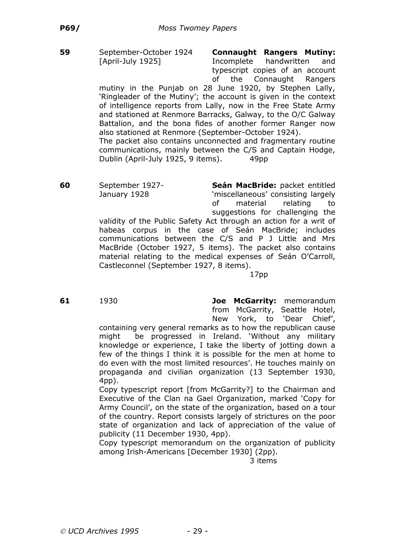**59** September-October 1924 **Connaught Rangers Mutiny:** [April-July 1925] Incomplete handwritten and typescript copies of an account of the Connaught Rangers

mutiny in the Punjab on 28 June 1920, by Stephen Lally, 'Ringleader of the Mutiny'; the account is given in the context of intelligence reports from Lally, now in the Free State Army and stationed at Renmore Barracks, Galway, to the O/C Galway Battalion, and the bona fides of another former Ranger now also stationed at Renmore (September-October 1924). The packet also contains unconnected and fragmentary routine

communications, mainly between the C/S and Captain Hodge, Dublin (April-July 1925, 9 items). 49pp

**60** September 1927- **Seán MacBride:** packet entitled January 1928 'miscellaneous' consisting largely of material relating to suggestions for challenging the validity of the Public Safety Act through an action for a writ of habeas corpus in the case of Seán MacBride; includes communications between the C/S and P J Little and Mrs MacBride (October 1927, 5 items). The packet also contains material relating to the medical expenses of Seán O'Carroll,

> Castleconnel (September 1927, 8 items). 17pp

**61** 1930 **Joe McGarrity:** memorandum from McGarrity, Seattle Hotel, New York, to 'Dear Chief',

containing very general remarks as to how the republican cause might be progressed in Ireland. 'Without any military knowledge or experience, I take the liberty of jotting down a few of the things I think it is possible for the men at home to do even with the most limited resources'. He touches mainly on propaganda and civilian organization (13 September 1930, 4pp).

Copy typescript report [from McGarrity?] to the Chairman and Executive of the Clan na Gael Organization, marked 'Copy for Army Council', on the state of the organization, based on a tour of the country. Report consists largely of strictures on the poor state of organization and lack of appreciation of the value of publicity (11 December 1930, 4pp).

Copy typescript memorandum on the organization of publicity among Irish-Americans [December 1930] (2pp).

3 items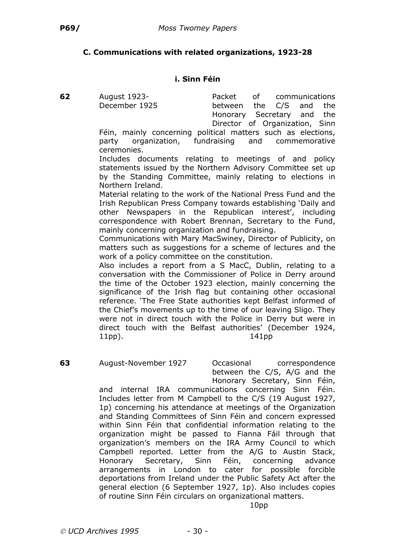## **C. Communications with related organizations, 1923-28**

#### **i. Sinn Féin**

**62** August 1923- Packet of communications December 1925 between the C/S and the Honorary Secretary and the Director of Organization, Sinn

Féin, mainly concerning political matters such as elections, party organization, fundraising and commemorative ceremonies.

Includes documents relating to meetings of and policy statements issued by the Northern Advisory Committee set up by the Standing Committee, mainly relating to elections in Northern Ireland.

Material relating to the work of the National Press Fund and the Irish Republican Press Company towards establishing 'Daily and other Newspapers in the Republican interest', including correspondence with Robert Brennan, Secretary to the Fund, mainly concerning organization and fundraising.

Communications with Mary MacSwiney, Director of Publicity, on matters such as suggestions for a scheme of lectures and the work of a policy committee on the constitution.

Also includes a report from a S MacC, Dublin, relating to a conversation with the Commissioner of Police in Derry around the time of the October 1923 election, mainly concerning the significance of the Irish flag but containing other occasional reference. 'The Free State authorities kept Belfast informed of the Chief's movements up to the time of our leaving Sligo. They were not in direct touch with the Police in Derry but were in direct touch with the Belfast authorities' (December 1924, 11pp). 141pp

**63** August-November 1927 Occasional correspondence between the C/S, A/G and the Honorary Secretary, Sinn Féin,

and internal IRA communications concerning Sinn Féin. Includes letter from M Campbell to the C/S (19 August 1927, 1p) concerning his attendance at meetings of the Organization and Standing Committees of Sinn Féin and concern expressed within Sinn Féin that confidential information relating to the organization might be passed to Fianna Fáil through that organization's members on the IRA Army Council to which Campbell reported. Letter from the A/G to Austin Stack, Honorary Secretary, Sinn Féin, concerning advance arrangements in London to cater for possible forcible deportations from Ireland under the Public Safety Act after the general election (6 September 1927, 1p). Also includes copies of routine Sinn Féin circulars on organizational matters.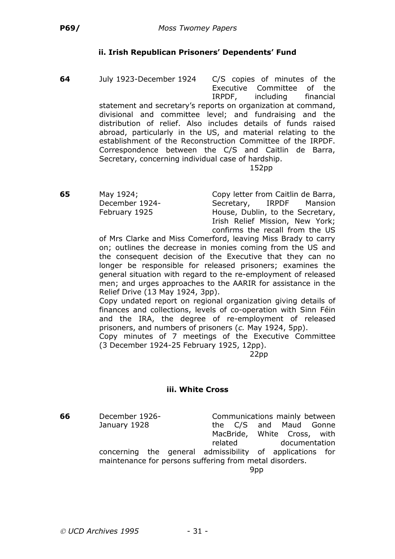# **ii. Irish Republican Prisoners' Dependents' Fund**

**64** July 1923-December 1924 C/S copies of minutes of the Executive Committee of the IRPDF, including financial statement and secretary's reports on organization at command, divisional and committee level; and fundraising and the distribution of relief. Also includes details of funds raised abroad, particularly in the US, and material relating to the establishment of the Reconstruction Committee of the IRPDF. Correspondence between the C/S and Caitlin de Barra, Secretary, concerning individual case of hardship.

#### 152pp

**65** May 1924; Copy letter from Caitlin de Barra, December 1924- Secretary, IRPDF Mansion February 1925 House, Dublin, to the Secretary, Irish Relief Mission, New York; confirms the recall from the US

of Mrs Clarke and Miss Comerford, leaving Miss Brady to carry on; outlines the decrease in monies coming from the US and the consequent decision of the Executive that they can no longer be responsible for released prisoners; examines the general situation with regard to the re-employment of released men; and urges approaches to the AARIR for assistance in the Relief Drive (13 May 1924, 3pp).

Copy undated report on regional organization giving details of finances and collections, levels of co-operation with Sinn Féin and the IRA, the degree of re-employment of released prisoners, and numbers of prisoners (*c.* May 1924, 5pp).

Copy minutes of 7 meetings of the Executive Committee (3 December 1924-25 February 1925, 12pp).

22pp

## **iii. White Cross**

**66** December 1926- Communications mainly between January 1928 **the C/S** and Maud Gonne MacBride, White Cross, with related documentation

concerning the general admissibility of applications for maintenance for persons suffering from metal disorders.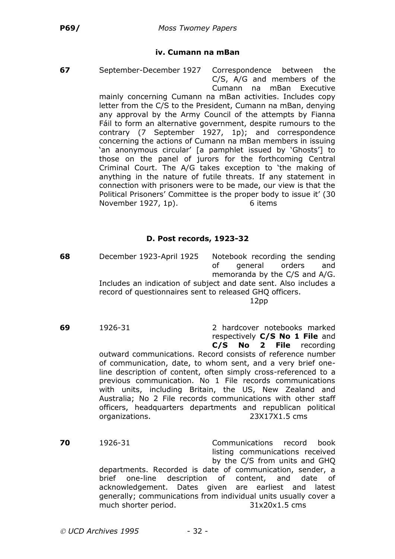#### **iv. Cumann na mBan**

**67** September-December 1927 Correspondence between the

C/S, A/G and members of the Cumann na mBan Executive mainly concerning Cumann na mBan activities. Includes copy letter from the C/S to the President, Cumann na mBan, denying any approval by the Army Council of the attempts by Fianna Fáil to form an alternative government, despite rumours to the contrary (7 September 1927, 1p); and correspondence concerning the actions of Cumann na mBan members in issuing 'an anonymous circular' [a pamphlet issued by 'Ghosts'] to those on the panel of jurors for the forthcoming Central Criminal Court. The A/G takes exception to 'the making of anything in the nature of futile threats. If any statement in connection with prisoners were to be made, our view is that the Political Prisoners' Committee is the proper body to issue it' (30 November 1927, 1p). 6 items

#### **D. Post records, 1923-32**

**68** December 1923-April 1925 Notebook recording the sending of general orders and memoranda by the C/S and A/G. Includes an indication of subject and date sent. Also includes a record of questionnaires sent to released GHQ officers. 12pp

**69** 1926-31 2 hardcover notebooks marked respectively **C/S No 1 File** and **C/S No 2 File** recording outward communications. Record consists of reference number of communication, date, to whom sent, and a very brief oneline description of content, often simply cross-referenced to a previous communication. No 1 File records communications with units, including Britain, the US, New Zealand and Australia; No 2 File records communications with other staff officers, headquarters departments and republican political organizations. 23X17X1.5 cms

**70** 1926-31 Communications record book listing communications received by the C/S from units and GHQ departments. Recorded is date of communication, sender, a brief one-line description of content, and date of acknowledgement. Dates given are earliest and latest generally; communications from individual units usually cover a much shorter period. 31x20x1.5 cms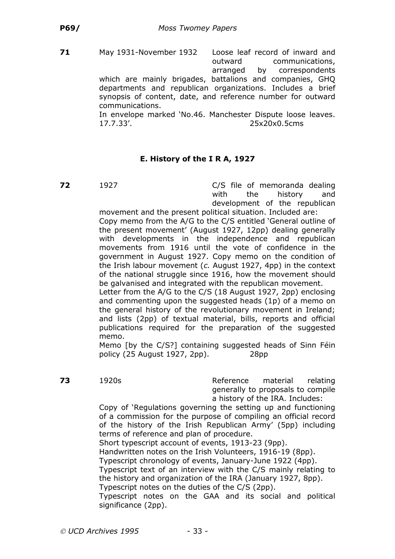**71** May 1931-November 1932 Loose leaf record of inward and outward communications, arranged by correspondents which are mainly brigades, battalions and companies, GHQ departments and republican organizations. Includes a brief synopsis of content, date, and reference number for outward communications. In envelope marked 'No.46. Manchester Dispute loose leaves.

17.7.33'. 25x20x0.5cms

# **E. History of the I R A, 1927**

**72** 1927 **C/S** file of memoranda dealing with the history and development of the republican

movement and the present political situation. Included are: Copy memo from the A/G to the C/S entitled 'General outline of the present movement' (August 1927, 12pp) dealing generally with developments in the independence and republican movements from 1916 until the vote of confidence in the government in August 1927. Copy memo on the condition of the Irish labour movement (*c.* August 1927, 4pp) in the context of the national struggle since 1916, how the movement should be galvanised and integrated with the republican movement.

Letter from the A/G to the C/S (18 August 1927, 2pp) enclosing and commenting upon the suggested heads (1p) of a memo on the general history of the revolutionary movement in Ireland; and lists (2pp) of textual material, bills, reports and official publications required for the preparation of the suggested memo.

Memo [by the C/S?] containing suggested heads of Sinn Féin policy (25 August 1927, 2pp). 28pp

**73** 1920s **Reference** material relating generally to proposals to compile a history of the IRA. Includes:

Copy of 'Regulations governing the setting up and functioning of a commission for the purpose of compiling an official record of the history of the Irish Republican Army' (5pp) including terms of reference and plan of procedure.

Short typescript account of events, 1913-23 (9pp).

Handwritten notes on the Irish Volunteers, 1916-19 (8pp).

Typescript chronology of events, January-June 1922 (4pp).

Typescript text of an interview with the C/S mainly relating to the history and organization of the IRA (January 1927, 8pp).

Typescript notes on the duties of the C/S (2pp).

Typescript notes on the GAA and its social and political significance (2pp).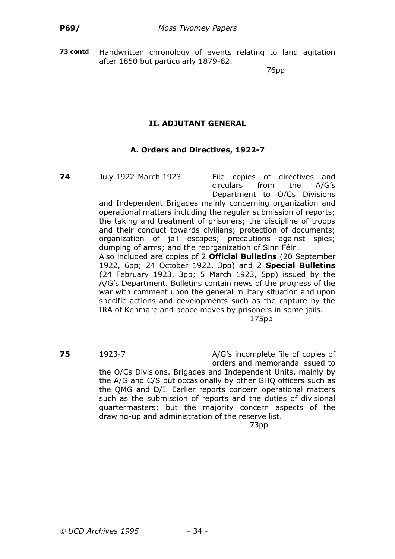**73 contd** Handwritten chronology of events relating to land agitation after 1850 but particularly 1879-82.

76pp

# **II. ADJUTANT GENERAL**

## **A. Orders and Directives, 1922-7**

**74** July 1922-March 1923 File copies of directives and circulars from the A/G's Department to O/Cs Divisions

and Independent Brigades mainly concerning organization and operational matters including the regular submission of reports; the taking and treatment of prisoners; the discipline of troops and their conduct towards civilians; protection of documents; organization of jail escapes; precautions against spies; dumping of arms; and the reorganization of Sinn Féin. Also included are copies of 2 **Official Bulletins** (20 September

1922, 6pp; 24 October 1922, 3pp) and 2 **Special Bulletins** (24 February 1923, 3pp; 5 March 1923, 5pp) issued by the A/G's Department. Bulletins contain news of the progress of the war with comment upon the general military situation and upon specific actions and developments such as the capture by the IRA of Kenmare and peace moves by prisoners in some jails.

175pp

**75** 1923-7 **A/G's incomplete file of copies of** orders and memoranda issued to the O/Cs Divisions. Brigades and Independent Units, mainly by the A/G and C/S but occasionally by other GHQ officers such as the QMG and D/I. Earlier reports concern operational matters such as the submission of reports and the duties of divisional quartermasters; but the majority concern aspects of the drawing-up and administration of the reserve list. 73pp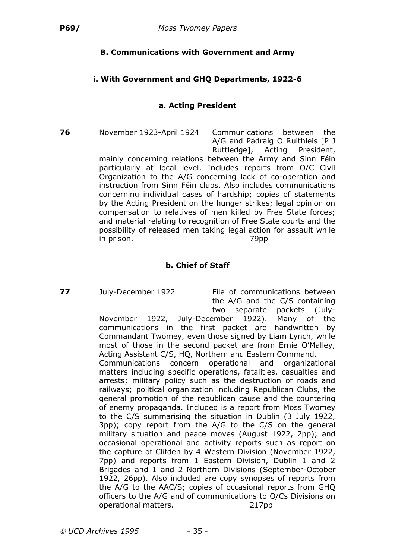# **B. Communications with Government and Army**

## **i. With Government and GHQ Departments, 1922-6**

## **a. Acting President**

**76** November 1923-April 1924 Communications between the A/G and Padraig O Ruithleis [P J Ruttledge], Acting President, mainly concerning relations between the Army and Sinn Féin particularly at local level. Includes reports from O/C Civil Organization to the A/G concerning lack of co-operation and instruction from Sinn Féin clubs. Also includes communications concerning individual cases of hardship; copies of statements by the Acting President on the hunger strikes; legal opinion on compensation to relatives of men killed by Free State forces; and material relating to recognition of Free State courts and the possibility of released men taking legal action for assault while in prison. 79pp

# **b. Chief of Staff**

**77** July-December 1922 File of communications between the A/G and the C/S containing two separate packets (July-

November 1922, July-December 1922). Many of the communications in the first packet are handwritten by Commandant Twomey, even those signed by Liam Lynch, while most of those in the second packet are from Ernie O'Malley, Acting Assistant C/S, HQ, Northern and Eastern Command.

Communications concern operational and organizational matters including specific operations, fatalities, casualties and arrests; military policy such as the destruction of roads and railways; political organization including Republican Clubs, the general promotion of the republican cause and the countering of enemy propaganda. Included is a report from Moss Twomey to the C/S summarising the situation in Dublin (3 July 1922, 3pp); copy report from the A/G to the C/S on the general military situation and peace moves (August 1922, 2pp); and occasional operational and activity reports such as report on the capture of Clifden by 4 Western Division (November 1922, 7pp) and reports from 1 Eastern Division, Dublin 1 and 2 Brigades and 1 and 2 Northern Divisions (September-October 1922, 26pp). Also included are copy synopses of reports from the A/G to the AAC/S; copies of occasional reports from GHQ officers to the A/G and of communications to O/Cs Divisions on operational matters. 217pp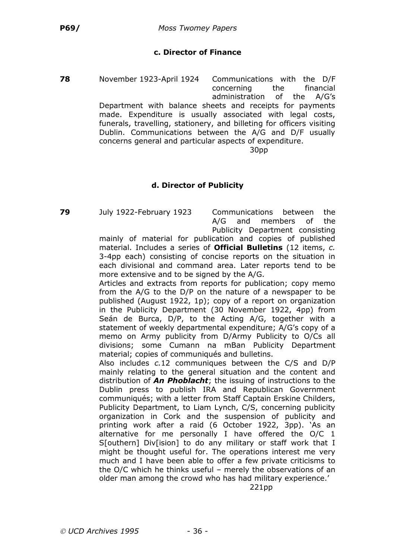# **c. Director of Finance**

**78** November 1923-April 1924 Communications with the D/F concerning the financial administration of the A/G's Department with balance sheets and receipts for payments made. Expenditure is usually associated with legal costs, funerals, travelling, stationery, and billeting for officers visiting Dublin. Communications between the A/G and D/F usually concerns general and particular aspects of expenditure. 30pp

## **d. Director of Publicity**

**79** July 1922-February 1923 Communications between the A/G and members of the Publicity Department consisting

> mainly of material for publication and copies of published material. Includes a series of **Official Bulletins** (12 items, *c.* 3-4pp each) consisting of concise reports on the situation in each divisional and command area. Later reports tend to be more extensive and to be signed by the A/G.

> Articles and extracts from reports for publication; copy memo from the A/G to the D/P on the nature of a newspaper to be published (August 1922, 1p); copy of a report on organization in the Publicity Department (30 November 1922, 4pp) from Seán de Burca, D/P, to the Acting A/G, together with a statement of weekly departmental expenditure; A/G's copy of a memo on Army publicity from D/Army Publicity to O/Cs all divisions; some Cumann na mBan Publicity Department material; copies of communiqués and bulletins.

> Also includes *c.*12 communiques between the C/S and D/P mainly relating to the general situation and the content and distribution of *An Phoblacht*; the issuing of instructions to the Dublin press to publish IRA and Republican Government communiqués; with a letter from Staff Captain Erskine Childers, Publicity Department, to Liam Lynch, C/S, concerning publicity organization in Cork and the suspension of publicity and printing work after a raid (6 October 1922, 3pp). 'As an alternative for me personally I have offered the O/C 1 S[outhern] Div[ision] to do any military or staff work that I might be thought useful for. The operations interest me very much and I have been able to offer a few private criticisms to the O/C which he thinks useful – merely the observations of an older man among the crowd who has had military experience.'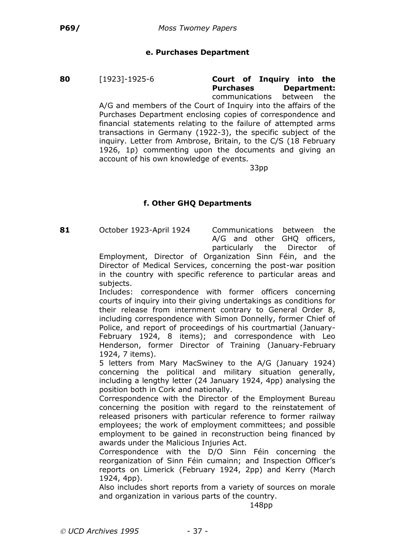### **e. Purchases Department**

**80** [1923]-1925-6 **Court of Inquiry into the Purchases Department:** communications between the A/G and members of the Court of Inquiry into the affairs of the Purchases Department enclosing copies of correspondence and financial statements relating to the failure of attempted arms transactions in Germany (1922-3), the specific subject of the inquiry. Letter from Ambrose, Britain, to the C/S (18 February 1926, 1p) commenting upon the documents and giving an account of his own knowledge of events.

33pp

## **f. Other GHQ Departments**

**81** October 1923-April 1924 Communications between the

A/G and other GHQ officers, particularly the Director of

Employment, Director of Organization Sinn Féin, and the Director of Medical Services, concerning the post-war position in the country with specific reference to particular areas and subjects.

Includes: correspondence with former officers concerning courts of inquiry into their giving undertakings as conditions for their release from internment contrary to General Order 8, including correspondence with Simon Donnelly, former Chief of Police, and report of proceedings of his courtmartial (January-February 1924, 8 items); and correspondence with Leo Henderson, former Director of Training (January-February 1924, 7 items).

5 letters from Mary MacSwiney to the A/G (January 1924) concerning the political and military situation generally, including a lengthy letter (24 January 1924, 4pp) analysing the position both in Cork and nationally.

Correspondence with the Director of the Employment Bureau concerning the position with regard to the reinstatement of released prisoners with particular reference to former railway employees; the work of employment committees; and possible employment to be gained in reconstruction being financed by awards under the Malicious Injuries Act.

Correspondence with the D/O Sinn Féin concerning the reorganization of Sinn Féin cumainn; and Inspection Officer's reports on Limerick (February 1924, 2pp) and Kerry (March 1924, 4pp).

Also includes short reports from a variety of sources on morale and organization in various parts of the country.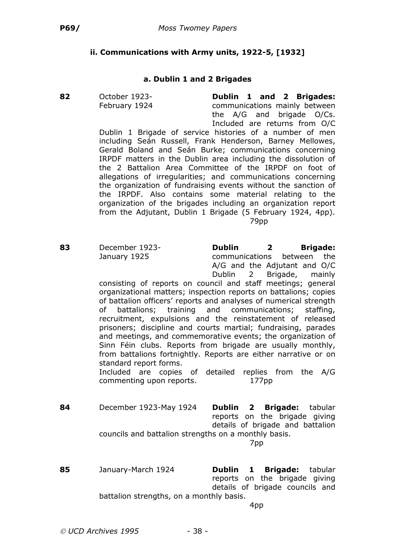# **ii. Communications with Army units, 1922-5, [1932]**

#### **a. Dublin 1 and 2 Brigades**

**82** October 1923- **Dublin 1 and 2 Brigades:** February 1924 communications mainly between the A/G and brigade O/Cs. Included are returns from O/C

Dublin 1 Brigade of service histories of a number of men including Seán Russell, Frank Henderson, Barney Mellowes, Gerald Boland and Seán Burke; communications concerning IRPDF matters in the Dublin area including the dissolution of the 2 Battalion Area Committee of the IRPDF on foot of allegations of irregularities; and communications concerning the organization of fundraising events without the sanction of the IRPDF. Also contains some material relating to the organization of the brigades including an organization report from the Adjutant, Dublin 1 Brigade (5 February 1924, 4pp). 79pp

**83** December 1923- **Dublin 2 Brigade:** January 1925 communications between the A/G and the Adjutant and O/C Dublin 2 Brigade, mainly consisting of reports on council and staff meetings; general organizational matters; inspection reports on battalions; copies of battalion officers' reports and analyses of numerical strength of battalions; training and communications; staffing,

> recruitment, expulsions and the reinstatement of released prisoners; discipline and courts martial; fundraising, parades and meetings, and commemorative events; the organization of Sinn Féin clubs. Reports from brigade are usually monthly, from battalions fortnightly. Reports are either narrative or on standard report forms.

Included are copies of detailed replies from the A/G commenting upon reports. 177pp

**84** December 1923-May 1924 **Dublin 2 Brigade:** tabular reports on the brigade giving details of brigade and battalion councils and battalion strengths on a monthly basis.

7pp

**85** January-March 1924 **Dublin 1 Brigade:** tabular reports on the brigade giving details of brigade councils and battalion strengths, on a monthly basis.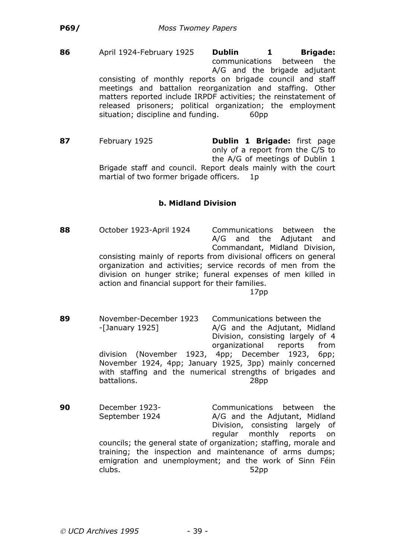**86** April 1924-February 1925 **Dublin 1 Brigade:** communications between the A/G and the brigade adjutant consisting of monthly reports on brigade council and staff meetings and battalion reorganization and staffing. Other matters reported include IRPDF activities; the reinstatement of released prisoners; political organization; the employment situation; discipline and funding. 60pp

**87** February 1925 **Dublin 1 Brigade:** first page only of a report from the C/S to the A/G of meetings of Dublin 1 Brigade staff and council. Report deals mainly with the court martial of two former brigade officers. 1p

## **b. Midland Division**

**88** October 1923-April 1924 Communications between the A/G and the Adjutant and Commandant, Midland Division, consisting mainly of reports from divisional officers on general organization and activities; service records of men from the division on hunger strike; funeral expenses of men killed in action and financial support for their families.

- **89** November-December 1923 Communications between the -[January 1925] A/G and the Adjutant, Midland Division, consisting largely of 4 organizational reports from division (November 1923, 4pp; December 1923, 6pp; November 1924, 4pp; January 1925, 3pp) mainly concerned with staffing and the numerical strengths of brigades and battalions. 28pp
- **90** December 1923- Communications between the September 1924 A/G and the Adjutant, Midland Division, consisting largely of regular monthly reports on councils; the general state of organization; staffing, morale and training; the inspection and maintenance of arms dumps; emigration and unemployment; and the work of Sinn Féin clubs. 52pp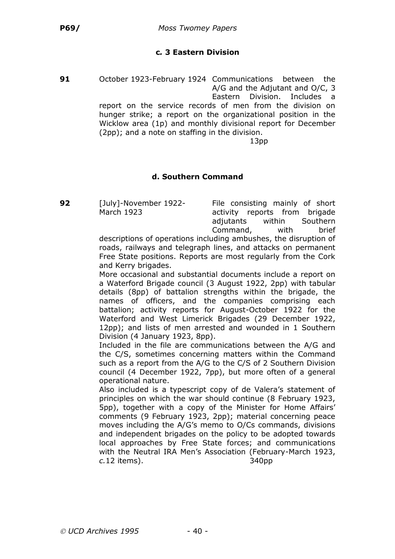## **c***.* **3 Eastern Division**

**91** October 1923-February 1924 Communications between the A/G and the Adjutant and O/C, 3 Eastern Division. Includes a report on the service records of men from the division on hunger strike; a report on the organizational position in the Wicklow area (1p) and monthly divisional report for December (2pp); and a note on staffing in the division.

13pp

#### **d. Southern Command**

**92** [July]-November 1922- File consisting mainly of short March 1923 activity reports from brigade adjutants within Southern Command, with brief

descriptions of operations including ambushes, the disruption of roads, railways and telegraph lines, and attacks on permanent Free State positions. Reports are most regularly from the Cork and Kerry brigades.

More occasional and substantial documents include a report on a Waterford Brigade council (3 August 1922, 2pp) with tabular details (8pp) of battalion strengths within the brigade, the names of officers, and the companies comprising each battalion; activity reports for August-October 1922 for the Waterford and West Limerick Brigades (29 December 1922, 12pp); and lists of men arrested and wounded in 1 Southern Division (4 January 1923, 8pp).

Included in the file are communications between the A/G and the C/S, sometimes concerning matters within the Command such as a report from the A/G to the C/S of 2 Southern Division council (4 December 1922, 7pp), but more often of a general operational nature.

Also included is a typescript copy of de Valera's statement of principles on which the war should continue (8 February 1923, 5pp), together with a copy of the Minister for Home Affairs' comments (9 February 1923, 2pp); material concerning peace moves including the A/G's memo to O/Cs commands, divisions and independent brigades on the policy to be adopted towards local approaches by Free State forces; and communications with the Neutral IRA Men's Association (February-March 1923, *c.*12 items). 340pp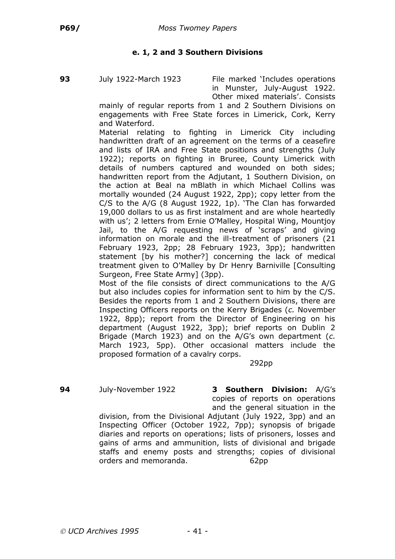# **e. 1, 2 and 3 Southern Divisions**

**93** July 1922-March 1923 File marked 'Includes operations in Munster, July-August 1922. Other mixed materials'. Consists

mainly of regular reports from 1 and 2 Southern Divisions on engagements with Free State forces in Limerick, Cork, Kerry and Waterford.

Material relating to fighting in Limerick City including handwritten draft of an agreement on the terms of a ceasefire and lists of IRA and Free State positions and strengths (July 1922); reports on fighting in Bruree, County Limerick with details of numbers captured and wounded on both sides; handwritten report from the Adjutant, 1 Southern Division, on the action at Beal na mBlath in which Michael Collins was mortally wounded (24 August 1922, 2pp); copy letter from the C/S to the A/G (8 August 1922, 1p). 'The Clan has forwarded 19,000 dollars to us as first instalment and are whole heartedly with us'; 2 letters from Ernie O'Malley, Hospital Wing, Mountjoy Jail, to the A/G requesting news of 'scraps' and giving information on morale and the ill-treatment of prisoners (21 February 1923, 2pp; 28 February 1923, 3pp); handwritten statement [by his mother?] concerning the lack of medical treatment given to O'Malley by Dr Henry Barniville [Consulting Surgeon, Free State Army] (3pp).

Most of the file consists of direct communications to the A/G but also includes copies for information sent to him by the C/S. Besides the reports from 1 and 2 Southern Divisions, there are Inspecting Officers reports on the Kerry Brigades (*c.* November 1922, 8pp); report from the Director of Engineering on his department (August 1922, 3pp); brief reports on Dublin 2 Brigade (March 1923) and on the A/G's own department (*c.* March 1923, 5pp). Other occasional matters include the proposed formation of a cavalry corps.

292pp

**94** July-November 1922 **3 Southern Division:** A/G's copies of reports on operations and the general situation in the

division, from the Divisional Adjutant (July 1922, 3pp) and an Inspecting Officer (October 1922, 7pp); synopsis of brigade diaries and reports on operations; lists of prisoners, losses and gains of arms and ammunition, lists of divisional and brigade staffs and enemy posts and strengths; copies of divisional orders and memoranda. 62pp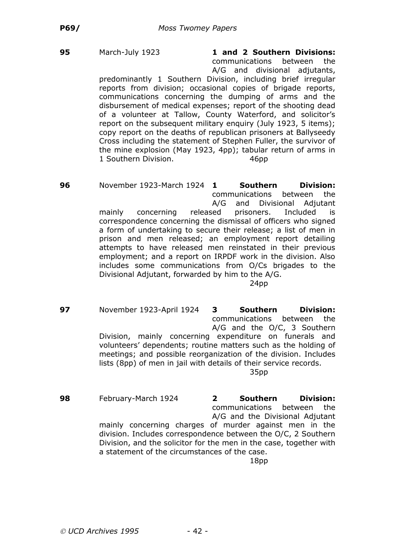**95** March-July 1923 **1 and 2 Southern Divisions:** communications between the A/G and divisional adjutants,

predominantly 1 Southern Division, including brief irregular reports from division; occasional copies of brigade reports, communications concerning the dumping of arms and the disbursement of medical expenses; report of the shooting dead of a volunteer at Tallow, County Waterford, and solicitor's report on the subsequent military enquiry (July 1923, 5 items); copy report on the deaths of republican prisoners at Ballyseedy Cross including the statement of Stephen Fuller, the survivor of the mine explosion (May 1923, 4pp); tabular return of arms in 1 Southern Division. 46pp

**96** November 1923-March 1924 **1 Southern Division:** communications between the A/G and Divisional Adjutant mainly concerning released prisoners. Included is correspondence concerning the dismissal of officers who signed a form of undertaking to secure their release; a list of men in prison and men released; an employment report detailing attempts to have released men reinstated in their previous employment; and a report on IRPDF work in the division. Also includes some communications from O/Cs brigades to the Divisional Adjutant, forwarded by him to the A/G.

24pp

**97** November 1923-April 1924 **3 Southern Division:** communications between the A/G and the O/C, 3 Southern Division, mainly concerning expenditure on funerals and volunteers' dependents; routine matters such as the holding of meetings; and possible reorganization of the division. Includes lists (8pp) of men in jail with details of their service records. 35pp

**98** February-March 1924 **2 Southern Division:** communications between the A/G and the Divisional Adjutant mainly concerning charges of murder against men in the division. Includes correspondence between the O/C, 2 Southern Division, and the solicitor for the men in the case, together with a statement of the circumstances of the case. 18pp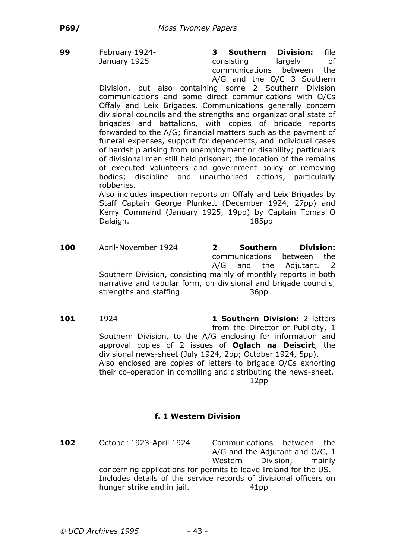**99** February 1924- **3 Southern Division:** file January 1925 **consisting** largely of communications between the A/G and the O/C 3 Southern

Division, but also containing some 2 Southern Division communications and some direct communications with O/Cs Offaly and Leix Brigades. Communications generally concern divisional councils and the strengths and organizational state of brigades and battalions, with copies of brigade reports forwarded to the A/G; financial matters such as the payment of funeral expenses, support for dependents, and individual cases of hardship arising from unemployment or disability; particulars of divisional men still held prisoner; the location of the remains of executed volunteers and government policy of removing bodies; discipline and unauthorised actions, particularly robberies.

Also includes inspection reports on Offaly and Leix Brigades by Staff Captain George Plunkett (December 1924, 27pp) and Kerry Command (January 1925, 19pp) by Captain Tomas O Dalaigh. 185pp

- **100** April-November 1924 **2 Southern Division:** communications between the A/G and the Adjutant. 2 Southern Division, consisting mainly of monthly reports in both narrative and tabular form, on divisional and brigade councils, strengths and staffing. The state of the 36pp
- **101** 1924 **1 Southern Division:** 2 letters from the Director of Publicity, 1 Southern Division, to the A/G enclosing for information and approval copies of 2 issues of **Oglach na Deiscirt**, the divisional news-sheet (July 1924, 2pp; October 1924, 5pp). Also enclosed are copies of letters to brigade O/Cs exhorting their co-operation in compiling and distributing the news-sheet. 12pp

## **f. 1 Western Division**

**102** October 1923-April 1924 Communications between the A/G and the Adjutant and O/C, 1 Western Division, mainly concerning applications for permits to leave Ireland for the US. Includes details of the service records of divisional officers on hunger strike and in jail. 41pp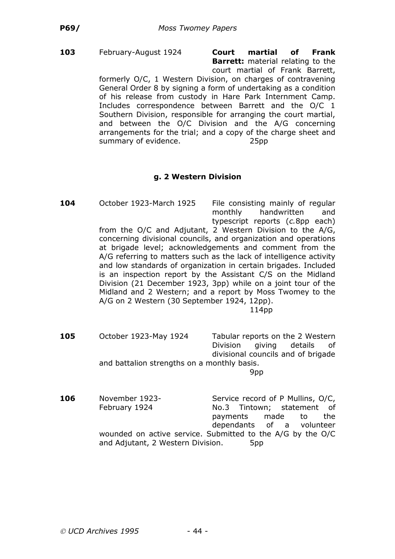#### **103** February-August 1924 **Court martial of Frank Barrett:** material relating to the court martial of Frank Barrett,

formerly O/C, 1 Western Division, on charges of contravening General Order 8 by signing a form of undertaking as a condition of his release from custody in Hare Park Internment Camp. Includes correspondence between Barrett and the O/C 1 Southern Division, responsible for arranging the court martial, and between the O/C Division and the A/G concerning arrangements for the trial; and a copy of the charge sheet and summary of evidence. 25pp

## **g. 2 Western Division**

**104** October 1923-March 1925 File consisting mainly of regular monthly handwritten and typescript reports (*c.*8pp each) from the O/C and Adjutant, 2 Western Division to the A/G,

concerning divisional councils, and organization and operations at brigade level; acknowledgements and comment from the A/G referring to matters such as the lack of intelligence activity and low standards of organization in certain brigades. Included is an inspection report by the Assistant C/S on the Midland Division (21 December 1923, 3pp) while on a joint tour of the Midland and 2 Western; and a report by Moss Twomey to the A/G on 2 Western (30 September 1924, 12pp).

- **105** October 1923-May 1924 Tabular reports on the 2 Western Division giving details of divisional councils and of brigade and battalion strengths on a monthly basis. 9pp
- **106** November 1923-<br>Service record of P Mullins, O/C, February 1924 No.3 Tintown; statement of payments made to the dependants of a volunteer wounded on active service. Submitted to the A/G by the O/C and Adjutant, 2 Western Division. 5pp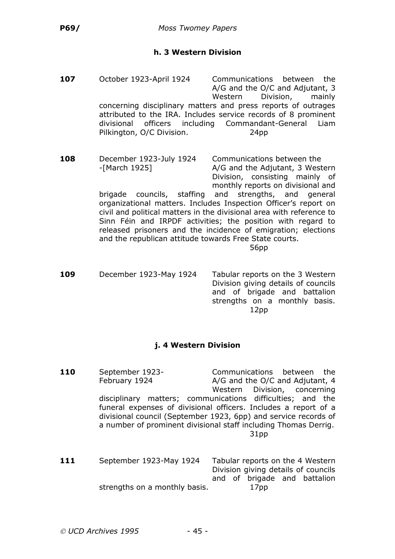## **h. 3 Western Division**

| 107 | October 1923-April 1924<br>divisional<br>Pilkington, O/C Division.                                            | Communications between<br>the<br>A/G and the O/C and Adjutant, 3<br>Western<br>Division,<br>mainly<br>concerning disciplinary matters and press reports of outrages<br>attributed to the IRA. Includes service records of 8 prominent<br>officers including Commandant-General<br>Liam<br>24pp                                                                                                                                                                           |
|-----|---------------------------------------------------------------------------------------------------------------|--------------------------------------------------------------------------------------------------------------------------------------------------------------------------------------------------------------------------------------------------------------------------------------------------------------------------------------------------------------------------------------------------------------------------------------------------------------------------|
| 108 | December 1923-July 1924<br>-[March 1925]<br>brigade<br>and the republican attitude towards Free State courts. | Communications between the<br>A/G and the Adjutant, 3 Western<br>Division, consisting mainly of<br>monthly reports on divisional and<br>councils, staffing and strengths, and general<br>organizational matters. Includes Inspection Officer's report on<br>civil and political matters in the divisional area with reference to<br>Sinn Féin and IRPDF activities; the position with regard to<br>released prisoners and the incidence of emigration; elections<br>56pp |
| 109 | December 1923-May 1924                                                                                        | Tabular reports on the 3 Western<br>Division giving details of councils<br>and of brigade and battalion<br>strengths on a monthly basis.<br>12pp                                                                                                                                                                                                                                                                                                                         |

#### **j. 4 Western Division**

**110** September 1923- Communications between the February 1924 A/G and the O/C and Adjutant, 4 Western Division, concerning disciplinary matters; communications difficulties; and the funeral expenses of divisional officers. Includes a report of a divisional council (September 1923, 6pp) and service records of a number of prominent divisional staff including Thomas Derrig. 31pp **111** September 1923-May 1924 Tabular reports on the 4 Western Division giving details of councils and of brigade and battalion strengths on a monthly basis. The 17pp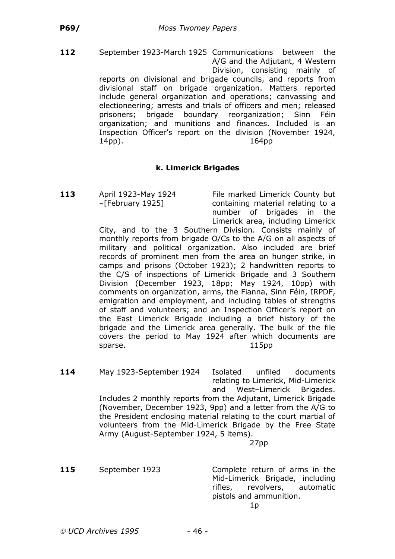**112** September 1923-March 1925 Communications between the A/G and the Adjutant, 4 Western Division, consisting mainly of reports on divisional and brigade councils, and reports from divisional staff on brigade organization. Matters reported include general organization and operations; canvassing and electioneering; arrests and trials of officers and men; released prisoners; brigade boundary reorganization; Sinn Féin organization; and munitions and finances. Included is an Inspection Officer's report on the division (November 1924, 14pp). 164pp

## **k. Limerick Brigades**

**113** April 1923-May 1924 File marked Limerick County but –[February 1925] containing material relating to a number of brigades in the Limerick area, including Limerick

City, and to the 3 Southern Division. Consists mainly of monthly reports from brigade O/Cs to the A/G on all aspects of military and political organization. Also included are brief records of prominent men from the area on hunger strike, in camps and prisons (October 1923); 2 handwritten reports to the C/S of inspections of Limerick Brigade and 3 Southern Division (December 1923, 18pp; May 1924, 10pp) with comments on organization, arms, the Fianna, Sinn Féin, IRPDF, emigration and employment, and including tables of strengths of staff and volunteers; and an Inspection Officer's report on the East Limerick Brigade including a brief history of the brigade and the Limerick area generally. The bulk of the file covers the period to May 1924 after which documents are sparse. 115pp

**114** May 1923-September 1924 Isolated unfiled documents relating to Limerick, Mid-Limerick and West–Limerick Brigades. Includes 2 monthly reports from the Adjutant, Limerick Brigade (November, December 1923, 9pp) and a letter from the A/G to the President enclosing material relating to the court martial of volunteers from the Mid-Limerick Brigade by the Free State Army (August-September 1924, 5 items). 27pp

**115** September 1923 Complete return of arms in the Mid-Limerick Brigade, including rifles, revolvers, automatic pistols and ammunition.  $1<sub>p</sub>$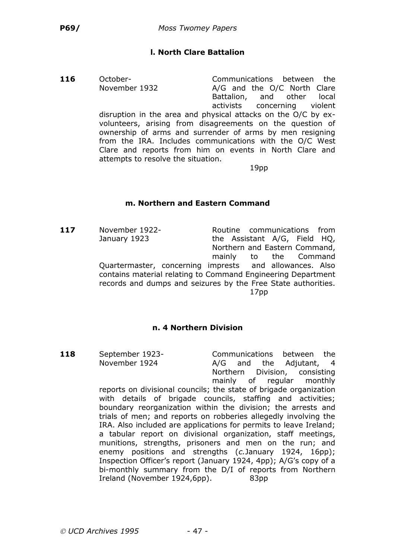# **l. North Clare Battalion**

**116** October- Communications between the

November 1932 A/G and the O/C North Clare Battalion, and other local activists concerning violent disruption in the area and physical attacks on the O/C by exvolunteers, arising from disagreements on the question of ownership of arms and surrender of arms by men resigning from the IRA. Includes communications with the O/C West Clare and reports from him on events in North Clare and attempts to resolve the situation.

19pp

## **m. Northern and Eastern Command**

**117** November 1922- Routine communications from January 1923 the Assistant A/G, Field HQ, Northern and Eastern Command, mainly to the Command Quartermaster, concerning imprests and allowances. Also contains material relating to Command Engineering Department records and dumps and seizures by the Free State authorities. 17pp

# **n. 4 Northern Division**

**118** September 1923- Communications between the November 1924 **A/G** and the Adjutant, 4 Northern Division, consisting mainly of regular monthly

reports on divisional councils; the state of brigade organization with details of brigade councils, staffing and activities; boundary reorganization within the division; the arrests and trials of men; and reports on robberies allegedly involving the IRA. Also included are applications for permits to leave Ireland; a tabular report on divisional organization, staff meetings, munitions, strengths, prisoners and men on the run; and enemy positions and strengths (*c.*January 1924, 16pp); Inspection Officer's report (January 1924, 4pp); A/G's copy of a bi-monthly summary from the D/I of reports from Northern Ireland (November 1924,6pp). 83pp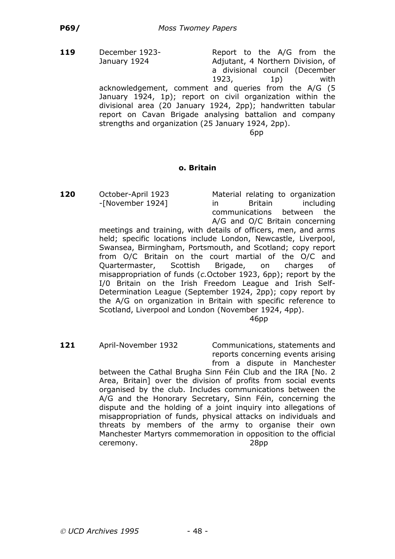**119** December 1923-<br>Report to the A/G from the January 1924 Adjutant, 4 Northern Division, of a divisional council (December 1923, 1p) with acknowledgement, comment and queries from the A/G (5 January 1924, 1p); report on civil organization within the divisional area (20 January 1924, 2pp); handwritten tabular report on Cavan Brigade analysing battalion and company strengths and organization (25 January 1924, 2pp). 6pp

#### **o. Britain**

**120** October-April 1923 Material relating to organization -[November 1924] in Britain including communications between the A/G and O/C Britain concerning

meetings and training, with details of officers, men, and arms held; specific locations include London, Newcastle, Liverpool, Swansea, Birmingham, Portsmouth, and Scotland; copy report from O/C Britain on the court martial of the O/C and Quartermaster, Scottish Brigade, on charges of misappropriation of funds (*c.*October 1923, 6pp); report by the I/0 Britain on the Irish Freedom League and Irish Self-Determination League (September 1924, 2pp); copy report by the A/G on organization in Britain with specific reference to Scotland, Liverpool and London (November 1924, 4pp).

46pp

**121** April-November 1932 Communications, statements and reports concerning events arising from a dispute in Manchester

between the Cathal Brugha Sinn Féin Club and the IRA [No. 2 Area, Britain] over the division of profits from social events organised by the club. Includes communications between the A/G and the Honorary Secretary, Sinn Féin, concerning the dispute and the holding of a joint inquiry into allegations of misappropriation of funds, physical attacks on individuals and threats by members of the army to organise their own Manchester Martyrs commemoration in opposition to the official ceremony. 28pp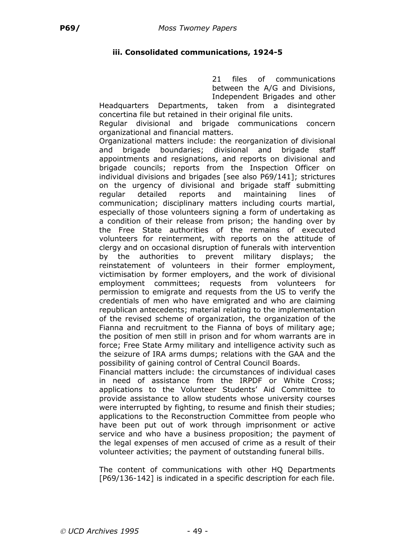# **iii. Consolidated communications, 1924-5**

21 files of communications between the A/G and Divisions, Independent Brigades and other

Headquarters Departments, taken from a disintegrated concertina file but retained in their original file units.

Regular divisional and brigade communications concern organizational and financial matters.

Organizational matters include: the reorganization of divisional and brigade boundaries; divisional and brigade staff appointments and resignations, and reports on divisional and brigade councils; reports from the Inspection Officer on individual divisions and brigades [see also P69/141]; strictures on the urgency of divisional and brigade staff submitting regular detailed reports and maintaining lines of communication; disciplinary matters including courts martial, especially of those volunteers signing a form of undertaking as a condition of their release from prison; the handing over by the Free State authorities of the remains of executed volunteers for reinterment, with reports on the attitude of clergy and on occasional disruption of funerals with intervention by the authorities to prevent military displays; the reinstatement of volunteers in their former employment, victimisation by former employers, and the work of divisional employment committees; requests from volunteers for permission to emigrate and requests from the US to verify the credentials of men who have emigrated and who are claiming republican antecedents; material relating to the implementation of the revised scheme of organization, the organization of the Fianna and recruitment to the Fianna of boys of military age; the position of men still in prison and for whom warrants are in force; Free State Army military and intelligence activity such as the seizure of IRA arms dumps; relations with the GAA and the possibility of gaining control of Central Council Boards.

Financial matters include: the circumstances of individual cases in need of assistance from the IRPDF or White Cross; applications to the Volunteer Students' Aid Committee to provide assistance to allow students whose university courses were interrupted by fighting, to resume and finish their studies; applications to the Reconstruction Committee from people who have been put out of work through imprisonment or active service and who have a business proposition; the payment of the legal expenses of men accused of crime as a result of their volunteer activities; the payment of outstanding funeral bills.

The content of communications with other HQ Departments [P69/136-142] is indicated in a specific description for each file.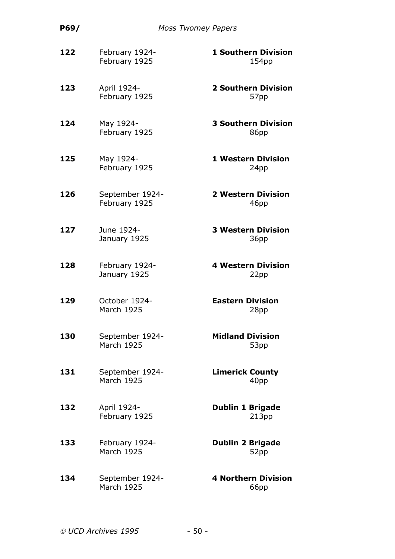| P69/ | <b>Moss Twomey Papers</b>            |                                                 |
|------|--------------------------------------|-------------------------------------------------|
| 122  | February 1924-<br>February 1925      | <b>1 Southern Division</b><br>154 <sub>pp</sub> |
| 123  | April 1924-<br>February 1925         | <b>2 Southern Division</b><br>57pp              |
| 124  | May 1924-<br>February 1925           | <b>3 Southern Division</b><br>86pp              |
| 125  | May 1924-<br>February 1925           | <b>1 Western Division</b><br>24pp               |
| 126  | September 1924-<br>February 1925     | <b>2 Western Division</b><br>46pp               |
| 127  | June 1924-<br>January 1925           | <b>3 Western Division</b><br>36pp               |
| 128  | February 1924-<br>January 1925       | <b>4 Western Division</b><br>22pp               |
| 129  | October 1924-<br><b>March 1925</b>   | <b>Eastern Division</b><br>28pp                 |
| 130  | September 1924-<br><b>March 1925</b> | <b>Midland Division</b><br>53pp                 |
| 131  | September 1924-<br><b>March 1925</b> | <b>Limerick County</b><br>40pp                  |
| 132  | April 1924-<br>February 1925         | <b>Dublin 1 Brigade</b><br>213pp                |
| 133  | February 1924-<br><b>March 1925</b>  | <b>Dublin 2 Brigade</b><br>52pp                 |
| 134  | September 1924-<br><b>March 1925</b> | <b>4 Northern Division</b><br>66pp              |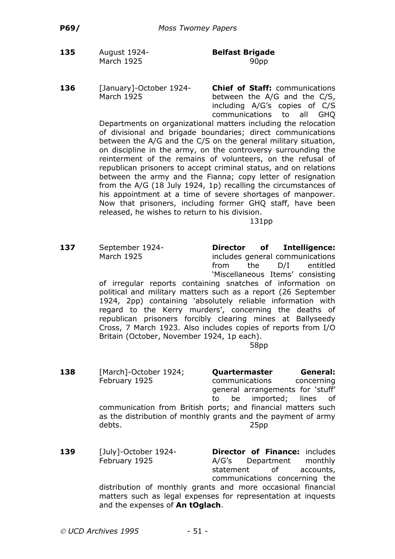- **135** August 1924- **Belfast Brigade** March 1925 90pp
- **136** [January]-October 1924- **Chief of Staff:** communications March 1925 between the A/G and the C/S, including A/G's copies of C/S communications to all GHQ

Departments on organizational matters including the relocation of divisional and brigade boundaries; direct communications between the A/G and the C/S on the general military situation, on discipline in the army, on the controversy surrounding the reinterment of the remains of volunteers, on the refusal of republican prisoners to accept criminal status, and on relations between the army and the Fianna; copy letter of resignation from the A/G (18 July 1924, 1p) recalling the circumstances of his appointment at a time of severe shortages of manpower. Now that prisoners, including former GHQ staff, have been released, he wishes to return to his division.

131pp

**137** September 1924- **Director of Intelligence:** March 1925 includes general communications from the D/I entitled 'Miscellaneous Items' consisting of irregular reports containing snatches of information on political and military matters such as a report (26 September 1924, 2pp) containing 'absolutely reliable information with regard to the Kerry murders', concerning the deaths of republican prisoners forcibly clearing mines at Ballyseedy Cross, 7 March 1923. Also includes copies of reports from I/O

> Britain (October, November 1924, 1p each). 58pp

- **138** [March]-October 1924; **Quartermaster General:** February 1925 communications concerning general arrangements for 'stuff' to be imported; lines of communication from British ports; and financial matters such as the distribution of monthly grants and the payment of army debts. 25pp
- **139** [July]-October 1924- **Director of Finance:** includes February 1925 **A/G's** Department monthly statement of accounts, communications concerning the distribution of monthly grants and more occasional financial matters such as legal expenses for representation at inquests and the expenses of **An tOglach**.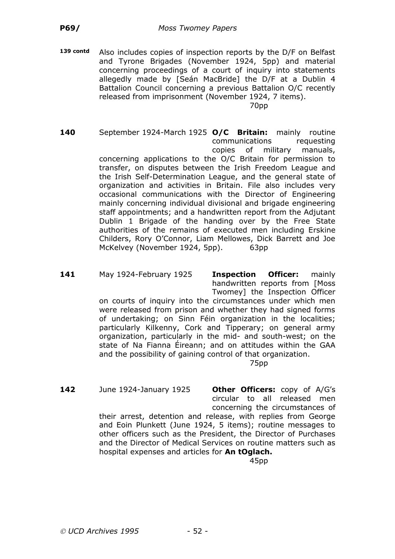**139 contd** Also includes copies of inspection reports by the D/F on Belfast and Tyrone Brigades (November 1924, 5pp) and material concerning proceedings of a court of inquiry into statements allegedly made by [Seán MacBride] the D/F at a Dublin 4 Battalion Council concerning a previous Battalion O/C recently released from imprisonment (November 1924, 7 items). 70pp

**140** September 1924-March 1925 **O/C Britain:** mainly routine communications requesting copies of military manuals, concerning applications to the O/C Britain for permission to transfer, on disputes between the Irish Freedom League and the Irish Self-Determination League, and the general state of organization and activities in Britain. File also includes very occasional communications with the Director of Engineering mainly concerning individual divisional and brigade engineering staff appointments; and a handwritten report from the Adjutant Dublin 1 Brigade of the handing over by the Free State authorities of the remains of executed men including Erskine Childers, Rory O'Connor, Liam Mellowes, Dick Barrett and Joe McKelvey (November 1924, 5pp). 63pp

**141** May 1924-February 1925 **Inspection Officer:** mainly handwritten reports from [Moss Twomey] the Inspection Officer

on courts of inquiry into the circumstances under which men were released from prison and whether they had signed forms of undertaking; on Sinn Féin organization in the localities; particularly Kilkenny, Cork and Tipperary; on general army organization, particularly in the mid- and south-west; on the state of Na Fianna Éireann; and on attitudes within the GAA and the possibility of gaining control of that organization.

75pp

**142** June 1924-January 1925 **Other Officers:** copy of A/G's circular to all released men concerning the circumstances of

their arrest, detention and release, with replies from George and Eoin Plunkett (June 1924, 5 items); routine messages to other officers such as the President, the Director of Purchases and the Director of Medical Services on routine matters such as hospital expenses and articles for **An tOglach.**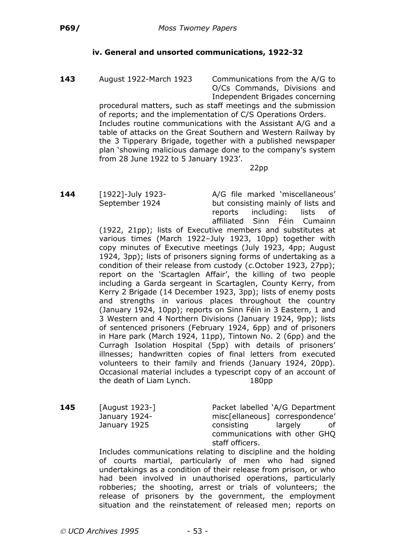# **iv. General and unsorted communications, 1922-32**

**143** August 1922-March 1923 Communications from the A/G to O/Cs Commands, Divisions and Independent Brigades concerning

procedural matters, such as staff meetings and the submission of reports; and the implementation of C/S Operations Orders. Includes routine communications with the Assistant A/G and a table of attacks on the Great Southern and Western Railway by the 3 Tipperary Brigade, together with a published newspaper plan 'showing malicious damage done to the company's system from 28 June 1922 to 5 January 1923'.

22pp

**144** [1922]-July 1923- A/G file marked 'miscellaneous' September 1924 but consisting mainly of lists and reports including: lists of affiliated Sinn Féin Cumainn

(1922, 21pp); lists of Executive members and substitutes at various times (March 1922–July 1923, 10pp) together with copy minutes of Executive meetings (July 1923, 4pp; August 1924, 3pp); lists of prisoners signing forms of undertaking as a condition of their release from custody (*c.*October 1923, 27pp); report on the 'Scartaglen Affair', the killing of two people including a Garda sergeant in Scartaglen, County Kerry, from Kerry 2 Brigade (14 December 1923, 3pp); lists of enemy posts and strengths in various places throughout the country (January 1924, 10pp); reports on Sinn Féin in 3 Eastern, 1 and 3 Western and 4 Northern Divisions (January 1924, 9pp); lists of sentenced prisoners (February 1924, 6pp) and of prisoners in Hare park (March 1924, 11pp), Tintown No. 2 (6pp) and the Curragh Isolation Hospital (5pp) with details of prisoners' illnesses; handwritten copies of final letters from executed volunteers to their family and friends (January 1924, 20pp). Occasional material includes a typescript copy of an account of the death of Liam Lynch. 180pp

**145** [August 1923-] Packet labelled 'A/G Department January 1924- misc[ellaneous] correspondence' January 1925 **consisting** largely of communications with other GHQ staff officers.

Includes communications relating to discipline and the holding of courts martial, particularly of men who had signed undertakings as a condition of their release from prison, or who had been involved in unauthorised operations, particularly robberies; the shooting, arrest or trials of volunteers; the release of prisoners by the government, the employment situation and the reinstatement of released men; reports on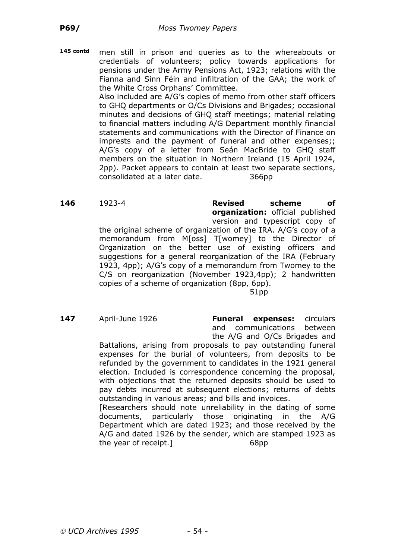**145 contd** men still in prison and queries as to the whereabouts or credentials of volunteers; policy towards applications for pensions under the Army Pensions Act, 1923; relations with the Fianna and Sinn Féin and infiltration of the GAA; the work of the White Cross Orphans' Committee.

> Also included are A/G's copies of memo from other staff officers to GHQ departments or O/Cs Divisions and Brigades; occasional minutes and decisions of GHQ staff meetings; material relating to financial matters including A/G Department monthly financial statements and communications with the Director of Finance on imprests and the payment of funeral and other expenses;; A/G's copy of a letter from Seán MacBride to GHQ staff members on the situation in Northern Ireland (15 April 1924, 2pp). Packet appears to contain at least two separate sections, consolidated at a later date. 366pp

**146** 1923-4 **Revised scheme of organization:** official published version and typescript copy of

the original scheme of organization of the IRA. A/G's copy of a memorandum from M[oss] T[womey] to the Director of Organization on the better use of existing officers and suggestions for a general reorganization of the IRA (February 1923, 4pp); A/G's copy of a memorandum from Twomey to the C/S on reorganization (November 1923,4pp); 2 handwritten copies of a scheme of organization (8pp, 6pp).

51pp

**147** April-June 1926 **Funeral expenses:** circulars and communications between the A/G and O/Cs Brigades and

Battalions, arising from proposals to pay outstanding funeral expenses for the burial of volunteers, from deposits to be refunded by the government to candidates in the 1921 general election. Included is correspondence concerning the proposal, with objections that the returned deposits should be used to pay debts incurred at subsequent elections; returns of debts outstanding in various areas; and bills and invoices.

[Researchers should note unreliability in the dating of some documents, particularly those originating in the A/G Department which are dated 1923; and those received by the A/G and dated 1926 by the sender, which are stamped 1923 as the year of receipt.] 68pp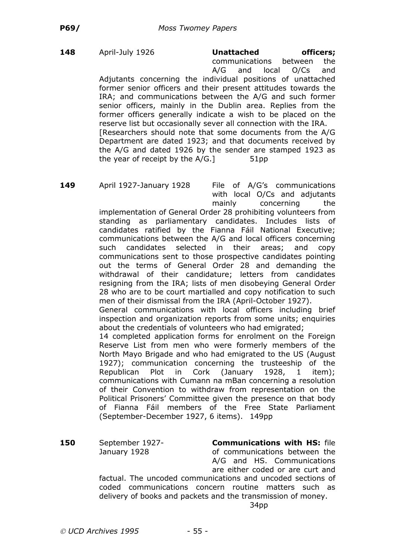**148** April-July 1926 **Unattached officers;** communications between the A/G and local O/Cs and Adjutants concerning the individual positions of unattached former senior officers and their present attitudes towards the IRA; and communications between the A/G and such former senior officers, mainly in the Dublin area. Replies from the former officers generally indicate a wish to be placed on the reserve list but occasionally sever all connection with the IRA. [Researchers should note that some documents from the A/G Department are dated 1923; and that documents received by the A/G and dated 1926 by the sender are stamped 1923 as the year of receipt by the  $A/G$ .  $\vert$  51pp

**149** April 1927-January 1928 File of A/G's communications with local O/Cs and adjutants mainly concerning the

implementation of General Order 28 prohibiting volunteers from standing as parliamentary candidates. Includes lists of candidates ratified by the Fianna Fáil National Executive; communications between the A/G and local officers concerning such candidates selected in their areas; and copy communications sent to those prospective candidates pointing out the terms of General Order 28 and demanding the withdrawal of their candidature; letters from candidates resigning from the IRA; lists of men disobeying General Order 28 who are to be court martialled and copy notification to such men of their dismissal from the IRA (April-October 1927).

General communications with local officers including brief inspection and organization reports from some units; enquiries about the credentials of volunteers who had emigrated;

14 completed application forms for enrolment on the Foreign Reserve List from men who were formerly members of the North Mayo Brigade and who had emigrated to the US (August 1927); communication concerning the trusteeship of the Republican Plot in Cork (January 1928, 1 item); communications with Cumann na mBan concerning a resolution of their Convention to withdraw from representation on the Political Prisoners' Committee given the presence on that body of Fianna Fáil members of the Free State Parliament (September-December 1927, 6 items). 149pp

**150** September 1927- **Communications with HS:** file January 1928 of communications between the A/G and HS. Communications are either coded or are curt and

factual. The uncoded communications and uncoded sections of coded communications concern routine matters such as delivery of books and packets and the transmission of money.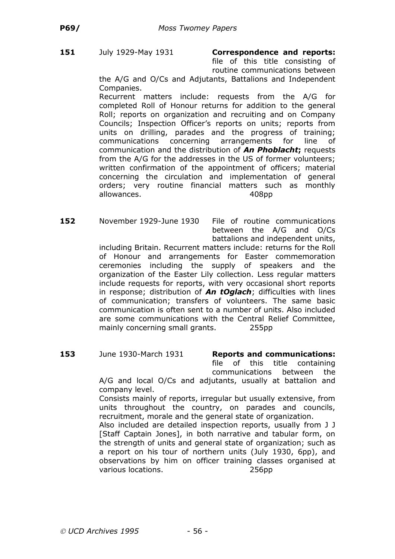### **151** July 1929-May 1931 **Correspondence and reports:**

file of this title consisting of routine communications between

the A/G and O/Cs and Adjutants, Battalions and Independent Companies.

Recurrent matters include: requests from the A/G for completed Roll of Honour returns for addition to the general Roll; reports on organization and recruiting and on Company Councils; Inspection Officer's reports on units; reports from units on drilling, parades and the progress of training; communications concerning arrangements for line of communication and the distribution of *An Phoblacht***;** requests from the A/G for the addresses in the US of former volunteers; written confirmation of the appointment of officers; material concerning the circulation and implementation of general orders; very routine financial matters such as monthly allowances. 408pp

**152** November 1929-June 1930 File of routine communications between the A/G and O/Cs battalions and independent units,

including Britain. Recurrent matters include: returns for the Roll of Honour and arrangements for Easter commemoration ceremonies including the supply of speakers and the organization of the Easter Lily collection. Less regular matters include requests for reports, with very occasional short reports in response; distribution of *An tOglach*; difficulties with lines of communication; transfers of volunteers. The same basic communication is often sent to a number of units. Also included are some communications with the Central Relief Committee, mainly concerning small grants. 255pp

**153** June 1930-March 1931 **Reports and communications:**

file of this title containing communications between the A/G and local O/Cs and adjutants, usually at battalion and company level.

Consists mainly of reports, irregular but usually extensive, from units throughout the country, on parades and councils, recruitment, morale and the general state of organization.

Also included are detailed inspection reports, usually from J J [Staff Captain Jones], in both narrative and tabular form, on the strength of units and general state of organization; such as a report on his tour of northern units (July 1930, 6pp), and observations by him on officer training classes organised at various locations. 256pp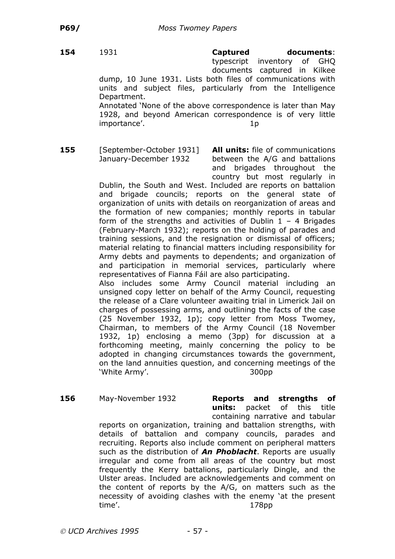**154** 1931 **Captured documents**: typescript inventory of GHQ documents captured in Kilkee

dump, 10 June 1931. Lists both files of communications with units and subject files, particularly from the Intelligence Department. Annotated 'None of the above correspondence is later than May

1928, and beyond American correspondence is of very little importance'. 1p

**155** [September-October 1931] **All units:** file of communications

January-December 1932 between the A/G and battalions and brigades throughout the country but most regularly in

Dublin, the South and West. Included are reports on battalion and brigade councils; reports on the general state of organization of units with details on reorganization of areas and the formation of new companies; monthly reports in tabular form of the strengths and activities of Dublin  $1 - 4$  Brigades (February-March 1932); reports on the holding of parades and training sessions, and the resignation or dismissal of officers; material relating to financial matters including responsibility for Army debts and payments to dependents; and organization of and participation in memorial services, particularly where representatives of Fianna Fáil are also participating.

Also includes some Army Council material including an unsigned copy letter on behalf of the Army Council, requesting the release of a Clare volunteer awaiting trial in Limerick Jail on charges of possessing arms, and outlining the facts of the case (25 November 1932, 1p); copy letter from Moss Twomey, Chairman, to members of the Army Council (18 November 1932, 1p) enclosing a memo (3pp) for discussion at a forthcoming meeting, mainly concerning the policy to be adopted in changing circumstances towards the government, on the land annuities question, and concerning meetings of the 'White Army'. 300pp

**156** May-November 1932 **Reports and strengths of units:** packet of this title

containing narrative and tabular reports on organization, training and battalion strengths, with details of battalion and company councils, parades and recruiting. Reports also include comment on peripheral matters such as the distribution of *An Phoblacht*. Reports are usually irregular and come from all areas of the country but most frequently the Kerry battalions, particularly Dingle, and the Ulster areas. Included are acknowledgements and comment on the content of reports by the A/G, on matters such as the necessity of avoiding clashes with the enemy 'at the present time'. 178pp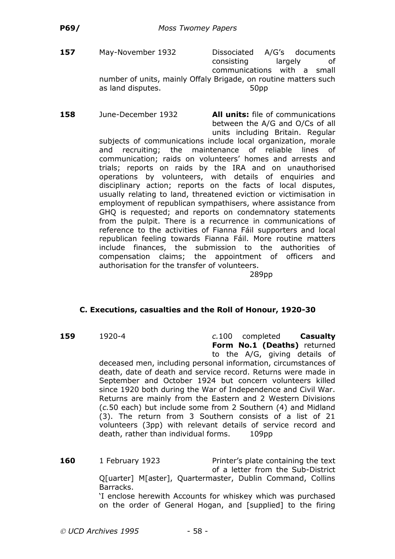- **157** May-November 1932 Dissociated A/G's documents consisting largely of communications with a small number of units, mainly Offaly Brigade, on routine matters such as land disputes. The same state of the state state state state state state state state state state state state
- **158** June-December 1932 **All units:** file of communications

between the A/G and O/Cs of all units including Britain. Regular

subjects of communications include local organization, morale and recruiting; the maintenance of reliable lines of communication; raids on volunteers' homes and arrests and trials; reports on raids by the IRA and on unauthorised operations by volunteers, with details of enquiries and disciplinary action; reports on the facts of local disputes, usually relating to land, threatened eviction or victimisation in employment of republican sympathisers, where assistance from GHQ is requested; and reports on condemnatory statements from the pulpit. There is a recurrence in communications of reference to the activities of Fianna Fáil supporters and local republican feeling towards Fianna Fáil. More routine matters include finances, the submission to the authorities of compensation claims; the appointment of officers and authorisation for the transfer of volunteers.

289pp

#### **C. Executions, casualties and the Roll of Honour, 1920-30**

**159** 1920-4 *c.*100 completed **Casualty Form No.1 (Deaths)** returned to the A/G, giving details of deceased men, including personal information, circumstances of death, date of death and service record. Returns were made in September and October 1924 but concern volunteers killed since 1920 both during the War of Independence and Civil War. Returns are mainly from the Eastern and 2 Western Divisions (*c.*50 each) but include some from 2 Southern (4) and Midland (3). The return from 3 Southern consists of a list of 21 volunteers (3pp) with relevant details of service record and death, rather than individual forms. 109pp

**160** 1 February 1923 Printer's plate containing the text of a letter from the Sub-District Q[uarter] M[aster], Quartermaster, Dublin Command, Collins Barracks.

'I enclose herewith Accounts for whiskey which was purchased on the order of General Hogan, and [supplied] to the firing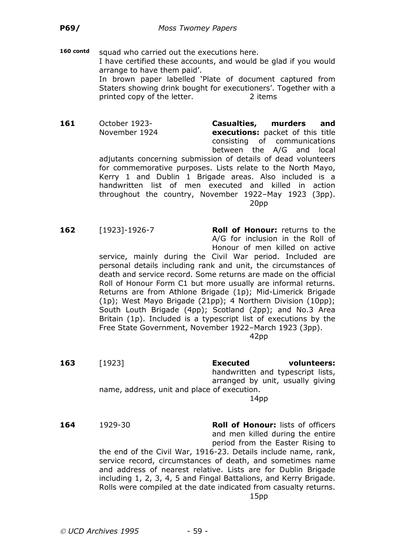160 contd squad who carried out the executions here. I have certified these accounts, and would be glad if you would arrange to have them paid'. In brown paper labelled 'Plate of document captured from Staters showing drink bought for executioners'. Together with a printed copy of the letter. 2 items

**161** October 1923- **Casualties, murders and** November 1924 **executions:** packet of this title consisting of communications between the A/G and local adjutants concerning submission of details of dead volunteers for commemorative purposes. Lists relate to the North Mayo, Kerry 1 and Dublin 1 Brigade areas. Also included is a handwritten list of men executed and killed in action throughout the country, November 1922–May 1923 (3pp). 20pp

**162** [1923]-1926-7 **Roll of Honour:** returns to the A/G for inclusion in the Roll of Honour of men killed on active

service, mainly during the Civil War period. Included are personal details including rank and unit, the circumstances of death and service record. Some returns are made on the official Roll of Honour Form C1 but more usually are informal returns. Returns are from Athlone Brigade (1p); Mid-Limerick Brigade (1p); West Mayo Brigade (21pp); 4 Northern Division (10pp); South Louth Brigade (4pp); Scotland (2pp); and No.3 Area Britain (1p). Included is a typescript list of executions by the Free State Government, November 1922–March 1923 (3pp).

42pp

**163** [1923] **Executed volunteers:** handwritten and typescript lists, arranged by unit, usually giving name, address, unit and place of execution. 14pp

**164** 1929-30 **Roll of Honour:** lists of officers and men killed during the entire period from the Easter Rising to the end of the Civil War, 1916-23. Details include name, rank, service record, circumstances of death, and sometimes name and address of nearest relative. Lists are for Dublin Brigade including 1, 2, 3, 4, 5 and Fingal Battalions, and Kerry Brigade. Rolls were compiled at the date indicated from casualty returns. 15pp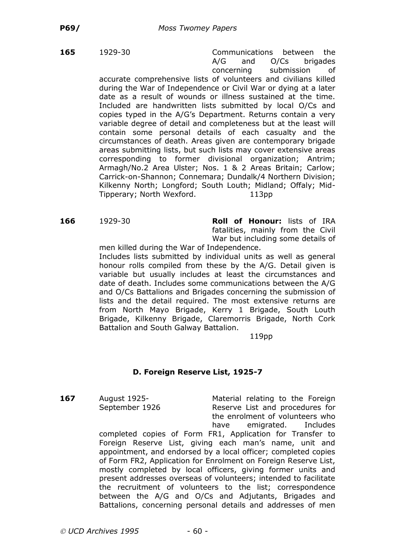**165** 1929-30 Communications between the A/G and O/Cs brigades concerning submission of accurate comprehensive lists of volunteers and civilians killed during the War of Independence or Civil War or dying at a later date as a result of wounds or illness sustained at the time. Included are handwritten lists submitted by local O/Cs and copies typed in the A/G's Department. Returns contain a very variable degree of detail and completeness but at the least will contain some personal details of each casualty and the circumstances of death. Areas given are contemporary brigade areas submitting lists, but such lists may cover extensive areas corresponding to former divisional organization; Antrim; Armagh/No.2 Area Ulster; Nos. 1 & 2 Areas Britain; Carlow; Carrick-on-Shannon; Connemara; Dundalk/4 Northern Division; Kilkenny North; Longford; South Louth; Midland; Offaly; Mid-Tipperary; North Wexford. 113pp

**166** 1929-30 **Roll of Honour:** lists of IRA fatalities, mainly from the Civil War but including some details of

men killed during the War of Independence. Includes lists submitted by individual units as well as general honour rolls compiled from these by the A/G. Detail given is variable but usually includes at least the circumstances and date of death. Includes some communications between the A/G and O/Cs Battalions and Brigades concerning the submission of lists and the detail required. The most extensive returns are from North Mayo Brigade, Kerry 1 Brigade, South Louth Brigade, Kilkenny Brigade, Claremorris Brigade, North Cork Battalion and South Galway Battalion.

#### 119pp

#### **D. Foreign Reserve List, 1925-7**

**167** August 1925- **Material relating to the Foreign** September 1926 Reserve List and procedures for the enrolment of volunteers who have emigrated. Includes

completed copies of Form FR1, Application for Transfer to Foreign Reserve List, giving each man's name, unit and appointment, and endorsed by a local officer; completed copies of Form FR2, Application for Enrolment on Foreign Reserve List, mostly completed by local officers, giving former units and present addresses overseas of volunteers; intended to facilitate the recruitment of volunteers to the list; correspondence between the A/G and O/Cs and Adjutants, Brigades and Battalions, concerning personal details and addresses of men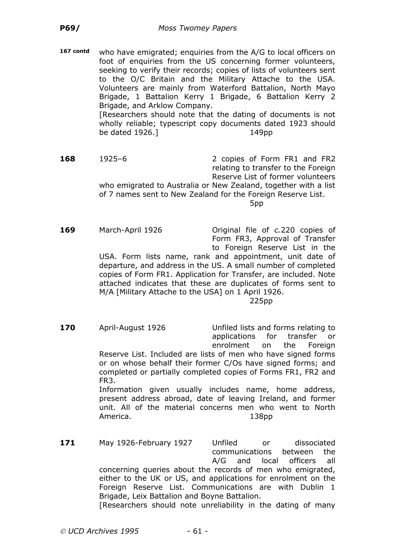**167 contd** who have emigrated; enquiries from the A/G to local officers on foot of enquiries from the US concerning former volunteers, seeking to verify their records; copies of lists of volunteers sent to the O/C Britain and the Military Attache to the USA. Volunteers are mainly from Waterford Battalion, North Mayo Brigade, 1 Battalion Kerry 1 Brigade, 6 Battalion Kerry 2 Brigade, and Arklow Company. [Researchers should note that the dating of documents is not wholly reliable; typescript copy documents dated 1923 should be dated 1926.] 149pp

**168** 1925–6 2 copies of Form FR1 and FR2 relating to transfer to the Foreign Reserve List of former volunteers who emigrated to Australia or New Zealand, together with a list of 7 names sent to New Zealand for the Foreign Reserve List. 5pp

**169** March-April 1926 Original file of *c.*220 copies of Form FR3, Approval of Transfer to Foreign Reserve List in the USA. Form lists name, rank and appointment, unit date of departure, and address in the US. A small number of completed copies of Form FR1. Application for Transfer, are included. Note attached indicates that these are duplicates of forms sent to M/A [Military Attache to the USA] on 1 April 1926. 225pp

- **170** April-August 1926 Unfiled lists and forms relating to applications for transfer or enrolment on the Foreign Reserve List. Included are lists of men who have signed forms or on whose behalf their former C/Os have signed forms; and completed or partially completed copies of Forms FR1, FR2 and FR3. Information given usually includes name, home address, present address abroad, date of leaving Ireland, and former unit. All of the material concerns men who went to North America. 138pp
- 171 May 1926-February 1927 Unfiled or dissociated communications between the A/G and local officers all concerning queries about the records of men who emigrated, either to the UK or US, and applications for enrolment on the Foreign Reserve List. Communications are with Dublin 1 Brigade, Leix Battalion and Boyne Battalion. [Researchers should note unreliability in the dating of many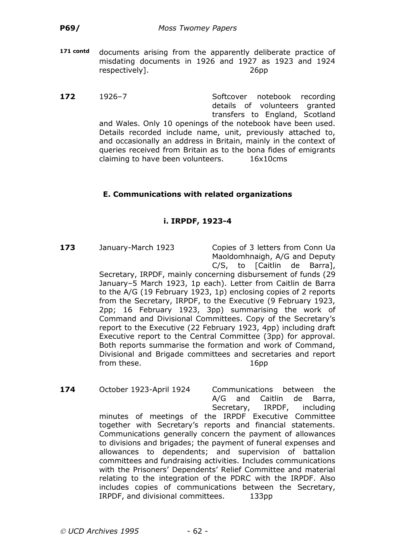- **171 contd** documents arising from the apparently deliberate practice of misdating documents in 1926 and 1927 as 1923 and 1924 respectively]. 26pp
- **172** 1926–7 Softcover notebook recording details of volunteers granted transfers to England, Scotland and Wales. Only 10 openings of the notebook have been used. Details recorded include name, unit, previously attached to, and occasionally an address in Britain, mainly in the context of queries received from Britain as to the bona fides of emigrants claiming to have been volunteers. 16x10cms

# **E. Communications with related organizations**

## **i. IRPDF, 1923-4**

**173** January-March 1923 Copies of 3 letters from Conn Ua Maoldomhnaigh, A/G and Deputy C/S, to [Caitlin de Barra],

Secretary, IRPDF, mainly concerning disbursement of funds (29 January–5 March 1923, 1p each). Letter from Caitlin de Barra to the A/G (19 February 1923, 1p) enclosing copies of 2 reports from the Secretary, IRPDF, to the Executive (9 February 1923, 2pp; 16 February 1923, 3pp) summarising the work of Command and Divisional Committees. Copy of the Secretary's report to the Executive (22 February 1923, 4pp) including draft Executive report to the Central Committee (3pp) for approval. Both reports summarise the formation and work of Command, Divisional and Brigade committees and secretaries and report from these. The same state of the set of the set of the set of the set of the set of the set of the set of the set of the set of the set of the set of the set of the set of the set of the set of the set of the set of the s

**174** October 1923-April 1924 Communications between the A/G and Caitlin de Barra, Secretary, IRPDF, including minutes of meetings of the IRPDF Executive Committee together with Secretary's reports and financial statements. Communications generally concern the payment of allowances to divisions and brigades; the payment of funeral expenses and allowances to dependents; and supervision of battalion committees and fundraising activities. Includes communications with the Prisoners' Dependents' Relief Committee and material relating to the integration of the PDRC with the IRPDF. Also includes copies of communications between the Secretary, IRPDF, and divisional committees. 133pp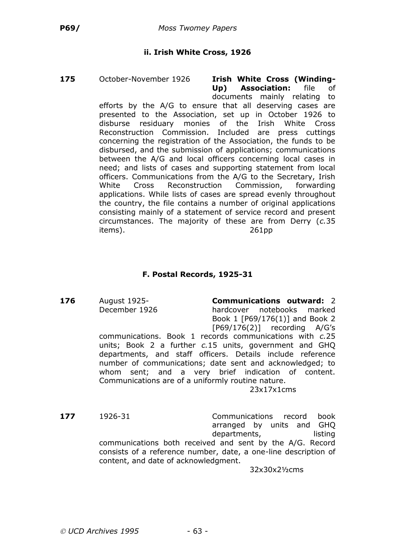### **ii. Irish White Cross, 1926**

**175** October-November 1926 **Irish White Cross (Winding-**

**Up) Association:** file of documents mainly relating to efforts by the A/G to ensure that all deserving cases are presented to the Association, set up in October 1926 to disburse residuary monies of the Irish White Cross Reconstruction Commission. Included are press cuttings concerning the registration of the Association, the funds to be disbursed, and the submission of applications; communications between the A/G and local officers concerning local cases in need; and lists of cases and supporting statement from local officers. Communications from the A/G to the Secretary, Irish White Cross Reconstruction Commission, forwarding applications. While lists of cases are spread evenly throughout the country, the file contains a number of original applications consisting mainly of a statement of service record and present circumstances. The majority of these are from Derry (*c.*35 items). 261pp

### **F. Postal Records, 1925-31**

**176** August 1925- **Communications outward:** 2 December 1926 hardcover notebooks marked Book 1 [P69/176(1)] and Book 2 [P69/176(2)] recording A/G's

> communications. Book 1 records communications with *c.*25 units; Book 2 a further *c.*15 units, government and GHQ departments, and staff officers. Details include reference number of communications; date sent and acknowledged; to whom sent; and a very brief indication of content. Communications are of a uniformly routine nature.

23x17x1cms

**177** 1926-31 Communications record book arranged by units and GHQ departments, listing communications both received and sent by the A/G. Record consists of a reference number, date, a one-line description of content, and date of acknowledgment.

32x30x2½cms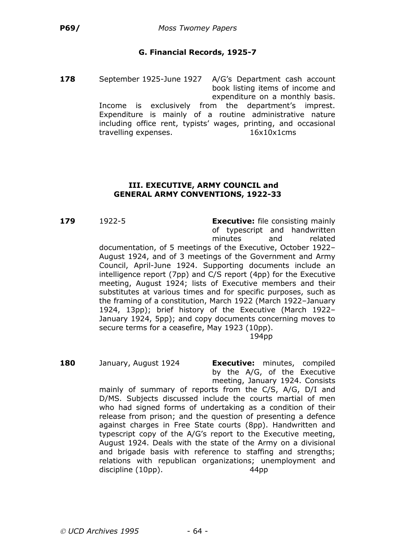# **G. Financial Records, 1925-7**

**178** September 1925-June 1927 A/G's Department cash account book listing items of income and expenditure on a monthly basis. Income is exclusively from the department's imprest. Expenditure is mainly of a routine administrative nature including office rent, typists' wages, printing, and occasional travelling expenses. 16x10x1cms

#### **III. EXECUTIVE, ARMY COUNCIL and GENERAL ARMY CONVENTIONS, 1922-33**

**179** 1922-5 **Executive:** file consisting mainly of typescript and handwritten minutes and related documentation, of 5 meetings of the Executive, October 1922– August 1924, and of 3 meetings of the Government and Army Council, April-June 1924. Supporting documents include an intelligence report (7pp) and C/S report (4pp) for the Executive meeting, August 1924; lists of Executive members and their substitutes at various times and for specific purposes, such as the framing of a constitution, March 1922 (March 1922–January 1924, 13pp); brief history of the Executive (March 1922– January 1924, 5pp); and copy documents concerning moves to secure terms for a ceasefire, May 1923 (10pp).

194pp

**180** January, August 1924 **Executive:** minutes, compiled by the A/G, of the Executive meeting, January 1924. Consists

mainly of summary of reports from the C/S, A/G, D/I and D/MS. Subjects discussed include the courts martial of men who had signed forms of undertaking as a condition of their release from prison; and the question of presenting a defence against charges in Free State courts (8pp). Handwritten and typescript copy of the A/G's report to the Executive meeting, August 1924. Deals with the state of the Army on a divisional and brigade basis with reference to staffing and strengths; relations with republican organizations; unemployment and discipline (10pp). 44pp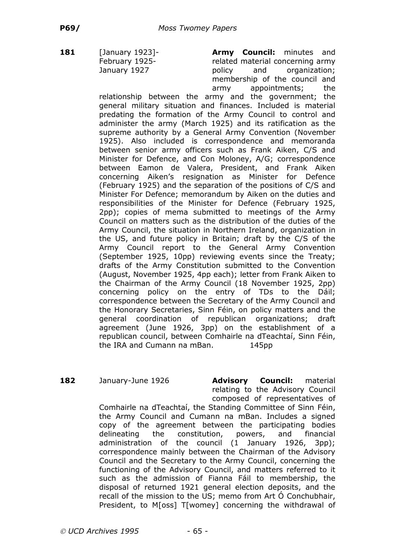**181** [January 1923]- **Army Council:** minutes and February 1925-<br>
related material concerning army January 1927 **bolicy** and organization: membership of the council and army appointments; the

> relationship between the army and the government; the general military situation and finances. Included is material predating the formation of the Army Council to control and administer the army (March 1925) and its ratification as the supreme authority by a General Army Convention (November 1925). Also included is correspondence and memoranda between senior army officers such as Frank Aiken, C/S and Minister for Defence, and Con Moloney, A/G; correspondence between Eamon de Valera, President, and Frank Aiken concerning Aiken's resignation as Minister for Defence (February 1925) and the separation of the positions of C/S and Minister For Defence; memorandum by Aiken on the duties and responsibilities of the Minister for Defence (February 1925, 2pp); copies of mema submitted to meetings of the Army Council on matters such as the distribution of the duties of the Army Council, the situation in Northern Ireland, organization in the US, and future policy in Britain; draft by the C/S of the Army Council report to the General Army Convention (September 1925, 10pp) reviewing events since the Treaty; drafts of the Army Constitution submitted to the Convention (August, November 1925, 4pp each); letter from Frank Aiken to the Chairman of the Army Council (18 November 1925, 2pp) concerning policy on the entry of TDs to the Dáil; correspondence between the Secretary of the Army Council and the Honorary Secretaries, Sinn Féin, on policy matters and the general coordination of republican organizations; draft agreement (June 1926, 3pp) on the establishment of a republican council, between Comhairle na dTeachtaí, Sinn Féin, the IRA and Cumann na mBan. 145pp

**182** January-June 1926 **Advisory Council:** material relating to the Advisory Council composed of representatives of

Comhairle na dTeachtaí, the Standing Committee of Sinn Féin, the Army Council and Cumann na mBan. Includes a signed copy of the agreement between the participating bodies delineating the constitution, powers, and financial administration of the council (1 January 1926, 3pp); correspondence mainly between the Chairman of the Advisory Council and the Secretary to the Army Council, concerning the functioning of the Advisory Council, and matters referred to it such as the admission of Fianna Fáil to membership, the disposal of returned 1921 general election deposits, and the recall of the mission to the US; memo from Art Ó Conchubhair, President, to M[oss] T[womey] concerning the withdrawal of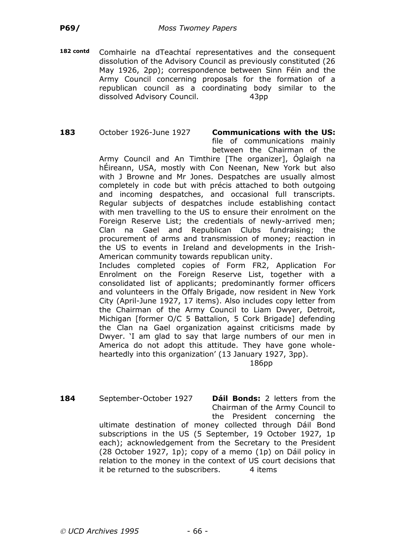**182 contd** Comhairle na dTeachtaí representatives and the consequent dissolution of the Advisory Council as previously constituted (26 May 1926, 2pp); correspondence between Sinn Féin and the Army Council concerning proposals for the formation of a republican council as a coordinating body similar to the dissolved Advisory Council. 43pp

# **183** October 1926-June 1927 **Communications with the US:**

file of communications mainly between the Chairman of the

Army Council and An Timthire [The organizer], Óglaigh na hÉireann, USA, mostly with Con Neenan, New York but also with J Browne and Mr Jones. Despatches are usually almost completely in code but with précis attached to both outgoing and incoming despatches, and occasional full transcripts. Regular subjects of despatches include establishing contact with men travelling to the US to ensure their enrolment on the Foreign Reserve List; the credentials of newly-arrived men; Clan na Gael and Republican Clubs fundraising; the procurement of arms and transmission of money; reaction in the US to events in Ireland and developments in the Irish-American community towards republican unity.

Includes completed copies of Form FR2, Application For Enrolment on the Foreign Reserve List, together with a consolidated list of applicants; predominantly former officers and volunteers in the Offaly Brigade, now resident in New York City (April-June 1927, 17 items). Also includes copy letter from the Chairman of the Army Council to Liam Dwyer, Detroit, Michigan [former O/C 5 Battalion, 5 Cork Brigade] defending the Clan na Gael organization against criticisms made by Dwyer. 'I am glad to say that large numbers of our men in America do not adopt this attitude. They have gone wholeheartedly into this organization' (13 January 1927, 3pp).

186pp

**184** September-October 1927 **Dáil Bonds:** 2 letters from the Chairman of the Army Council to

the President concerning the ultimate destination of money collected through Dáil Bond subscriptions in the US (5 September, 19 October 1927, 1p each); acknowledgement from the Secretary to the President (28 October 1927, 1p); copy of a memo (1p) on Dáil policy in relation to the money in the context of US court decisions that it be returned to the subscribers.  $\overline{4}$  items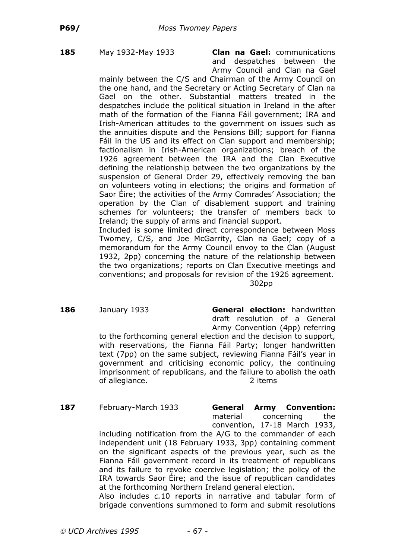**185** May 1932-May 1933 **Clan na Gael:** communications and despatches between the Army Council and Clan na Gael

mainly between the C/S and Chairman of the Army Council on the one hand, and the Secretary or Acting Secretary of Clan na Gael on the other. Substantial matters treated in the despatches include the political situation in Ireland in the after math of the formation of the Fianna Fáil government; IRA and Irish-American attitudes to the government on issues such as the annuities dispute and the Pensions Bill; support for Fianna Fáil in the US and its effect on Clan support and membership; factionalism in Irish-American organizations; breach of the 1926 agreement between the IRA and the Clan Executive defining the relationship between the two organizations by the suspension of General Order 29, effectively removing the ban on volunteers voting in elections; the origins and formation of Saor Éire; the activities of the Army Comrades' Association; the operation by the Clan of disablement support and training schemes for volunteers; the transfer of members back to Ireland; the supply of arms and financial support.

Included is some limited direct correspondence between Moss Twomey, C/S, and Joe McGarrity, Clan na Gael; copy of a memorandum for the Army Council envoy to the Clan (August 1932, 2pp) concerning the nature of the relationship between the two organizations; reports on Clan Executive meetings and conventions; and proposals for revision of the 1926 agreement. 302pp

**186** January 1933 **General election:** handwritten draft resolution of a General Army Convention (4pp) referring to the forthcoming general election and the decision to support, with reservations, the Fianna Fáil Party; longer handwritten text (7pp) on the same subject, reviewing Fianna Fáil's year in government and criticising economic policy, the continuing imprisonment of republicans, and the failure to abolish the oath of allegiance. 2 items

**187** February-March 1933 **General Army Convention:** material concerning the convention, 17-18 March 1933,

including notification from the A/G to the commander of each independent unit (18 February 1933, 3pp) containing comment on the significant aspects of the previous year, such as the Fianna Fáil government record in its treatment of republicans and its failure to revoke coercive legislation; the policy of the IRA towards Saor Éire; and the issue of republican candidates at the forthcoming Northern Ireland general election.

Also includes *c.*10 reports in narrative and tabular form of brigade conventions summoned to form and submit resolutions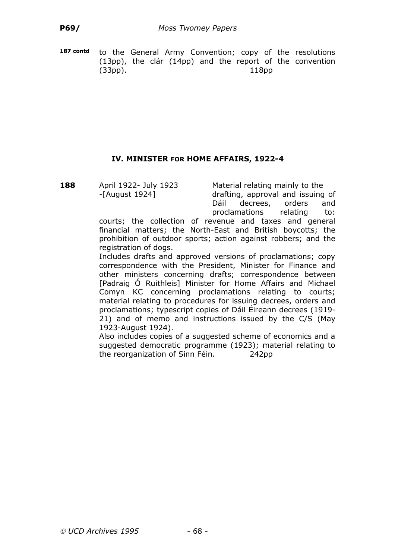**187 contd** to the General Army Convention; copy of the resolutions (13pp), the clár (14pp) and the report of the convention (33pp). 118pp

# **IV. MINISTER FOR HOME AFFAIRS, 1922-4**

**188** April 1922- July 1923 Material relating mainly to the

-[August 1924] drafting, approval and issuing of Dáil decrees, orders and proclamations relating to:

courts; the collection of revenue and taxes and general financial matters; the North-East and British boycotts; the prohibition of outdoor sports; action against robbers; and the registration of dogs.

Includes drafts and approved versions of proclamations; copy correspondence with the President, Minister for Finance and other ministers concerning drafts; correspondence between [Padraig Ó Ruithleis] Minister for Home Affairs and Michael Comyn KC concerning proclamations relating to courts; material relating to procedures for issuing decrees, orders and proclamations; typescript copies of Dáil Éireann decrees (1919- 21) and of memo and instructions issued by the C/S (May 1923-August 1924).

Also includes copies of a suggested scheme of economics and a suggested democratic programme (1923); material relating to the reorganization of Sinn Féin. 242pp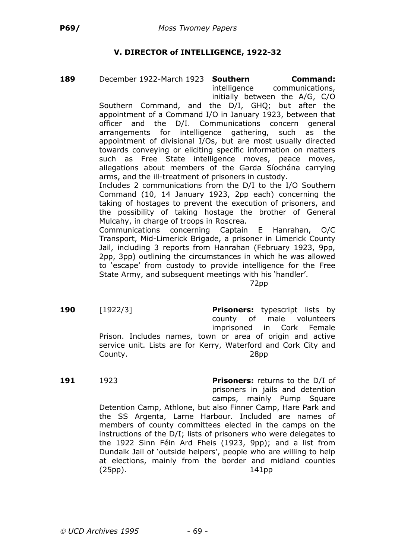# **V. DIRECTOR of INTELLIGENCE, 1922-32**

**189** December 1922-March 1923 **Southern Command:**

intelligence communications, initially between the A/G, C/O

Southern Command, and the D/I, GHQ; but after the appointment of a Command I/O in January 1923, between that officer and the D/I. Communications concern general arrangements for intelligence gathering, such as the appointment of divisional I/Os, but are most usually directed towards conveying or eliciting specific information on matters such as Free State intelligence moves, peace moves, allegations about members of the Garda Síochána carrying arms, and the ill-treatment of prisoners in custody.

Includes 2 communications from the D/I to the I/O Southern Command (10, 14 January 1923, 2pp each) concerning the taking of hostages to prevent the execution of prisoners, and the possibility of taking hostage the brother of General Mulcahy, in charge of troops in Roscrea.

Communications concerning Captain E Hanrahan, O/C Transport, Mid-Limerick Brigade, a prisoner in Limerick County Jail, including 3 reports from Hanrahan (February 1923, 9pp, 2pp, 3pp) outlining the circumstances in which he was allowed to 'escape' from custody to provide intelligence for the Free State Army, and subsequent meetings with his 'handler'.

72pp

**190** [1922/3] **Prisoners:** typescript lists by county of male volunteers imprisoned in Cork Female Prison. Includes names, town or area of origin and active service unit. Lists are for Kerry, Waterford and Cork City and County. 28pp

**191** 1923 **Prisoners:** returns to the D/I of prisoners in jails and detention camps, mainly Pump Square Detention Camp, Athlone, but also Finner Camp, Hare Park and the SS Argenta, Larne Harbour. Included are names of members of county committees elected in the camps on the instructions of the D/I; lists of prisoners who were delegates to the 1922 Sinn Féin Ard Fheis (1923, 9pp); and a list from

(25pp). 141pp

Dundalk Jail of 'outside helpers', people who are willing to help at elections, mainly from the border and midland counties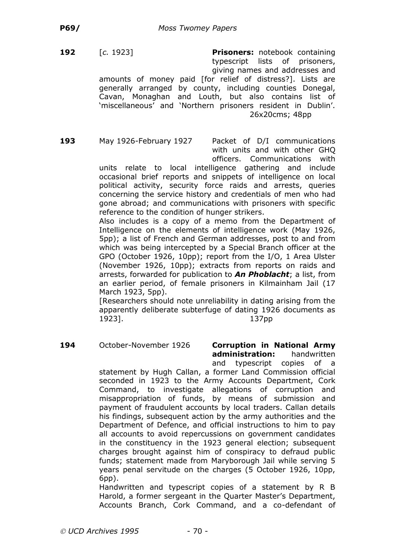**192** [*c.* 1923] **Prisoners:** notebook containing typescript lists of prisoners, giving names and addresses and amounts of money paid [for relief of distress?]. Lists are generally arranged by county, including counties Donegal, Cavan, Monaghan and Louth, but also contains list of 'miscellaneous' and 'Northern prisoners resident in Dublin'. 26x20cms; 48pp

**193** May 1926-February 1927 Packet of D/I communications with units and with other GHQ officers. Communications with

units relate to local intelligence gathering and include occasional brief reports and snippets of intelligence on local political activity, security force raids and arrests, queries concerning the service history and credentials of men who had gone abroad; and communications with prisoners with specific reference to the condition of hunger strikers.

Also includes is a copy of a memo from the Department of Intelligence on the elements of intelligence work (May 1926, 5pp); a list of French and German addresses, post to and from which was being intercepted by a Special Branch officer at the GPO (October 1926, 10pp); report from the I/O, 1 Area Ulster (November 1926, 10pp); extracts from reports on raids and arrests, forwarded for publication to *An Phoblacht*; a list, from an earlier period, of female prisoners in Kilmainham Jail (17 March 1923, 5pp).

[Researchers should note unreliability in dating arising from the apparently deliberate subterfuge of dating 1926 documents as 1923]. 137pp

**194** October-November 1926 **Corruption in National Army administration:** handwritten and typescript copies of a

statement by Hugh Callan, a former Land Commission official seconded in 1923 to the Army Accounts Department, Cork Command, to investigate allegations of corruption and misappropriation of funds, by means of submission and payment of fraudulent accounts by local traders. Callan details his findings, subsequent action by the army authorities and the Department of Defence, and official instructions to him to pay all accounts to avoid repercussions on government candidates in the constituency in the 1923 general election; subsequent charges brought against him of conspiracy to defraud public funds; statement made from Maryborough Jail while serving 5 years penal servitude on the charges (5 October 1926, 10pp, 6pp).

Handwritten and typescript copies of a statement by R B Harold, a former sergeant in the Quarter Master's Department, Accounts Branch, Cork Command, and a co-defendant of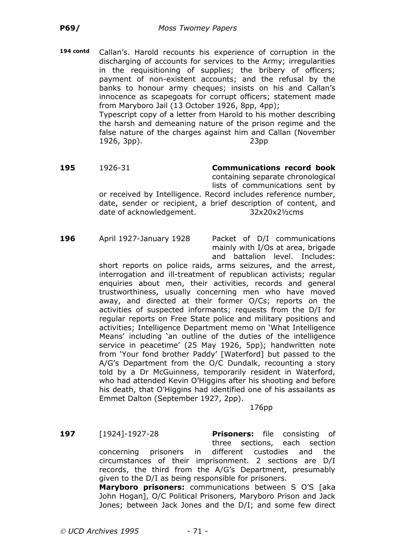**194 contd** Callan's. Harold recounts his experience of corruption in the discharging of accounts for services to the Army; irregularities in the requisitioning of supplies; the bribery of officers; payment of non-existent accounts; and the refusal by the banks to honour army cheques; insists on his and Callan's innocence as scapegoats for corrupt officers; statement made from Maryboro Jail (13 October 1926, 8pp, 4pp); Typescript copy of a letter from Harold to his mother describing the harsh and demeaning nature of the prison regime and the false nature of the charges against him and Callan (November 1926, 3pp). 23pp

- **195** 1926-31 **Communications record book** containing separate chronological lists of communications sent by or received by Intelligence. Record includes reference number, date, sender or recipient, a brief description of content, and date of acknowledgement. 32x20x2½cms
- **196** April 1927-January 1928 Packet of D/I communications

mainly with I/Os at area, brigade and battalion level. Includes:

short reports on police raids, arms seizures, and the arrest, interrogation and ill-treatment of republican activists; regular enquiries about men, their activities, records and general trustworthiness, usually concerning men who have moved away, and directed at their former O/Cs; reports on the activities of suspected informants; requests from the D/I for regular reports on Free State police and military positions and activities; Intelligence Department memo on 'What Intelligence Means' including 'an outline of the duties of the intelligence service in peacetime' (25 May 1926, 5pp); handwritten note from 'Your fond brother Paddy' [Waterford] but passed to the A/G's Department from the O/C Dundalk, recounting a story told by a Dr McGuinness, temporarily resident in Waterford, who had attended Kevin O'Higgins after his shooting and before his death, that O'Higgins had identified one of his assailants as Emmet Dalton (September 1927, 2pp).

176pp

**197** [1924]-1927-28 **Prisoners:** file consisting of three sections, each section concerning prisoners in different custodies and the circumstances of their imprisonment. 2 sections are D/I records, the third from the A/G's Department, presumably given to the D/I as being responsible for prisoners.

**Maryboro prisoners:** communications between S O'S [aka John Hogan], O/C Political Prisoners, Maryboro Prison and Jack Jones; between Jack Jones and the D/I; and some few direct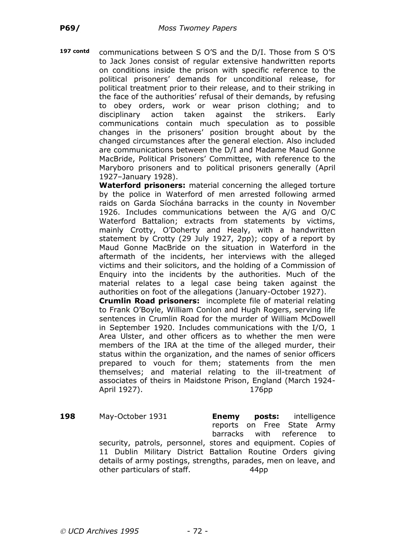**197 contd** communications between S O'S and the D/I. Those from S O'S to Jack Jones consist of regular extensive handwritten reports on conditions inside the prison with specific reference to the political prisoners' demands for unconditional release, for political treatment prior to their release, and to their striking in the face of the authorities' refusal of their demands, by refusing to obey orders, work or wear prison clothing; and to disciplinary action taken against the strikers. Early communications contain much speculation as to possible changes in the prisoners' position brought about by the changed circumstances after the general election. Also included are communications between the D/I and Madame Maud Gonne MacBride, Political Prisoners' Committee, with reference to the Maryboro prisoners and to political prisoners generally (April 1927–January 1928).

**Waterford prisoners:** material concerning the alleged torture by the police in Waterford of men arrested following armed raids on Garda Síochána barracks in the county in November 1926. Includes communications between the A/G and O/C Waterford Battalion; extracts from statements by victims, mainly Crotty, O'Doherty and Healy, with a handwritten statement by Crotty (29 July 1927, 2pp); copy of a report by Maud Gonne MacBride on the situation in Waterford in the aftermath of the incidents, her interviews with the alleged victims and their solicitors, and the holding of a Commission of Enquiry into the incidents by the authorities. Much of the material relates to a legal case being taken against the authorities on foot of the allegations (January-October 1927).

**Crumlin Road prisoners:** incomplete file of material relating to Frank O'Boyle, William Conlon and Hugh Rogers, serving life sentences in Crumlin Road for the murder of William McDowell in September 1920. Includes communications with the I/O, 1 Area Ulster, and other officers as to whether the men were members of the IRA at the time of the alleged murder, their status within the organization, and the names of senior officers prepared to vouch for them; statements from the men themselves; and material relating to the ill-treatment of associates of theirs in Maidstone Prison, England (March 1924- April 1927). 176pp

**198** May-October 1931 **Enemy posts:** intelligence reports on Free State Army barracks with reference to security, patrols, personnel, stores and equipment. Copies of 11 Dublin Military District Battalion Routine Orders giving details of army postings, strengths, parades, men on leave, and other particulars of staff. 44pp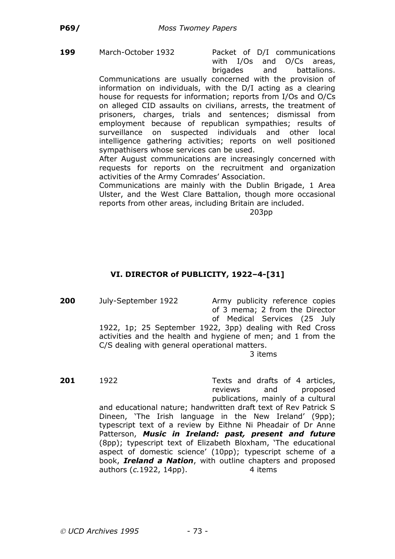**199** March-October 1932 Packet of D/I communications with I/Os and O/Cs areas, brigades and battalions.

Communications are usually concerned with the provision of information on individuals, with the D/I acting as a clearing house for requests for information; reports from I/Os and O/Cs on alleged CID assaults on civilians, arrests, the treatment of prisoners, charges, trials and sentences; dismissal from employment because of republican sympathies; results of surveillance on suspected individuals and other local intelligence gathering activities; reports on well positioned sympathisers whose services can be used.

After August communications are increasingly concerned with requests for reports on the recruitment and organization activities of the Army Comrades' Association.

Communications are mainly with the Dublin Brigade, 1 Area Ulster, and the West Clare Battalion, though more occasional reports from other areas, including Britain are included.

203pp

# **VI. DIRECTOR of PUBLICITY, 1922–4-[31]**

**200** July-September 1922 Army publicity reference copies of 3 mema; 2 from the Director of Medical Services (25 July

1922, 1p; 25 September 1922, 3pp) dealing with Red Cross activities and the health and hygiene of men; and 1 from the C/S dealing with general operational matters.

3 items

**201** 1922 Texts and drafts of 4 articles,

reviews and proposed publications, mainly of a cultural and educational nature; handwritten draft text of Rev Patrick S Dineen, 'The Irish language in the New Ireland' (9pp); typescript text of a review by Eithne Ni Pheadair of Dr Anne Patterson, *Music in Ireland: past, present and future* (8pp); typescript text of Elizabeth Bloxham, 'The educational aspect of domestic science' (10pp); typescript scheme of a book, *Ireland a Nation*, with outline chapters and proposed authors (*c.* 1922, 14pp). 4 items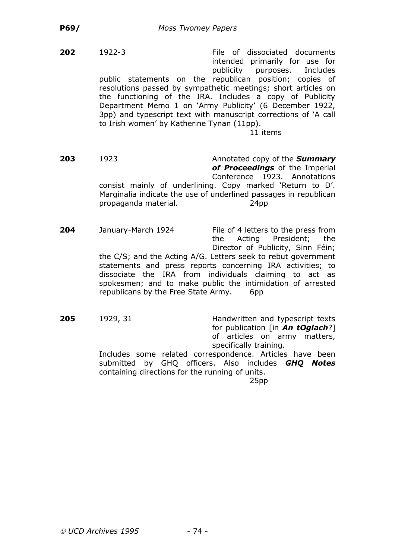**202** 1922-3 File of dissociated documents intended primarily for use for publicity purposes. Includes public statements on the republican position; copies of resolutions passed by sympathetic meetings; short articles on the functioning of the IRA. Includes a copy of Publicity Department Memo 1 on 'Army Publicity' (6 December 1922, 3pp) and typescript text with manuscript corrections of 'A call to Irish women' by Katherine Tynan (11pp).

11 items

**203** 1923 Annotated copy of the *Summary of Proceedings* of the Imperial Conference 1923. Annotations consist mainly of underlining. Copy marked 'Return to D'. Marginalia indicate the use of underlined passages in republican propaganda material. 24pp

**204** January-March 1924 File of 4 letters to the press from the Acting President; the Director of Publicity, Sinn Féin; the C/S; and the Acting A/G. Letters seek to rebut government statements and press reports concerning IRA activities; to dissociate the IRA from individuals claiming to act as spokesmen; and to make public the intimidation of arrested republicans by the Free State Army. 6pp

**205** 1929, 31 Handwritten and typescript texts for publication [in *An tOglach*?] of articles on army matters, specifically training.

Includes some related correspondence. Articles have been submitted by GHQ officers. Also includes *GHQ Notes* containing directions for the running of units. 25pp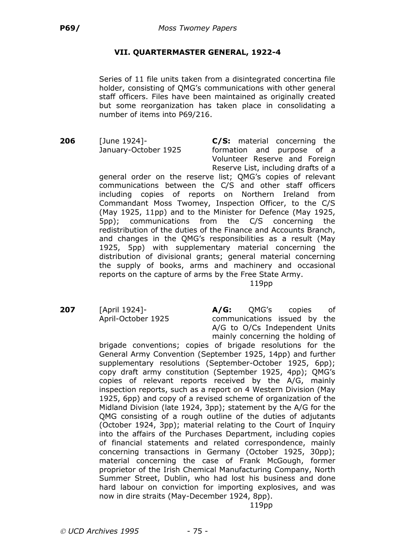# **VII. QUARTERMASTER GENERAL, 1922-4**

Series of 11 file units taken from a disintegrated concertina file holder, consisting of QMG's communications with other general staff officers. Files have been maintained as originally created but some reorganization has taken place in consolidating a number of items into P69/216.

**206** [June 1924]- **C/S:** material concerning the January-October 1925 formation and purpose of a Volunteer Reserve and Foreign Reserve List, including drafts of a

general order on the reserve list; QMG's copies of relevant communications between the C/S and other staff officers including copies of reports on Northern Ireland from Commandant Moss Twomey, Inspection Officer, to the C/S (May 1925, 11pp) and to the Minister for Defence (May 1925, 5pp); communications from the C/S concerning the redistribution of the duties of the Finance and Accounts Branch, and changes in the QMG's responsibilities as a result (May 1925, 5pp) with supplementary material concerning the distribution of divisional grants; general material concerning the supply of books, arms and machinery and occasional reports on the capture of arms by the Free State Army.

119pp

**207** [April 1924]- **A/G:** QMG's copies of April-October 1925 communications issued by the A/G to O/Cs Independent Units mainly concerning the holding of

brigade conventions; copies of brigade resolutions for the General Army Convention (September 1925, 14pp) and further supplementary resolutions (September-October 1925, 6pp); copy draft army constitution (September 1925, 4pp); QMG's copies of relevant reports received by the A/G, mainly inspection reports, such as a report on 4 Western Division (May 1925, 6pp) and copy of a revised scheme of organization of the Midland Division (late 1924, 3pp); statement by the A/G for the QMG consisting of a rough outline of the duties of adjutants (October 1924, 3pp); material relating to the Court of Inquiry into the affairs of the Purchases Department, including copies of financial statements and related correspondence, mainly concerning transactions in Germany (October 1925, 30pp); material concerning the case of Frank McGough, former proprietor of the Irish Chemical Manufacturing Company, North Summer Street, Dublin, who had lost his business and done hard labour on conviction for importing explosives, and was now in dire straits (May-December 1924, 8pp).

119pp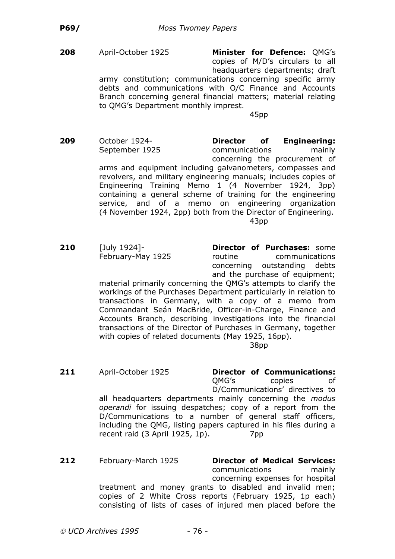**208** April-October 1925 **Minister for Defence:** QMG's copies of M/D's circulars to all headquarters departments; draft

army constitution; communications concerning specific army debts and communications with O/C Finance and Accounts Branch concerning general financial matters; material relating to QMG's Department monthly imprest.

45pp

- **209** October 1924- **Director of Engineering:** September 1925 communications mainly concerning the procurement of arms and equipment including galvanometers, compasses and revolvers, and military engineering manuals; includes copies of Engineering Training Memo 1 (4 November 1924, 3pp) containing a general scheme of training for the engineering service, and of a memo on engineering organization (4 November 1924, 2pp) both from the Director of Engineering. 43pp
- **210** [July 1924]- **Director of Purchases:** some February-May 1925 routine communications concerning outstanding debts and the purchase of equipment;

material primarily concerning the QMG's attempts to clarify the workings of the Purchases Department particularly in relation to transactions in Germany, with a copy of a memo from Commandant Seán MacBride, Officer-in-Charge, Finance and Accounts Branch, describing investigations into the financial transactions of the Director of Purchases in Germany, together with copies of related documents (May 1925, 16pp).

38pp

- **211** April-October 1925 **Director of Communications:** QMG's copies of D/Communications' directives to all headquarters departments mainly concerning the *modus operandi* for issuing despatches; copy of a report from the D/Communications to a number of general staff officers, including the QMG, listing papers captured in his files during a recent raid (3 April 1925, 1p). 7pp
- **212** February-March 1925 **Director of Medical Services:** communications mainly concerning expenses for hospital treatment and money grants to disabled and invalid men; copies of 2 White Cross reports (February 1925, 1p each) consisting of lists of cases of injured men placed before the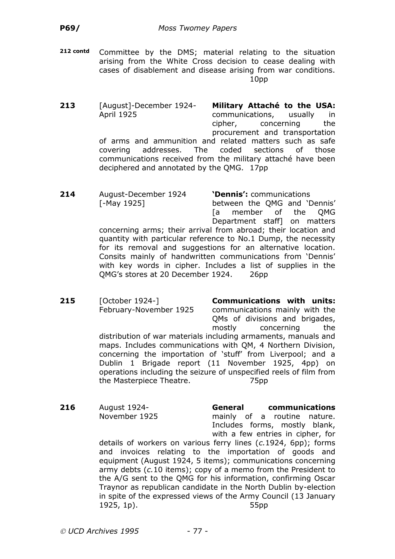**212 contd** Committee by the DMS; material relating to the situation arising from the White Cross decision to cease dealing with cases of disablement and disease arising from war conditions. 10pp

**213** [August]-December 1924- **Military Attaché to the USA:** April 1925 communications, usually in cipher, concerning the procurement and transportation of arms and ammunition and related matters such as safe covering addresses. The coded sections of those communications received from the military attaché have been deciphered and annotated by the QMG. 17pp

**214** August-December 1924 **'Dennis':** communications [-May 1925] between the QMG and 'Dennis' [a member of the QMG Department staff] on matters concerning arms; their arrival from abroad; their location and quantity with particular reference to No.1 Dump, the necessity for its removal and suggestions for an alternative location. Consits mainly of handwritten communications from 'Dennis' with key words in cipher. Includes a list of supplies in the QMG's stores at 20 December 1924. 26pp

**215** [October 1924-] **Communications with units:** February-November 1925 communications mainly with the QMs of divisions and brigades, mostly concerning the distribution of war materials including armaments, manuals and maps. Includes communications with QM, 4 Northern Division, concerning the importation of 'stuff' from Liverpool; and a Dublin 1 Brigade report (11 November 1925, 4pp) on operations including the seizure of unspecified reels of film from the Masterpiece Theatre. 75pp

**216** August 1924- **General communications** November 1925 mainly of a routine nature. Includes forms, mostly blank, with a few entries in cipher, for

details of workers on various ferry lines (*c.*1924, 6pp); forms and invoices relating to the importation of goods and equipment (August 1924, 5 items); communications concerning army debts (*c.*10 items); copy of a memo from the President to the A/G sent to the QMG for his information, confirming Oscar Traynor as republican candidate in the North Dublin by-election in spite of the expressed views of the Army Council (13 January 1925, 1p). 55pp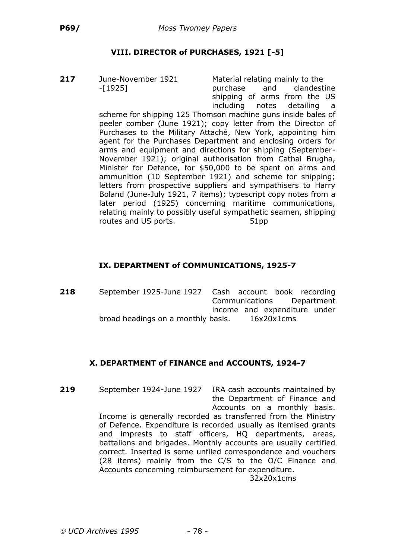# **VIII. DIRECTOR of PURCHASES, 1921 [-5]**

**217** June-November 1921 Material relating mainly to the

-[1925] purchase and clandestine shipping of arms from the US including notes detailing a

scheme for shipping 125 Thomson machine guns inside bales of peeler comber (June 1921); copy letter from the Director of Purchases to the Military Attaché, New York, appointing him agent for the Purchases Department and enclosing orders for arms and equipment and directions for shipping (September-November 1921); original authorisation from Cathal Brugha, Minister for Defence, for \$50,000 to be spent on arms and ammunition (10 September 1921) and scheme for shipping; letters from prospective suppliers and sympathisers to Harry Boland (June-July 1921, 7 items); typescript copy notes from a later period (1925) concerning maritime communications, relating mainly to possibly useful sympathetic seamen, shipping routes and US ports. 51pp

# **IX. DEPARTMENT of COMMUNICATIONS, 1925-7**

**218** September 1925-June 1927 Cash account book recording Communications Department income and expenditure under broad headings on a monthly basis. 16x20x1cms

# **X. DEPARTMENT of FINANCE and ACCOUNTS, 1924-7**

**219** September 1924-June 1927 IRA cash accounts maintained by the Department of Finance and Accounts on a monthly basis. Income is generally recorded as transferred from the Ministry of Defence. Expenditure is recorded usually as itemised grants and imprests to staff officers, HQ departments, areas, battalions and brigades. Monthly accounts are usually certified correct. Inserted is some unfiled correspondence and vouchers (28 items) mainly from the C/S to the O/C Finance and Accounts concerning reimbursement for expenditure.

32x20x1cms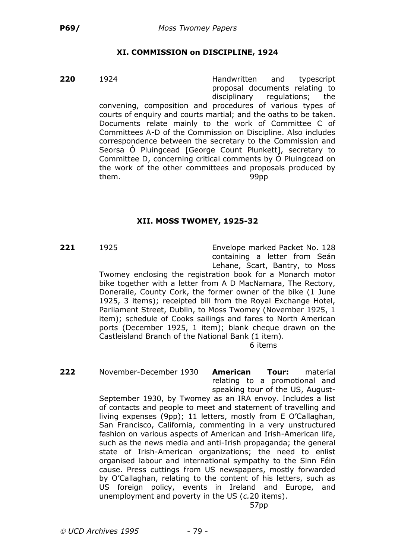### **XI. COMMISSION on DISCIPLINE, 1924**

**220** 1924 **Handwritten** and typescript proposal documents relating to disciplinary regulations; the convening, composition and procedures of various types of courts of enquiry and courts martial; and the oaths to be taken. Documents relate mainly to the work of Committee C of Committees A-D of the Commission on Discipline. Also includes correspondence between the secretary to the Commission and Seorsa Ó Pluingcead [George Count Plunkett], secretary to Committee D, concerning critical comments by Ó Pluingcead on the work of the other committees and proposals produced by them. 99pp

### **XII. MOSS TWOMEY, 1925-32**

**221** 1925 Envelope marked Packet No. 128 containing a letter from Seán Lehane, Scart, Bantry, to Moss

Twomey enclosing the registration book for a Monarch motor bike together with a letter from A D MacNamara, The Rectory, Doneraile, County Cork, the former owner of the bike (1 June 1925, 3 items); receipted bill from the Royal Exchange Hotel, Parliament Street, Dublin, to Moss Twomey (November 1925, 1 item); schedule of Cooks sailings and fares to North American ports (December 1925, 1 item); blank cheque drawn on the Castleisland Branch of the National Bank (1 item).

6 items

**222** November-December 1930 **American Tour:** material relating to a promotional and speaking tour of the US, August-

September 1930, by Twomey as an IRA envoy. Includes a list of contacts and people to meet and statement of travelling and living expenses (9pp); 11 letters, mostly from E O'Callaghan, San Francisco, California, commenting in a very unstructured fashion on various aspects of American and Irish-American life, such as the news media and anti-Irish propaganda; the general state of Irish-American organizations; the need to enlist organised labour and international sympathy to the Sinn Féin cause. Press cuttings from US newspapers, mostly forwarded by O'Callaghan, relating to the content of his letters, such as US foreign policy, events in Ireland and Europe, and unemployment and poverty in the US (*c.*20 items).

57pp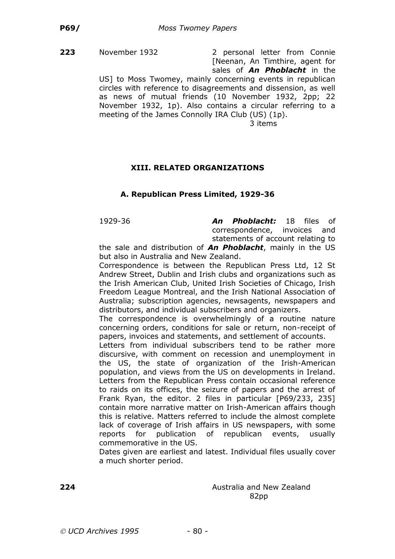**223** November 1932 2 personal letter from Connie [Neenan, An Timthire, agent for sales of *An Phoblacht* in the

US] to Moss Twomey, mainly concerning events in republican circles with reference to disagreements and dissension, as well as news of mutual friends (10 November 1932, 2pp; 22 November 1932, 1p). Also contains a circular referring to a meeting of the James Connolly IRA Club (US) (1p).

3 items

# **XIII. RELATED ORGANIZATIONS**

# **A. Republican Press Limited, 1929-36**

1929-36 *An Phoblacht:* 18 files of correspondence, invoices and statements of account relating to

the sale and distribution of *An Phoblacht*, mainly in the US but also in Australia and New Zealand.

Correspondence is between the Republican Press Ltd, 12 St Andrew Street, Dublin and Irish clubs and organizations such as the Irish American Club, United Irish Societies of Chicago, Irish Freedom League Montreal, and the Irish National Association of Australia; subscription agencies, newsagents, newspapers and distributors, and individual subscribers and organizers.

The correspondence is overwhelmingly of a routine nature concerning orders, conditions for sale or return, non-receipt of papers, invoices and statements, and settlement of accounts.

Letters from individual subscribers tend to be rather more discursive, with comment on recession and unemployment in the US, the state of organization of the Irish-American population, and views from the US on developments in Ireland. Letters from the Republican Press contain occasional reference to raids on its offices, the seizure of papers and the arrest of Frank Ryan, the editor. 2 files in particular [P69/233, 235] contain more narrative matter on Irish-American affairs though this is relative. Matters referred to include the almost complete lack of coverage of Irish affairs in US newspapers, with some reports for publication of republican events, usually commemorative in the US.

Dates given are earliest and latest. Individual files usually cover a much shorter period.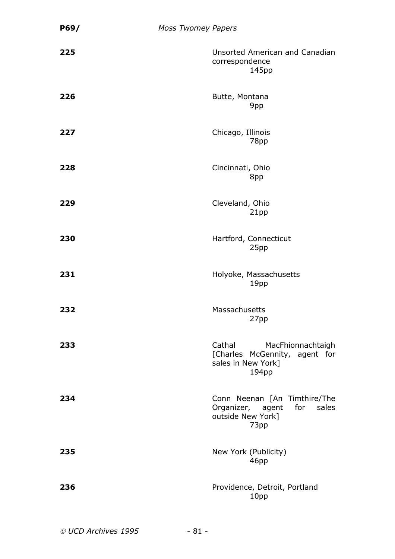| P69/ | <b>Moss Twomey Papers</b> |                                                                                             |
|------|---------------------------|---------------------------------------------------------------------------------------------|
| 225  |                           | Unsorted American and Canadian<br>correspondence<br>145pp                                   |
| 226  |                           | Butte, Montana<br>9pp                                                                       |
| 227  |                           | Chicago, Illinois<br>78pp                                                                   |
| 228  |                           | Cincinnati, Ohio<br>8pp                                                                     |
| 229  |                           | Cleveland, Ohio<br>21pp                                                                     |
| 230  |                           | Hartford, Connecticut<br>25pp                                                               |
| 231  |                           | Holyoke, Massachusetts<br>19pp                                                              |
| 232  |                           | Massachusetts<br>27pp                                                                       |
| 233  |                           | Cathal<br>MacFhionnachtaigh<br>[Charles McGennity, agent for<br>sales in New York]<br>194pp |
| 234  |                           | Conn Neenan [An Timthire/The<br>Organizer, agent for sales<br>outside New York]<br>73pp     |
| 235  |                           | New York (Publicity)<br>46pp                                                                |
| 236  |                           | Providence, Detroit, Portland<br>10pp                                                       |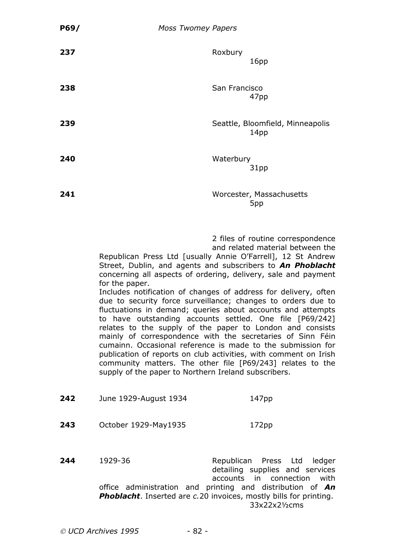| P69/ | <b>Moss Twomey Papers</b>                                                                                                                                                                                                                                                                                                                                                                                                                                                                                                                                                                                                                                                                                                                                                                                                                                        |               |                                                                       |
|------|------------------------------------------------------------------------------------------------------------------------------------------------------------------------------------------------------------------------------------------------------------------------------------------------------------------------------------------------------------------------------------------------------------------------------------------------------------------------------------------------------------------------------------------------------------------------------------------------------------------------------------------------------------------------------------------------------------------------------------------------------------------------------------------------------------------------------------------------------------------|---------------|-----------------------------------------------------------------------|
| 237  |                                                                                                                                                                                                                                                                                                                                                                                                                                                                                                                                                                                                                                                                                                                                                                                                                                                                  | Roxbury       | 16pp                                                                  |
| 238  |                                                                                                                                                                                                                                                                                                                                                                                                                                                                                                                                                                                                                                                                                                                                                                                                                                                                  | San Francisco | 47pp                                                                  |
| 239  |                                                                                                                                                                                                                                                                                                                                                                                                                                                                                                                                                                                                                                                                                                                                                                                                                                                                  |               | Seattle, Bloomfield, Minneapolis<br>14pp                              |
| 240  |                                                                                                                                                                                                                                                                                                                                                                                                                                                                                                                                                                                                                                                                                                                                                                                                                                                                  | Waterbury     | 31pp                                                                  |
| 241  |                                                                                                                                                                                                                                                                                                                                                                                                                                                                                                                                                                                                                                                                                                                                                                                                                                                                  |               | Worcester, Massachusetts<br>5 <sub>pp</sub>                           |
|      | Republican Press Ltd [usually Annie O'Farrell], 12 St Andrew<br>Street, Dublin, and agents and subscribers to An Phoblacht<br>concerning all aspects of ordering, delivery, sale and payment<br>for the paper.<br>Includes notification of changes of address for delivery, often<br>due to security force surveillance; changes to orders due to<br>fluctuations in demand; queries about accounts and attempts<br>to have outstanding accounts settled. One file [P69/242]<br>relates to the supply of the paper to London and consists<br>mainly of correspondence with the secretaries of Sinn Féin<br>cumainn. Occasional reference is made to the submission for<br>publication of reports on club activities, with comment on Irish<br>community matters. The other file [P69/243] relates to the<br>supply of the paper to Northern Ireland subscribers. |               | 2 files of routine correspondence<br>and related material between the |
| 242  | June 1929-August 1934                                                                                                                                                                                                                                                                                                                                                                                                                                                                                                                                                                                                                                                                                                                                                                                                                                            |               | 147 <sub>pp</sub>                                                     |
| 243  | October 1929-May1935                                                                                                                                                                                                                                                                                                                                                                                                                                                                                                                                                                                                                                                                                                                                                                                                                                             |               | 172pp                                                                 |
|      |                                                                                                                                                                                                                                                                                                                                                                                                                                                                                                                                                                                                                                                                                                                                                                                                                                                                  |               |                                                                       |

**244** 1929-36 Republican Press Ltd ledger detailing supplies and services accounts in connection with office administration and printing and distribution of *An Phoblacht*. Inserted are *c.*20 invoices, mostly bills for printing. 33x22x2½cms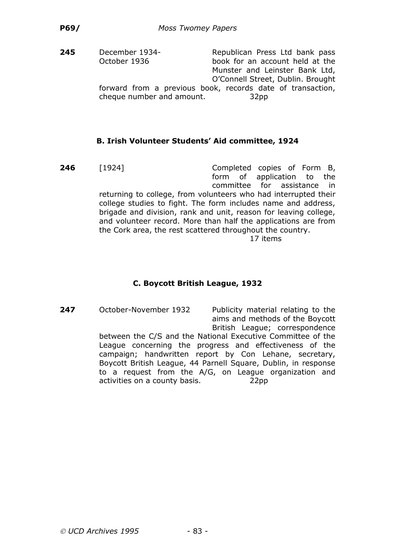**245** December 1934- Republican Press Ltd bank pass October 1936 book for an account held at the Munster and Leinster Bank Ltd, O'Connell Street, Dublin. Brought forward from a previous book, records date of transaction, cheque number and amount. 32pp

### **B. Irish Volunteer Students' Aid committee, 1924**

**246** [1924] Completed copies of Form B, form of application to the committee for assistance in returning to college, from volunteers who had interrupted their college studies to fight. The form includes name and address, brigade and division, rank and unit, reason for leaving college, and volunteer record. More than half the applications are from the Cork area, the rest scattered throughout the country. 17 items

# **C. Boycott British League, 1932**

**247** October-November 1932 Publicity material relating to the aims and methods of the Boycott British League; correspondence between the C/S and the National Executive Committee of the League concerning the progress and effectiveness of the campaign; handwritten report by Con Lehane, secretary, Boycott British League, 44 Parnell Square, Dublin, in response to a request from the A/G, on League organization and activities on a county basis. 22pp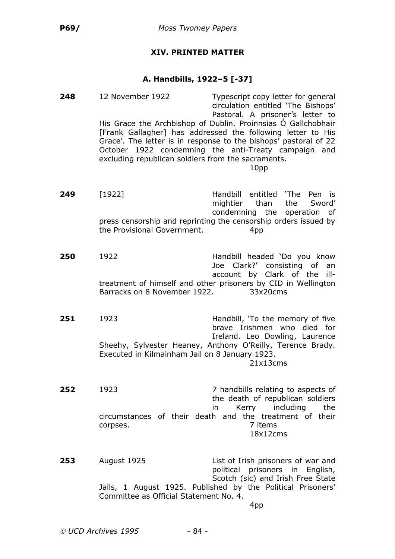# **XIV. PRINTED MATTER**

#### **A. Handbills, 1922–5 [-37]**

**248** 12 November 1922 Typescript copy letter for general circulation entitled 'The Bishops' Pastoral. A prisoner's letter to His Grace the Archbishop of Dublin. Proinnsias Ó Gallchobhair [Frank Gallagher] has addressed the following letter to His Grace'. The letter is in response to the bishops' pastoral of 22 October 1922 condemning the anti-Treaty campaign and excluding republican soldiers from the sacraments. 10pp **249** [1922] Handbill entitled 'The Pen is mightier than the Sword' condemning the operation of press censorship and reprinting the censorship orders issued by the Provisional Government. 4pp **250** 1922 Handbill headed 'Do you know Joe Clark?' consisting of an account by Clark of the illtreatment of himself and other prisoners by CID in Wellington Barracks on 8 November 1922. 33x20cms **251** 1923 **Handbill, 'To the memory of five** brave Irishmen who died for Ireland. Leo Dowling, Laurence Sheehy, Sylvester Heaney, Anthony O'Reilly, Terence Brady. Executed in Kilmainham Jail on 8 January 1923. 21x13cms **252** 1923 **7 handbills relating to aspects of** the death of republican soldiers in Kerry including the circumstances of their death and the treatment of their corpses. 7 items 18x12cms **253** August 1925 List of Irish prisoners of war and political prisoners in English, Scotch (sic) and Irish Free State Jails, 1 August 1925. Published by the Political Prisoners' Committee as Official Statement No. 4. 4pp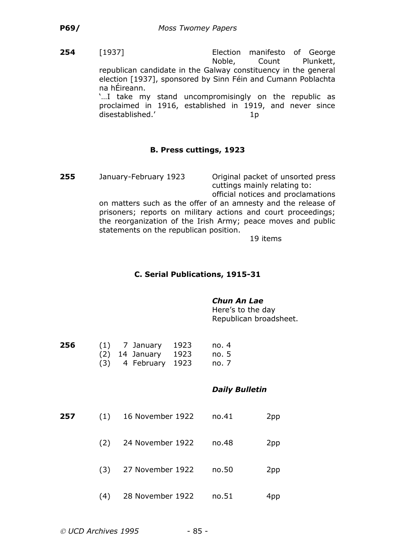**254** [1937] Election manifesto of George Noble, Count Plunkett, republican candidate in the Galway constituency in the general election [1937], sponsored by Sinn Féin and Cumann Poblachta na hÉireann.

> '…I take my stand uncompromisingly on the republic as proclaimed in 1916, established in 1919, and never since disestablished.' 10

### **B. Press cuttings, 1923**

**255** January-February 1923 Original packet of unsorted press cuttings mainly relating to: official notices and proclamations

on matters such as the offer of an amnesty and the release of prisoners; reports on military actions and court proceedings; the reorganization of the Irish Army; peace moves and public statements on the republican position.

19 items

#### **C. Serial Publications, 1915-31**

#### *Chun An Lae*

Here's to the day Republican broadsheet.

| 256 | $(1)$ 7 January       | - 1923 | no.4    |
|-----|-----------------------|--------|---------|
|     | $(2)$ 14 January 1923 |        | no. 5   |
|     | $(3)$ 4 February 1923 |        | no. $7$ |

#### *Daily Bulletin*

**257** (1) 16 November 1922 no.41 2pp (2) 24 November 1922 no.48 2pp (3) 27 November 1922 no.50 2pp (4) 28 November 1922 no.51 4pp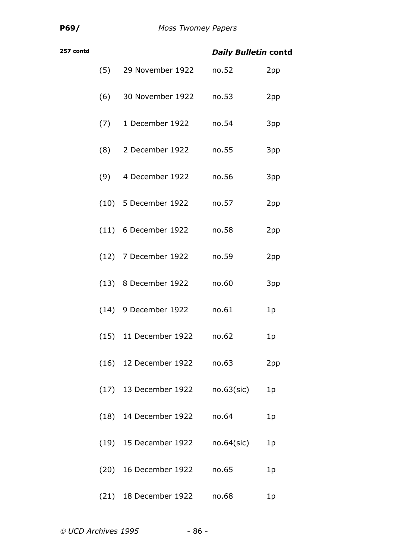| 257 contd |     |                             | <b>Daily Bulletin contd</b> |                |
|-----------|-----|-----------------------------|-----------------------------|----------------|
|           | (5) | 29 November 1922            | no.52                       | 2pp            |
|           | (6) | 30 November 1922            | no.53                       | 2pp            |
|           | (7) | 1 December 1922             | no.54                       | 3pp            |
|           | (8) | 2 December 1922             | no.55                       | 3pp            |
|           | (9) | 4 December 1922             | no.56                       | 3pp            |
|           |     | (10) 5 December 1922        | no.57                       | 2pp            |
|           |     | $(11)$ 6 December 1922      | no.58                       | 2pp            |
|           |     | (12) 7 December 1922        | no.59                       | 2pp            |
|           |     | (13) 8 December 1922        | no.60                       | 3pp            |
|           |     | (14) 9 December 1922        | no.61                       | 1p             |
|           |     | (15) 11 December 1922       | no.62                       | 1p             |
|           |     | (16) 12 December 1922 no.63 |                             | 2pp            |
|           |     | (17) 13 December 1922       | no.63(sic)                  | 1 <sub>p</sub> |
|           |     | (18) 14 December 1922       | no.64                       | 1 <sub>p</sub> |
|           |     | (19) 15 December 1922       | no.64(sic)                  | 1 <sub>p</sub> |
|           |     | (20) 16 December 1922       | no.65                       | 1 <sub>p</sub> |
|           |     | (21) 18 December 1922       | no.68                       | 1p             |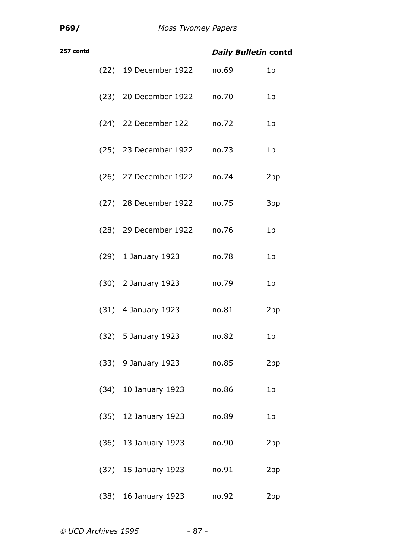| 257 contd |                             | <b>Daily Bulletin contd</b> |                |
|-----------|-----------------------------|-----------------------------|----------------|
|           | (22) 19 December 1922       | no.69                       | 1 <sub>p</sub> |
|           | (23) 20 December 1922 no.70 |                             | 1p             |
|           | (24) 22 December 122        | no.72                       | 1 <sub>p</sub> |
|           | (25) 23 December 1922       | no.73                       | 1p             |
|           | (26) 27 December 1922 no.74 |                             | 2pp            |
|           | (27) 28 December 1922       | no.75                       | 3pp            |
|           | (28) 29 December 1922       | no.76                       | 1 <sub>p</sub> |
|           | $(29)$ 1 January 1923       | no.78                       | 1 <sub>p</sub> |
|           | $(30)$ 2 January 1923       | no.79                       | 1 <sub>p</sub> |
|           | $(31)$ 4 January 1923       | no.81                       | 2pp            |
|           | $(32)$ 5 January 1923       | no.82                       | 1p             |
|           | (33) 9 January 1923         | no.85                       | 2pp            |
|           | (34) 10 January 1923        | no.86                       | 1 <sub>p</sub> |
|           | (35) 12 January 1923        | no.89                       | 1 <sub>p</sub> |
|           | $(36)$ 13 January 1923      | no.90                       | 2pp            |
|           | (37) 15 January 1923        | no.91                       | 2pp            |
|           | (38) 16 January 1923        | no.92                       | 2pp            |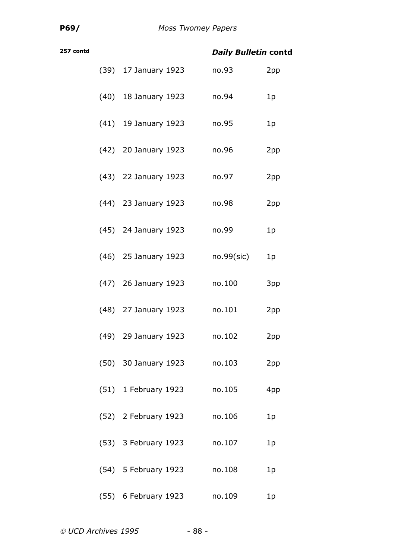| 257 contd |  |                        | <b>Daily Bulletin contd</b> |                |  |
|-----------|--|------------------------|-----------------------------|----------------|--|
|           |  | (39) 17 January 1923   | no.93                       | 2pp            |  |
|           |  | (40) 18 January 1923   | no.94                       | 1 <sub>p</sub> |  |
|           |  | $(41)$ 19 January 1923 | no.95                       | 1 <sub>p</sub> |  |
|           |  | (42) 20 January 1923   | no.96                       | 2pp            |  |
|           |  | (43) 22 January 1923   | no.97                       | 2pp            |  |
|           |  | (44) 23 January 1923   | no.98                       | 2pp            |  |
|           |  | (45) 24 January 1923   | no.99                       | 1 <sub>p</sub> |  |
|           |  | (46) 25 January 1923   | $no.99$ (sic)               | 1 <sub>p</sub> |  |
|           |  | (47) 26 January 1923   | no.100                      | 3pp            |  |
|           |  | (48) 27 January 1923   | no.101                      | 2pp            |  |
|           |  | (49) 29 January 1923   | no.102                      | 2pp            |  |
|           |  | (50) 30 January 1923   | no.103                      | 2pp            |  |
|           |  | (51) 1 February 1923   | no.105                      | 4pp            |  |
|           |  | (52) 2 February 1923   | no.106                      | 1 <sub>p</sub> |  |
|           |  | (53) 3 February 1923   | no.107                      | 1 <sub>p</sub> |  |
|           |  | (54) 5 February 1923   | no.108                      | 1 <sub>p</sub> |  |
|           |  | (55) 6 February 1923   | no.109                      | 1p             |  |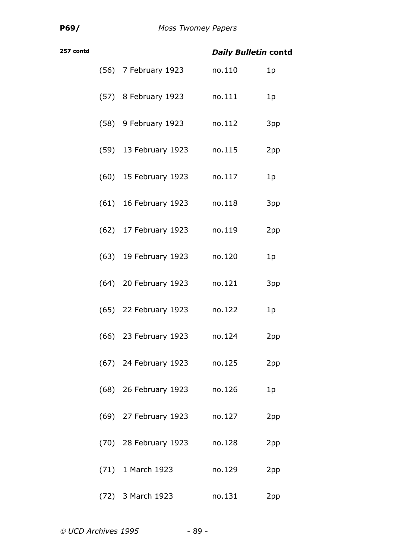| 257 contd |                       | <b>Daily Bulletin contd</b> |                |
|-----------|-----------------------|-----------------------------|----------------|
|           | (56) 7 February 1923  | no.110                      | 1 <sub>p</sub> |
|           | (57) 8 February 1923  | no.111                      | 1p             |
|           | (58) 9 February 1923  | no.112                      | 3pp            |
|           | (59) 13 February 1923 | no.115                      | 2pp            |
|           | (60) 15 February 1923 | no.117                      | 1 <sub>p</sub> |
|           | (61) 16 February 1923 | no.118                      | 3pp            |
|           | (62) 17 February 1923 | no.119                      | 2pp            |
|           | (63) 19 February 1923 | no.120                      | 1 <sub>p</sub> |
|           | (64) 20 February 1923 | no.121                      | 3pp            |
|           | (65) 22 February 1923 | no.122                      | 1p             |
|           | (66) 23 February 1923 | no.124                      | 2pp            |
|           | (67) 24 February 1923 | no.125                      | 2pp            |
|           | (68) 26 February 1923 | no.126                      | 1 <sub>p</sub> |
|           | (69) 27 February 1923 | no.127                      | 2pp            |
|           | (70) 28 February 1923 | no.128                      | 2pp            |
|           | (71) 1 March 1923     | no.129                      | 2pp            |
|           | (72) 3 March 1923     | no.131                      | 2pp            |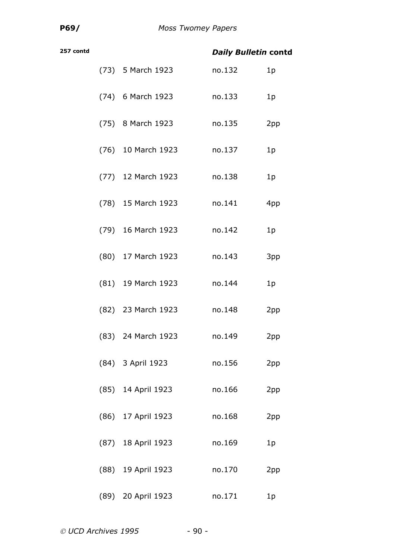| 257 contd |                    | <b>Daily Bulletin contd</b> |                |
|-----------|--------------------|-----------------------------|----------------|
|           | (73) 5 March 1923  | no.132                      | 1 <sub>p</sub> |
|           | (74) 6 March 1923  | no.133                      | 1 <sub>p</sub> |
|           | (75) 8 March 1923  | no.135                      | 2pp            |
|           | (76) 10 March 1923 | no.137                      | 1 <sub>p</sub> |
|           | (77) 12 March 1923 | no.138                      | 1 <sub>p</sub> |
|           | (78) 15 March 1923 | no.141                      | 4pp            |
|           | (79) 16 March 1923 | no.142                      | 1 <sub>p</sub> |
|           | (80) 17 March 1923 | no.143                      | 3pp            |
|           | (81) 19 March 1923 | no.144                      | 1 <sub>p</sub> |
|           | (82) 23 March 1923 | no.148                      | 2pp            |
|           | (83) 24 March 1923 | no.149                      | 2pp            |
|           | (84) 3 April 1923  | no.156                      | 2pp            |
|           | (85) 14 April 1923 | no.166                      | 2pp            |
|           | (86) 17 April 1923 | no.168                      | 2pp            |
|           | (87) 18 April 1923 | no.169                      | 1 <sub>p</sub> |
|           | (88) 19 April 1923 | no.170                      | 2pp            |
|           | (89) 20 April 1923 | no.171                      | 1p             |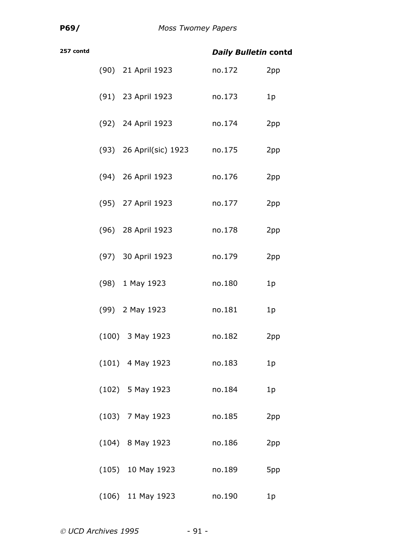| 257 contd |                         | <b>Daily Bulletin contd</b> |                |
|-----------|-------------------------|-----------------------------|----------------|
|           | (90) 21 April 1923      | no.172                      | 2pp            |
|           | (91) 23 April 1923      | no.173                      | 1p             |
|           | (92) 24 April 1923      | no.174                      | 2pp            |
|           | (93) 26 April(sic) 1923 | no.175                      | 2pp            |
|           | (94) 26 April 1923      | no.176                      | 2pp            |
|           | (95) 27 April 1923      | no.177                      | 2pp            |
|           | (96) 28 April 1923      | no.178                      | 2pp            |
|           | (97) 30 April 1923      | no.179                      | 2pp            |
|           | (98) 1 May 1923         | no.180                      | 1p             |
|           | (99) 2 May 1923         | no.181                      | 1 <sub>p</sub> |
|           | $(100)$ 3 May 1923      | no.182                      | 2pp            |
|           | $(101)$ 4 May 1923      | no.183                      | 1p             |
|           | $(102)$ 5 May 1923      | no.184                      | 1p             |
|           | $(103)$ 7 May 1923      | no.185                      | 2pp            |
|           | $(104)$ 8 May 1923      | no.186                      | 2pp            |
|           | $(105)$ 10 May 1923     | no.189                      | 5pp            |
|           | $(106)$ 11 May 1923     | no.190                      | 1p             |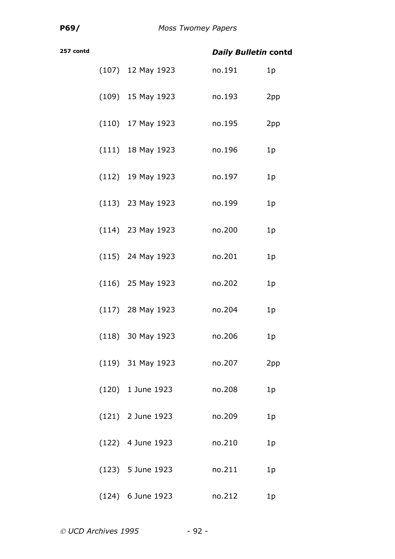| 257 contd |                     | <b>Daily Bulletin contd</b> |                |
|-----------|---------------------|-----------------------------|----------------|
|           | $(107)$ 12 May 1923 | no.191                      | 1 <sub>p</sub> |
|           | $(109)$ 15 May 1923 | no.193                      | 2pp            |
|           | $(110)$ 17 May 1923 | no.195                      | 2pp            |
|           | $(111)$ 18 May 1923 | no.196                      | 1 <sub>p</sub> |
|           | $(112)$ 19 May 1923 | no.197                      | 1p             |
|           | $(113)$ 23 May 1923 | no.199                      | 1p             |
|           | $(114)$ 23 May 1923 | no.200                      | 1 <sub>p</sub> |
|           | $(115)$ 24 May 1923 | no.201                      | 1 <sub>p</sub> |
|           | $(116)$ 25 May 1923 | no.202                      | 1 <sub>p</sub> |
|           | $(117)$ 28 May 1923 | no.204                      | 1p             |
|           | $(118)$ 30 May 1923 | no.206                      | 1p             |
|           | $(119)$ 31 May 1923 | no.207                      | 2pp            |
|           | (120) 1 June 1923   | no.208                      | 1 <sub>p</sub> |
|           | $(121)$ 2 June 1923 | no.209                      | 1 <sub>p</sub> |
|           | $(122)$ 4 June 1923 | no.210                      | 1 <sub>p</sub> |
|           | $(123)$ 5 June 1923 | no.211                      | 1 <sub>p</sub> |
|           | $(124)$ 6 June 1923 | no.212                      | 1 <sub>p</sub> |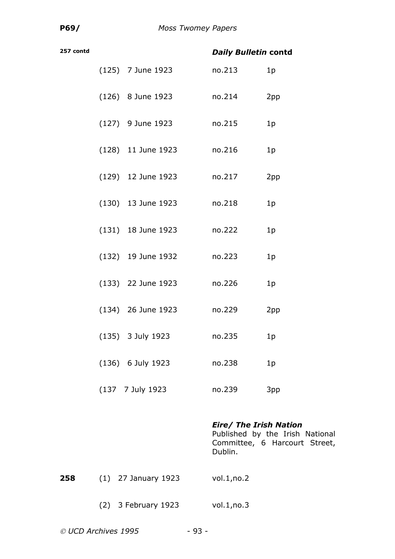| 257 contd |                      | <b>Daily Bulletin contd</b> |                |
|-----------|----------------------|-----------------------------|----------------|
|           | $(125)$ 7 June 1923  | no.213                      | 1p             |
|           | (126) 8 June 1923    | no.214                      | 2pp            |
|           | $(127)$ 9 June 1923  | no.215                      | 1 <sub>p</sub> |
|           | (128) 11 June 1923   | no.216                      | 1 <sub>p</sub> |
|           | (129) 12 June 1923   | no.217                      | 2pp            |
|           | $(130)$ 13 June 1923 | no.218                      | 1p             |
|           | $(131)$ 18 June 1923 | no.222                      | 1 <sub>p</sub> |
|           | (132) 19 June 1932   | no.223                      | 1 <sub>p</sub> |
|           | $(133)$ 22 June 1923 | no.226                      | 1p             |
|           | $(134)$ 26 June 1923 | no.229                      | 2pp            |
|           | (135) 3 July 1923    | no.235                      | 1p             |
|           | (136) 6 July 1923    | no.238                      | 1p             |
|           | (137 7 July 1923     | no.239                      | 3pp            |

#### *Eire/ The Irish Nation*

Published by the Irish National Committee, 6 Harcourt Street, Dublin.

- **258** (1) 27 January 1923 vol.1, no.2
	- (2) 3 February 1923 vol.1,no.3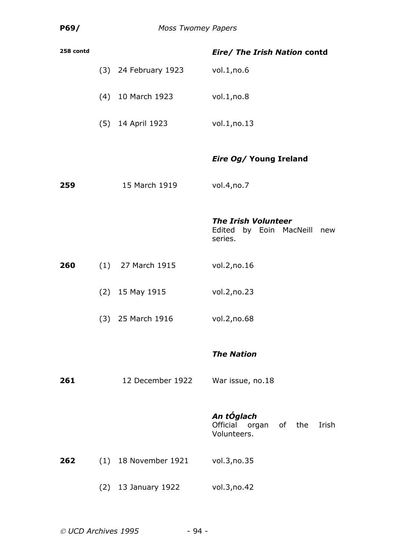| 258 contd |                      | Eire/ The Irish Nation contd                                            |
|-----------|----------------------|-------------------------------------------------------------------------|
|           | (3) 24 February 1923 | vol.1, no.6                                                             |
|           | (4) 10 March 1923    | vol.1, no.8                                                             |
|           | (5) 14 April 1923    | vol.1,no.13                                                             |
|           |                      | <b>Eire Og/ Young Ireland</b>                                           |
| 259       | 15 March 1919        | vol.4, no.7                                                             |
|           |                      | <b>The Irish Volunteer</b><br>Edited by Eoin MacNeill<br>new<br>series. |
| 260       | $(1)$ 27 March 1915  | vol.2, no.16                                                            |
|           | $(2)$ 15 May 1915    | vol.2, no.23                                                            |
|           | (3) 25 March 1916    | vol.2, no.68                                                            |
|           |                      | <b>The Nation</b>                                                       |
| 261       | 12 December 1922     | War issue, no.18                                                        |
|           |                      | An tÓglach<br>Official organ of the Irish<br>Volunteers.                |
| 262       | (1) 18 November 1921 | vol.3, no.35                                                            |
|           | (2) 13 January 1922  | vol.3, no.42                                                            |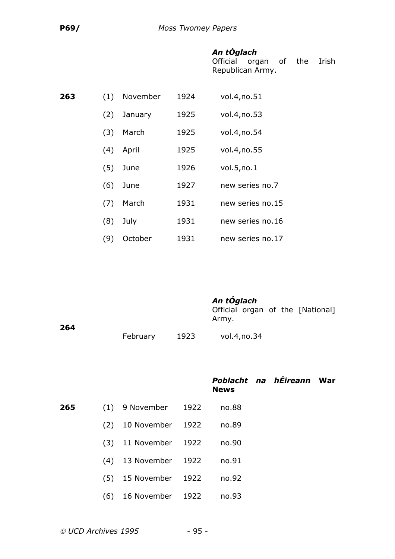# *An tÓglach*

Official organ of the Irish Republican Army.

| 263 | (1) | November | 1924 | vol.4, no.51     |
|-----|-----|----------|------|------------------|
|     | (2) | January  | 1925 | vol.4, no.53     |
|     | (3) | March    | 1925 | vol.4, no.54     |
|     | (4) | April    | 1925 | vol.4, no.55     |
|     | (5) | June     | 1926 | vol.5, no.1      |
|     | (6) | June     | 1927 | new series no.7  |
|     | (7) | March    | 1931 | new series no.15 |
|     | (8) | July     | 1931 | new series no.16 |
|     | (9) | October  | 1931 | new series no.17 |

*An tÓglach*

Official organ of the [National] Army.

| 264 |          |      |             |
|-----|----------|------|-------------|
|     | February | 1923 | vol.4,no.34 |

*Poblacht na hÉireann* **War News**

| 265 — 1 | $(1)$ 9 November 1922      | no.88 |  |
|---------|----------------------------|-------|--|
|         | (2) 10 November 1922       | no.89 |  |
|         | (3) 11 November 1922       | no.90 |  |
|         | (4) 13 November 1922 no.91 |       |  |
|         |                            |       |  |

(5) 15 November 1922 no.92

(6) 16 November 1922 no.93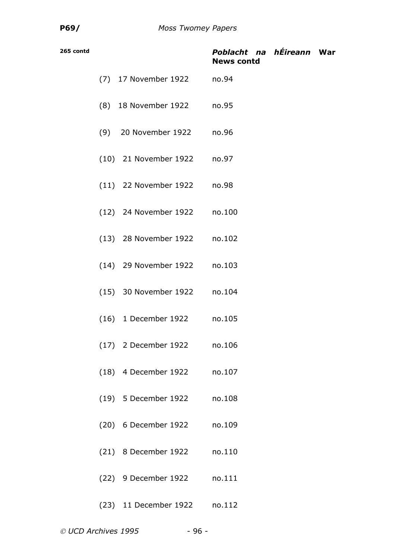| 265 contd |                              | Poblacht na hÉireann War<br><b>News contd</b> |  |
|-----------|------------------------------|-----------------------------------------------|--|
|           | (7) 17 November 1922 no.94   |                                               |  |
|           | (8) 18 November 1922 no.95   |                                               |  |
|           | (9) 20 November 1922 no.96   |                                               |  |
|           | (10) 21 November 1922 no.97  |                                               |  |
|           | (11) 22 November 1922 no.98  |                                               |  |
|           | (12) 24 November 1922 no.100 |                                               |  |
|           | (13) 28 November 1922 no.102 |                                               |  |
|           | (14) 29 November 1922 no.103 |                                               |  |
|           | (15) 30 November 1922 no.104 |                                               |  |
|           | (16) 1 December 1922 no.105  |                                               |  |
|           | (17) 2 December 1922 no.106  |                                               |  |
|           | (18) 4 December 1922 no.107  |                                               |  |
|           | (19) 5 December 1922 no.108  |                                               |  |
|           | (20) 6 December 1922 no.109  |                                               |  |
|           | (21) 8 December 1922 no.110  |                                               |  |
|           | (22) 9 December 1922 no.111  |                                               |  |
|           | (23) 11 December 1922        | no.112                                        |  |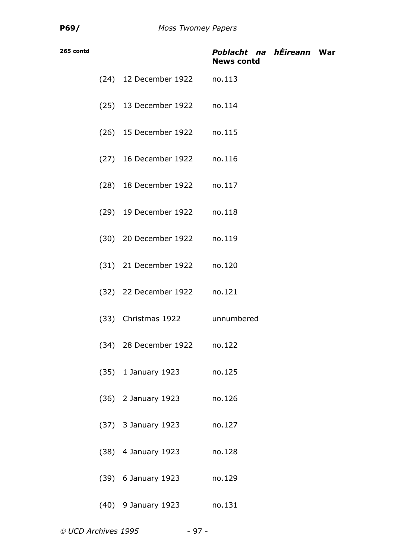| 265 contd |                                | Poblacht na hÉireann War<br><b>News contd</b> |  |
|-----------|--------------------------------|-----------------------------------------------|--|
|           | (24) 12 December 1922 no.113   |                                               |  |
|           | (25) 13 December 1922 no.114   |                                               |  |
|           | (26) 15 December 1922 no.115   |                                               |  |
|           | (27) 16 December 1922 no.116   |                                               |  |
|           | (28) 18 December 1922 no.117   |                                               |  |
|           | (29) 19 December 1922 no.118   |                                               |  |
|           | (30) 20 December 1922 no.119   |                                               |  |
|           | (31) 21 December 1922 no.120   |                                               |  |
|           | (32) 22 December 1922 no.121   |                                               |  |
|           | (33) Christmas 1922 unnumbered |                                               |  |
|           | (34) 28 December 1922          | no.122                                        |  |
|           | (35) 1 January 1923            | no.125                                        |  |
|           | (36) 2 January 1923            | no.126                                        |  |
|           | (37) 3 January 1923            | no.127                                        |  |
|           | (38) 4 January 1923            | no.128                                        |  |
|           | (39) 6 January 1923            | no.129                                        |  |
|           | (40) 9 January 1923            | no.131                                        |  |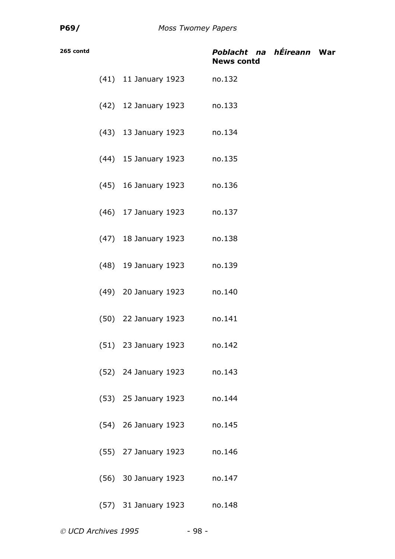| 265 contd |                             | Poblacht na hÉireann War<br><b>News contd</b> |  |
|-----------|-----------------------------|-----------------------------------------------|--|
|           | (41) 11 January 1923        | no.132                                        |  |
|           | (42) 12 January 1923 no.133 |                                               |  |
|           | (43) 13 January 1923 no.134 |                                               |  |
|           | (44) 15 January 1923 no.135 |                                               |  |
|           | (45) 16 January 1923 no.136 |                                               |  |
|           | (46) 17 January 1923        | no.137                                        |  |
|           | (47) 18 January 1923 no.138 |                                               |  |
|           | (48) 19 January 1923 no.139 |                                               |  |
|           | (49) 20 January 1923 no.140 |                                               |  |
|           | (50) 22 January 1923 no.141 |                                               |  |
|           | (51) 23 January 1923        | no.142                                        |  |
|           | (52) 24 January 1923 no.143 |                                               |  |
|           | (53) 25 January 1923        | no.144                                        |  |
|           | (54) 26 January 1923        | no.145                                        |  |
|           | (55) 27 January 1923        | no.146                                        |  |
|           | (56) 30 January 1923        | no.147                                        |  |
|           | (57) 31 January 1923        | no.148                                        |  |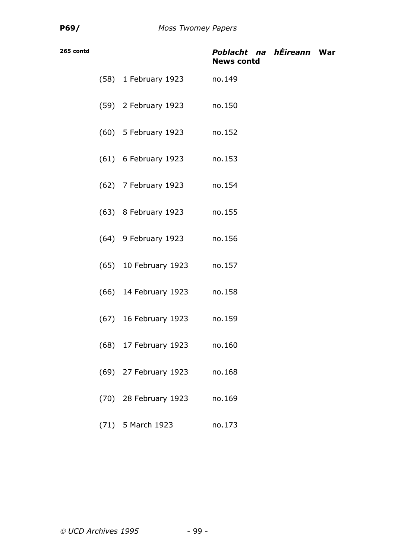| 265 contd |                       | Poblacht na hÉireann War<br><b>News contd</b> |  |
|-----------|-----------------------|-----------------------------------------------|--|
|           | (58) 1 February 1923  | no.149                                        |  |
|           | (59) 2 February 1923  | no.150                                        |  |
|           | (60) 5 February 1923  | no.152                                        |  |
|           | (61) 6 February 1923  | no.153                                        |  |
|           | (62) 7 February 1923  | no.154                                        |  |
|           | (63) 8 February 1923  | no.155                                        |  |
|           | (64) 9 February 1923  | no.156                                        |  |
|           | (65) 10 February 1923 | no.157                                        |  |
|           | (66) 14 February 1923 | no.158                                        |  |
|           | (67) 16 February 1923 | no.159                                        |  |
|           | (68) 17 February 1923 | no.160                                        |  |
|           | (69) 27 February 1923 | no.168                                        |  |
|           | (70) 28 February 1923 | no.169                                        |  |
|           | (71) 5 March 1923     | no.173                                        |  |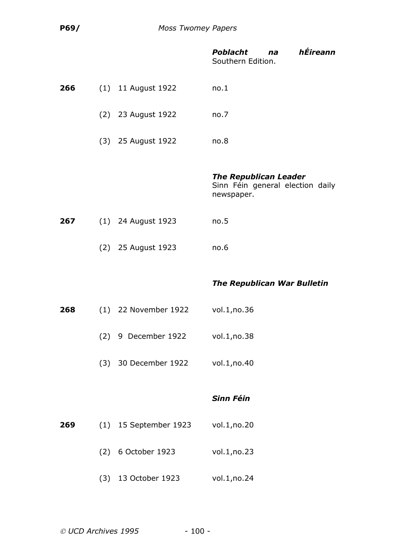|     |     |                         | hÉireann<br><b>Poblacht</b><br>na<br>Southern Edition.                         |
|-----|-----|-------------------------|--------------------------------------------------------------------------------|
| 266 |     | $(1)$ 11 August 1922    | no.1                                                                           |
|     |     | (2) 23 August 1922      | no.7                                                                           |
|     |     | (3) 25 August 1922      | no.8                                                                           |
|     |     |                         | <b>The Republican Leader</b><br>Sinn Féin general election daily<br>newspaper. |
| 267 |     | (1) 24 August 1923      | no.5                                                                           |
|     |     | (2) 25 August 1923      | no.6                                                                           |
|     |     |                         |                                                                                |
|     |     |                         | <b>The Republican War Bulletin</b>                                             |
| 268 |     | (1) 22 November 1922    | vol.1, no.36                                                                   |
|     | (2) | 9 December 1922         | vol.1, no.38                                                                   |
|     |     | (3) 30 December 1922    | vol.1, no.40                                                                   |
|     |     |                         | <b>Sinn Féin</b>                                                               |
| 269 |     | $(1)$ 15 September 1923 | vol.1, no.20                                                                   |
|     |     | (2) 6 October 1923      | vol.1, no.23                                                                   |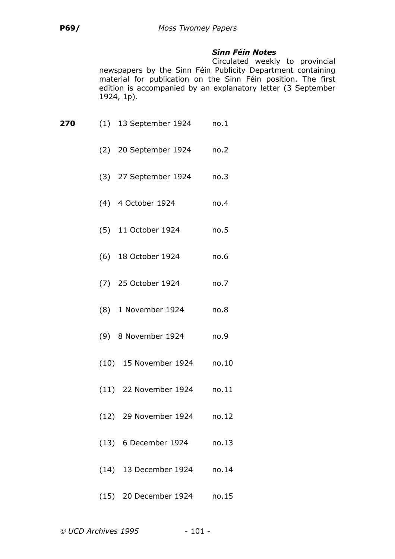## *Sinn Féin Notes*

Circulated weekly to provincial newspapers by the Sinn Féin Publicity Department containing material for publication on the Sinn Féin position. The first edition is accompanied by an explanatory letter (3 September 1924, 1p).

| 270 | $(1)$ 13 September 1924 no.1 |       |
|-----|------------------------------|-------|
|     | (2) 20 September 1924        | no.2  |
|     | (3) 27 September 1924 no.3   |       |
|     | (4) 4 October 1924           | no.4  |
|     | (5) 11 October 1924          | no.5  |
|     | (6) 18 October 1924          | no.6  |
|     | (7) 25 October 1924          | no.7  |
|     | (8) 1 November 1924          | no.8  |
|     | (9) 8 November 1924          | no.9  |
|     | (10) 15 November 1924        | no.10 |
|     | (11) 22 November 1924 no.11  |       |
|     | (12) 29 November 1924 no.12  |       |
|     | (13) 6 December 1924         | no.13 |
|     | (14) 13 December 1924        | no.14 |
|     | (15) 20 December 1924 no.15  |       |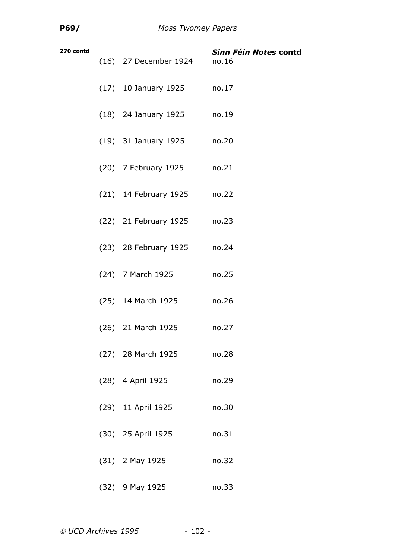| 270 contd | (16) 27 December 1924      | Sinn Féin Notes contd<br>no.16 |
|-----------|----------------------------|--------------------------------|
|           | (17) 10 January 1925 no.17 |                                |
|           | (18) 24 January 1925       | no.19                          |
|           | (19) 31 January 1925       | no.20                          |
|           | (20) 7 February 1925       | no.21                          |
|           | (21) 14 February 1925      | no.22                          |
|           | (22) 21 February 1925      | no.23                          |
|           | (23) 28 February 1925      | no.24                          |
|           | (24) 7 March 1925          | no.25                          |
|           | (25) 14 March 1925         | no.26                          |
|           | (26) 21 March 1925         | no.27                          |
|           | (27) 28 March 1925         | no.28                          |
|           | (28) 4 April 1925          | no.29                          |
|           | (29) 11 April 1925         | no.30                          |
|           | (30) 25 April 1925         | no.31                          |
|           | $(31)$ 2 May 1925          | no.32                          |
|           | $(32)$ 9 May 1925          | no.33                          |